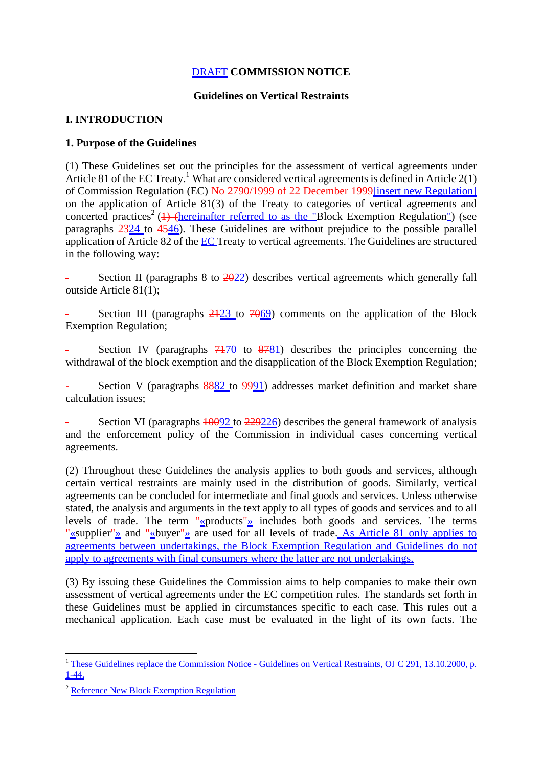## DRAFT **COMMISSION NOTICE**

#### **Guidelines on Vertical Restraints**

#### **I. INTRODUCTION**

#### **1. Purpose of the Guidelines**

(1) These Guidelines set out the principles for the assessment of vertical agreements under Article 81 of the EC Treaty.<sup>1</sup> What are considered vertical agreements is defined in Article 2(1) of Commission Regulation (EC) No 2790/1999 of 22 December 1999[insert new Regulation] on the application of Article 81(3) of the Treaty to categories of vertical agreements and concerted practices<sup>2</sup> (1) (hereinafter referred to as the "Block Exemption Regulation") (see paragraphs 2324 to 4546). These Guidelines are without prejudice to the possible parallel application of Article 82 of the EC Treaty to vertical agreements. The Guidelines are structured in the following way:

Section II (paragraphs  $8$  to  $\frac{2022}{20}$ ) describes vertical agreements which generally fall outside Article 81(1);

Section III (paragraphs  $2423$  to  $7069$ ) comments on the application of the Block Exemption Regulation;

Section IV (paragraphs  $7470$  to  $8781$ ) describes the principles concerning the withdrawal of the block exemption and the disapplication of the Block Exemption Regulation;

Section V (paragraphs 8882 to 9991) addresses market definition and market share calculation issues;

Section VI (paragraphs  $\frac{10092}{2}$  to  $\frac{229226}{2}$ ) describes the general framework of analysis and the enforcement policy of the Commission in individual cases concerning vertical agreements.

(2) Throughout these Guidelines the analysis applies to both goods and services, although certain vertical restraints are mainly used in the distribution of goods. Similarly, vertical agreements can be concluded for intermediate and final goods and services. Unless otherwise stated, the analysis and arguments in the text apply to all types of goods and services and to all levels of trade. The term  $\frac{m}{2}$  products  $\frac{m}{2}$  includes both goods and services. The terms "«supplier"» and "«buyer"» are used for all levels of trade. As Article 81 only applies to agreements between undertakings, the Block Exemption Regulation and Guidelines do not apply to agreements with final consumers where the latter are not undertakings.

(3) By issuing these Guidelines the Commission aims to help companies to make their own assessment of vertical agreements under the EC competition rules. The standards set forth in these Guidelines must be applied in circumstances specific to each case. This rules out a mechanical application. Each case must be evaluated in the light of its own facts. The

 $\overline{a}$ 

<sup>1</sup> These Guidelines replace the Commission Notice - Guidelines on Vertical Restraints, OJ C 291, 13.10.2000, p. 1-44.

<sup>&</sup>lt;sup>2</sup> Reference New Block Exemption Regulation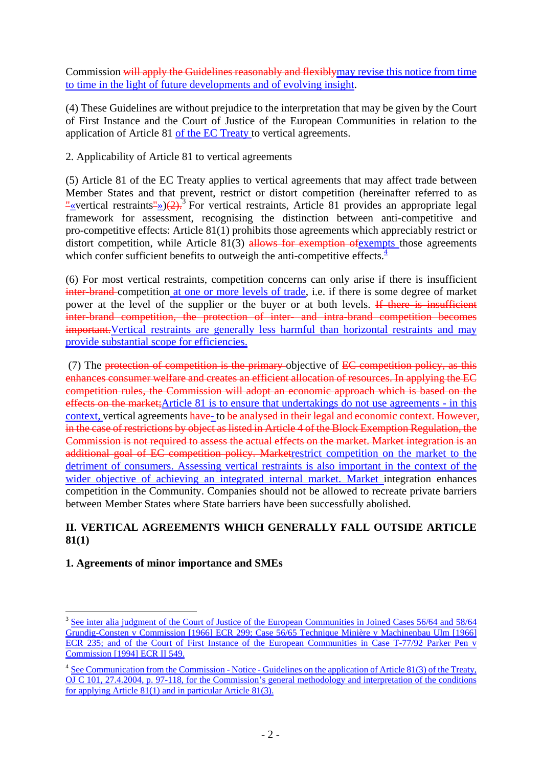Commission will apply the Guidelines reasonably and flexiblymay revise this notice from time to time in the light of future developments and of evolving insight.

(4) These Guidelines are without prejudice to the interpretation that may be given by the Court of First Instance and the Court of Justice of the European Communities in relation to the application of Article 81 of the EC Treaty to vertical agreements.

2. Applicability of Article 81 to vertical agreements

(5) Article 81 of the EC Treaty applies to vertical agreements that may affect trade between Member States and that prevent, restrict or distort competition (hereinafter referred to as " vertical restraints"  $(x)$   $(2)$ .<sup>3</sup> For vertical restraints, Article 81 provides an appropriate legal framework for assessment, recognising the distinction between anti-competitive and pro-competitive effects: Article 81(1) prohibits those agreements which appreciably restrict or distort competition, while Article  $81(3)$  allows for exemption of exempts those agreements which confer sufficient benefits to outweigh the anti-competitive effects. $\frac{4}{3}$ 

(6) For most vertical restraints, competition concerns can only arise if there is insufficient inter-brand-competition at one or more levels of trade, i.e. if there is some degree of market power at the level of the supplier or the buyer or at both levels. If there is insufficient inter-brand competition, the protection of inter- and intra-brand competition becomes important.Vertical restraints are generally less harmful than horizontal restraints and may provide substantial scope for efficiencies.

(7) The protection of competition is the primary objective of EC competition policy, as this enhances consumer welfare and creates an efficient allocation of resources. In applying the EC competition rules, the Commission will adopt an economic approach which is based on the effects on the market;Article 81 is to ensure that undertakings do not use agreements - in this context, vertical agreements have- to be analysed in their legal and economic context. However, in the case of restrictions by object as listed in Article 4 of the Block Exemption Regulation, the Commission is not required to assess the actual effects on the market. Market integration is an additional goal of EC competition policy. Marketrestrict competition on the market to the detriment of consumers. Assessing vertical restraints is also important in the context of the wider objective of achieving an integrated internal market. Market integration enhances competition in the Community. Companies should not be allowed to recreate private barriers between Member States where State barriers have been successfully abolished.

# **II. VERTICAL AGREEMENTS WHICH GENERALLY FALL OUTSIDE ARTICLE 81(1)**

# **1. Agreements of minor importance and SMEs**

 $\overline{a}$ 

<sup>&</sup>lt;sup>3</sup> See inter alia judgment of the Court of Justice of the European Communities in Joined Cases 56/64 and 58/64 Grundig-Consten v Commission [1966] ECR 299; Case 56/65 Technique Minière v Machinenbau Ulm [1966] ECR 235; and of the Court of First Instance of the European Communities in Case T-77/92 Parker Pen v Commission [1994] ECR II 549.

<sup>&</sup>lt;sup>4</sup> See Communication from the Commission - Notice - Guidelines on the application of Article 81(3) of the Treaty, OJ C 101, 27.4.2004, p. 97-118, for the Commission's general methodology and interpretation of the conditions for applying Article 81(1) and in particular Article 81(3).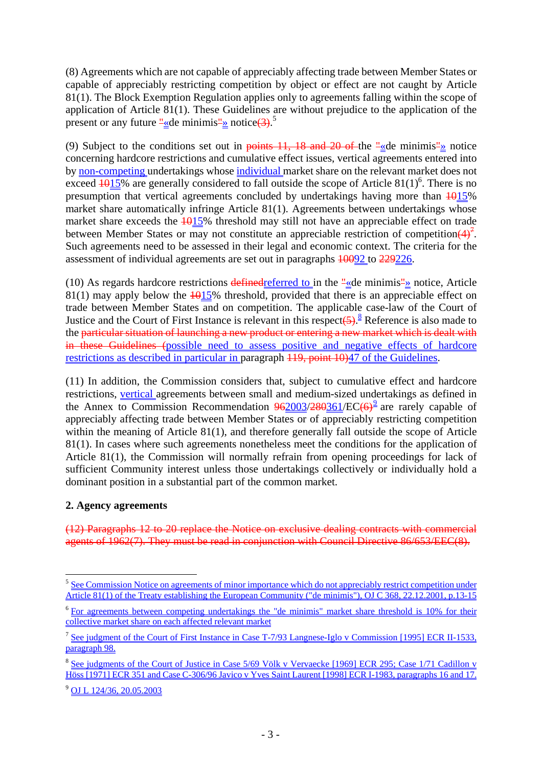(8) Agreements which are not capable of appreciably affecting trade between Member States or capable of appreciably restricting competition by object or effect are not caught by Article 81(1). The Block Exemption Regulation applies only to agreements falling within the scope of application of Article 81(1). These Guidelines are without prejudice to the application of the present or any future  $\frac{\pi}{6}$  minimis  $\frac{\pi}{2}$  notice  $\left(\frac{\pi}{3}\right)^5$ 

(9) Subject to the conditions set out in points 11, 18 and 20 of the " $\&$ de minimis" $\&$  notice concerning hardcore restrictions and cumulative effect issues, vertical agreements entered into by non-competing undertakings whose individual market share on the relevant market does not exceed  $\frac{10!}{5}$  are generally considered to fall outside the scope of Article 81(1)<sup>6</sup>. There is no presumption that vertical agreements concluded by undertakings having more than  $\frac{1015}{6}$ market share automatically infringe Article 81(1). Agreements between undertakings whose market share exceeds the  $\frac{1015}{6}$  threshold may still not have an appreciable effect on trade between Member States or may not constitute an appreciable restriction of competition(4)<sup>2</sup>. Such agreements need to be assessed in their legal and economic context. The criteria for the assessment of individual agreements are set out in paragraphs 10092 to 229226.

(10) As regards hardcore restrictions defined referred to in the " $\&$ de minimis" $\&$  notice, Article 81(1) may apply below the  $\frac{1015}{6}$  threshold, provided that there is an appreciable effect on trade between Member States and on competition. The applicable case-law of the Court of Justice and the Court of First Instance is relevant in this respect( $\frac{5}{2}$ ).<sup>8</sup> Reference is also made to the particular situation of launching a new product or entering a new market which is dealt with in these Guidelines (possible need to assess positive and negative effects of hardcore restrictions as described in particular in paragraph 119, point 10)47 of the Guidelines.

(11) In addition, the Commission considers that, subject to cumulative effect and hardcore restrictions, vertical agreements between small and medium-sized undertakings as defined in the Annex to Commission Recommendation  $962003/280361/EC(6)^2$  are rarely capable of appreciably affecting trade between Member States or of appreciably restricting competition within the meaning of Article 81(1), and therefore generally fall outside the scope of Article 81(1). In cases where such agreements nonetheless meet the conditions for the application of Article 81(1), the Commission will normally refrain from opening proceedings for lack of sufficient Community interest unless those undertakings collectively or individually hold a dominant position in a substantial part of the common market.

#### **2. Agency agreements**

 $\overline{a}$ 

(12) Paragraphs 12 to 20 replace the Notice on exclusive dealing contracts with commercial agents of 1962(7). They must be read in conjunction with Council Directive 86/653/EEC(8).

<sup>&</sup>lt;sup>5</sup> See Commission Notice on agreements of minor importance which do not appreciably restrict competition under Article 81(1) of the Treaty establishing the European Community ("de minimis"), OJ C 368, 22.12.2001, p.13-15

<sup>6</sup> For agreements between competing undertakings the "de minimis" market share threshold is 10% for their collective market share on each affected relevant market

<sup>&</sup>lt;sup>7</sup> See judgment of the Court of First Instance in Case T-7/93 Langnese-Iglo v Commission [1995] ECR II-1533, paragraph 98

<sup>&</sup>lt;sup>8</sup> See judgments of the Court of Justice in Case 5/69 Völk v Vervaecke [1969] ECR 295; Case 1/71 Cadillon v Höss [1971] ECR 351 and Case C-306/96 Javico v Yves Saint Laurent [1998] ECR I-1983, paragraphs 16 and 17.

<sup>9</sup> OJ L 124/36, 20.05.2003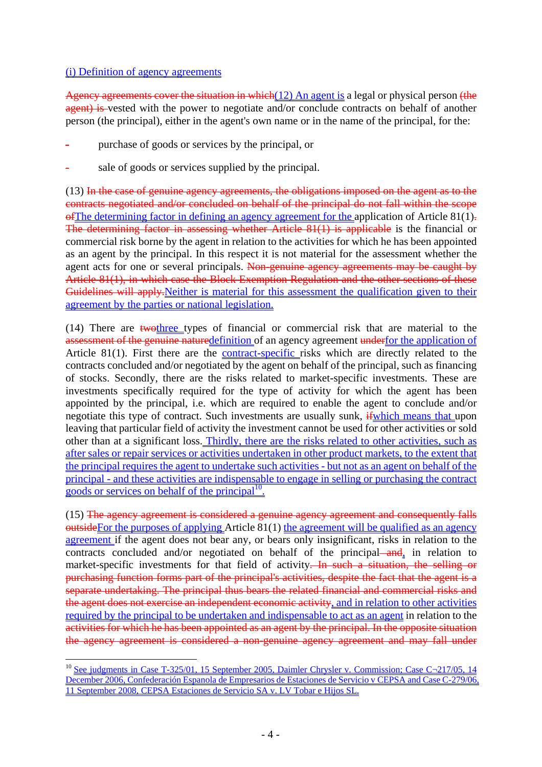#### (i) Definition of agency agreements

 $\overline{a}$ 

Agency agreements cover the situation in which $(12)$  An agent is a legal or physical person (the agent) is vested with the power to negotiate and/or conclude contracts on behalf of another person (the principal), either in the agent's own name or in the name of the principal, for the:

- purchase of goods or services by the principal, or
- sale of goods or services supplied by the principal.

(13) In the case of genuine agency agreements, the obligations imposed on the agent as to the contracts negotiated and/or concluded on behalf of the principal do not fall within the scope of The determining factor in defining an agency agreement for the application of Article 81(1). The determining factor in assessing whether Article 81(1) is applicable is the financial or commercial risk borne by the agent in relation to the activities for which he has been appointed as an agent by the principal. In this respect it is not material for the assessment whether the agent acts for one or several principals. Non-genuine agency agreements may be caught by Article 81(1), in which case the Block Exemption Regulation and the other sections of these Guidelines will apply. Neither is material for this assessment the qualification given to their agreement by the parties or national legislation.

(14) There are twothree types of financial or commercial risk that are material to the assessment of the genuine naturedefinition of an agency agreement underfor the application of Article 81(1). First there are the *contract-specific* risks which are directly related to the contracts concluded and/or negotiated by the agent on behalf of the principal, such as financing of stocks. Secondly, there are the risks related to market-specific investments. These are investments specifically required for the type of activity for which the agent has been appointed by the principal, i.e. which are required to enable the agent to conclude and/or negotiate this type of contract. Such investments are usually sunk, ifwhich means that upon leaving that particular field of activity the investment cannot be used for other activities or sold other than at a significant loss. Thirdly, there are the risks related to other activities, such as after sales or repair services or activities undertaken in other product markets, to the extent that the principal requires the agent to undertake such activities - but not as an agent on behalf of the principal - and these activities are indispensable to engage in selling or purchasing the contract goods or services on behalf of the principal<sup>10</sup>.

(15) The agency agreement is considered a genuine agency agreement and consequently falls outsideFor the purposes of applying Article 81(1) the agreement will be qualified as an agency agreement if the agent does not bear any, or bears only insignificant, risks in relation to the contracts concluded and/or negotiated on behalf of the principal— $\frac{and}{,}$  in relation to market-specific investments for that field of activity. In such a situation, the selling or purchasing function forms part of the principal's activities, despite the fact that the agent is a separate undertaking. The principal thus bears the related financial and commercial risks and the agent does not exercise an independent economic activity, and in relation to other activities required by the principal to be undertaken and indispensable to act as an agent in relation to the activities for which he has been appointed as an agent by the principal. In the opposite situation the agency agreement is considered a non-genuine agency agreement and may fall under

<sup>&</sup>lt;sup>10</sup> See judgments in Case T-325/01, 15 September 2005, Daimler Chrysler v. Commission; Case C-217/05, 14 December 2006, Confederación Espanola de Empresarios de Estaciones de Servicio y CEPSA and Case C-279/06. 11 September 2008, CEPSA Estaciones de Servicio SA v. LV Tobar e Hijos SL.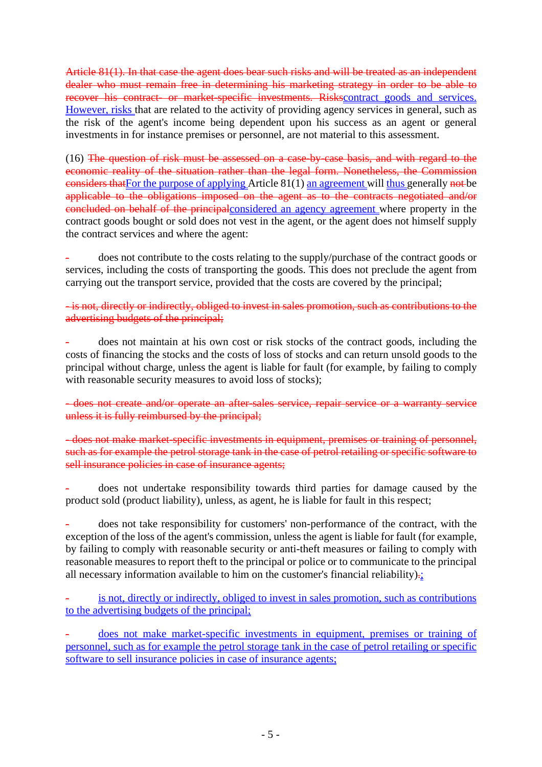Article 81(1). In that case the agent does bear such risks and will be treated as an independent dealer who must remain free in determining his marketing strategy in order to be able to recover his contract or market specific investments. Riskscontract goods and services. However, risks that are related to the activity of providing agency services in general, such as the risk of the agent's income being dependent upon his success as an agent or general investments in for instance premises or personnel, are not material to this assessment.

(16) The question of risk must be assessed on a case-by-case basis, and with regard to the economic reality of the situation rather than the legal form. Nonetheless, the Commission considers thatFor the purpose of applying Article 81(1) an agreement will thus generally not be applicable to the obligations imposed on the agent as to the contracts negotiated and/or concluded on behalf of the principalconsidered an agency agreement where property in the contract goods bought or sold does not vest in the agent, or the agent does not himself supply the contract services and where the agent:

- does not contribute to the costs relating to the supply/purchase of the contract goods or services, including the costs of transporting the goods. This does not preclude the agent from carrying out the transport service, provided that the costs are covered by the principal;

- is not, directly or indirectly, obliged to invest in sales promotion, such as contributions to the advertising budgets of the principal;

does not maintain at his own cost or risk stocks of the contract goods, including the costs of financing the stocks and the costs of loss of stocks and can return unsold goods to the principal without charge, unless the agent is liable for fault (for example, by failing to comply with reasonable security measures to avoid loss of stocks);

- does not create and/or operate an after-sales service, repair service or a warranty service unless it is fully reimbursed by the principal;

- does not make market-specific investments in equipment, premises or training of personnel, such as for example the petrol storage tank in the case of petrol retailing or specific software to sell insurance policies in case of insurance agents;

does not undertake responsibility towards third parties for damage caused by the product sold (product liability), unless, as agent, he is liable for fault in this respect;

- does not take responsibility for customers' non-performance of the contract, with the exception of the loss of the agent's commission, unless the agent is liable for fault (for example, by failing to comply with reasonable security or anti-theft measures or failing to comply with reasonable measures to report theft to the principal or police or to communicate to the principal all necessary information available to him on the customer's financial reliability) $\frac{1}{2}$ .

is not, directly or indirectly, obliged to invest in sales promotion, such as contributions to the advertising budgets of the principal;

does not make market-specific investments in equipment, premises or training of personnel, such as for example the petrol storage tank in the case of petrol retailing or specific software to sell insurance policies in case of insurance agents;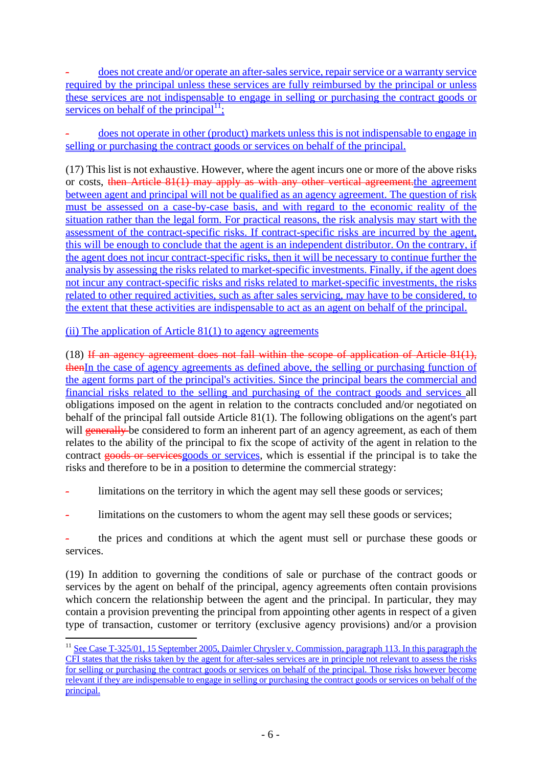does not create and/or operate an after-sales service, repair service or a warranty service required by the principal unless these services are fully reimbursed by the principal or unless these services are not indispensable to engage in selling or purchasing the contract goods or services on behalf of the principal<sup>11</sup>;

- does not operate in other (product) markets unless this is not indispensable to engage in selling or purchasing the contract goods or services on behalf of the principal.

(17) This list is not exhaustive. However, where the agent incurs one or more of the above risks or costs, then Article  $81(1)$  may apply as with any other vertical agreement. the agreement between agent and principal will not be qualified as an agency agreement. The question of risk must be assessed on a case-by-case basis, and with regard to the economic reality of the situation rather than the legal form. For practical reasons, the risk analysis may start with the assessment of the contract-specific risks. If contract-specific risks are incurred by the agent, this will be enough to conclude that the agent is an independent distributor. On the contrary, if the agent does not incur contract-specific risks, then it will be necessary to continue further the analysis by assessing the risks related to market-specific investments. Finally, if the agent does not incur any contract-specific risks and risks related to market-specific investments, the risks related to other required activities, such as after sales servicing, may have to be considered, to the extent that these activities are indispensable to act as an agent on behalf of the principal.

(ii) The application of Article  $81(1)$  to agency agreements

 $\overline{a}$ 

(18) If an agency agreement does not fall within the scope of application of Article 81(1), thenIn the case of agency agreements as defined above, the selling or purchasing function of the agent forms part of the principal's activities. Since the principal bears the commercial and financial risks related to the selling and purchasing of the contract goods and services all obligations imposed on the agent in relation to the contracts concluded and/or negotiated on behalf of the principal fall outside Article 81(1). The following obligations on the agent's part will generally be considered to form an inherent part of an agency agreement, as each of them relates to the ability of the principal to fix the scope of activity of the agent in relation to the contract goods or servicesgoods or services, which is essential if the principal is to take the risks and therefore to be in a position to determine the commercial strategy:

- limitations on the territory in which the agent may sell these goods or services;
- limitations on the customers to whom the agent may sell these goods or services;

the prices and conditions at which the agent must sell or purchase these goods or services.

(19) In addition to governing the conditions of sale or purchase of the contract goods or services by the agent on behalf of the principal, agency agreements often contain provisions which concern the relationship between the agent and the principal. In particular, they may contain a provision preventing the principal from appointing other agents in respect of a given type of transaction, customer or territory (exclusive agency provisions) and/or a provision

<sup>&</sup>lt;sup>11</sup> See Case T-325/01, 15 September 2005, Daimler Chrysler v. Commission, paragraph 113. In this paragraph the CFI states that the risks taken by the agent for after-sales services are in principle not relevant to assess the risks for selling or purchasing the contract goods or services on behalf of the principal. Those risks however become relevant if they are indispensable to engage in selling or purchasing the contract goods or services on behalf of the principal.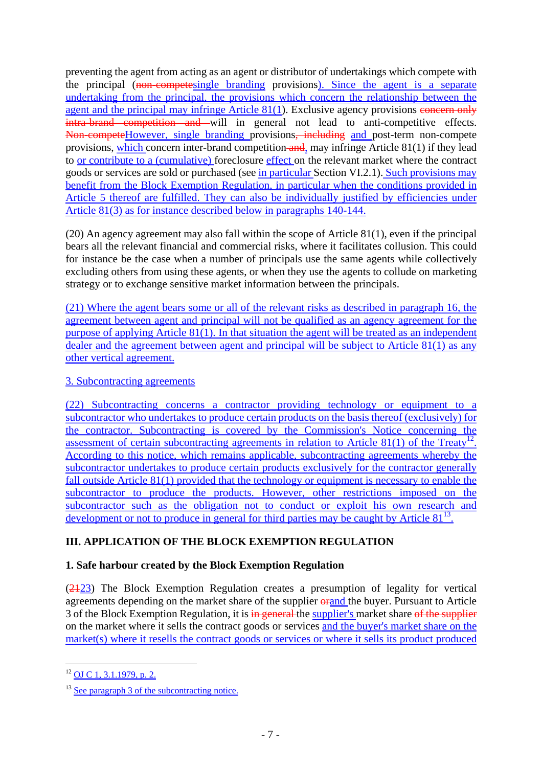preventing the agent from acting as an agent or distributor of undertakings which compete with the principal (non-competesingle branding provisions). Since the agent is a separate undertaking from the principal, the provisions which concern the relationship between the agent and the principal may infringe Article 81(1). Exclusive agency provisions concern only intra-brand competition and will in general not lead to anti-competitive effects. Non-competeHowever, single branding provisions, including and post-term non-compete provisions, which concern inter-brand competition and, may infringe Article 81(1) if they lead to or contribute to a (cumulative) foreclosure effect on the relevant market where the contract goods or services are sold or purchased (see in particular Section VI.2.1). Such provisions may benefit from the Block Exemption Regulation, in particular when the conditions provided in Article 5 thereof are fulfilled. They can also be individually justified by efficiencies under Article 81(3) as for instance described below in paragraphs 140-144.

(20) An agency agreement may also fall within the scope of Article 81(1), even if the principal bears all the relevant financial and commercial risks, where it facilitates collusion. This could for instance be the case when a number of principals use the same agents while collectively excluding others from using these agents, or when they use the agents to collude on marketing strategy or to exchange sensitive market information between the principals.

(21) Where the agent bears some or all of the relevant risks as described in paragraph 16, the agreement between agent and principal will not be qualified as an agency agreement for the purpose of applying Article  $81(1)$ . In that situation the agent will be treated as an independent dealer and the agreement between agent and principal will be subject to Article 81(1) as any other vertical agreement.

## 3. Subcontracting agreements

(22) Subcontracting concerns a contractor providing technology or equipment to a subcontractor who undertakes to produce certain products on the basis thereof (exclusively) for the contractor. Subcontracting is covered by the Commission's Notice concerning the assessment of certain subcontracting agreements in relation to Article 81(1) of the Treaty<sup>12</sup>. According to this notice, which remains applicable, subcontracting agreements whereby the subcontractor undertakes to produce certain products exclusively for the contractor generally fall outside Article 81(1) provided that the technology or equipment is necessary to enable the subcontractor to produce the products. However, other restrictions imposed on the subcontractor such as the obligation not to conduct or exploit his own research and development or not to produce in general for third parties may be caught by Article  $81^{13}$ .

# **III. APPLICATION OF THE BLOCK EXEMPTION REGULATION**

# **1. Safe harbour created by the Block Exemption Regulation**

(2123) The Block Exemption Regulation creates a presumption of legality for vertical agreements depending on the market share of the supplier  $\alpha$  or the buyer. Pursuant to Article 3 of the Block Exemption Regulation, it is in general the supplier's market share of the supplier on the market where it sells the contract goods or services and the buyer's market share on the market(s) where it resells the contract goods or services or where it sells its product produced

 $\overline{a}$ 

 $^{12}$  OJ C 1, 3.1.1979, p. 2.

<sup>&</sup>lt;sup>13</sup> See paragraph 3 of the subcontracting notice.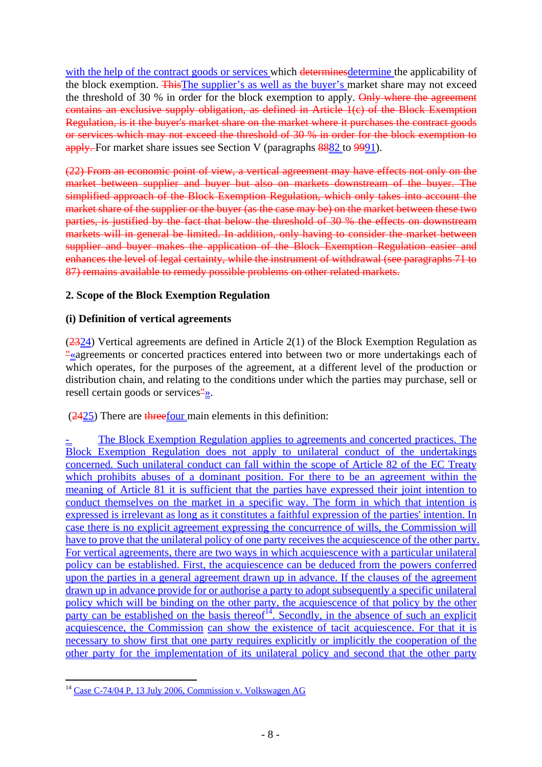with the help of the contract goods or services which determines determine the applicability of the block exemption. This The supplier's as well as the buyer's market share may not exceed the threshold of 30 % in order for the block exemption to apply. Only where the agreement contains an exclusive supply obligation, as defined in Article 1(c) of the Block Exemption Regulation, is it the buyer's market share on the market where it purchases the contract goods or services which may not exceed the threshold of 30 % in order for the block exemption to apply. For market share issues see Section V (paragraphs 8882 to 9991).

(22) From an economic point of view, a vertical agreement may have effects not only on the market between supplier and buyer but also on markets downstream of the buyer. The simplified approach of the Block Exemption Regulation, which only takes into account the market share of the supplier or the buyer (as the case may be) on the market between these two parties, is justified by the fact that below the threshold of 30 % the effects on downstream markets will in general be limited. In addition, only having to consider the market between supplier and buyer makes the application of the Block Exemption Regulation easier and enhances the level of legal certainty, while the instrument of withdrawal (see paragraphs 71 to 87) remains available to remedy possible problems on other related markets.

# **2. Scope of the Block Exemption Regulation**

# **(i) Definition of vertical agreements**

 $(2324)$  Vertical agreements are defined in Article 2(1) of the Block Exemption Regulation as "«agreements or concerted practices entered into between two or more undertakings each of which operates, for the purposes of the agreement, at a different level of the production or distribution chain, and relating to the conditions under which the parties may purchase, sell or resell certain goods or services $\frac{n}{2}$ .

(2425) There are threefour main elements in this definition:

The Block Exemption Regulation applies to agreements and concerted practices. The Block Exemption Regulation does not apply to unilateral conduct of the undertakings concerned. Such unilateral conduct can fall within the scope of Article 82 of the EC Treaty which prohibits abuses of a dominant position. For there to be an agreement within the meaning of Article 81 it is sufficient that the parties have expressed their joint intention to conduct themselves on the market in a specific way. The form in which that intention is expressed is irrelevant as long as it constitutes a faithful expression of the parties' intention. In case there is no explicit agreement expressing the concurrence of wills, the Commission will have to prove that the unilateral policy of one party receives the acquiescence of the other party. For vertical agreements, there are two ways in which acquiescence with a particular unilateral policy can be established. First, the acquiescence can be deduced from the powers conferred upon the parties in a general agreement drawn up in advance. If the clauses of the agreement drawn up in advance provide for or authorise a party to adopt subsequently a specific unilateral policy which will be binding on the other party, the acquiescence of that policy by the other party can be established on the basis thereof<sup>14</sup>. Secondly, in the absence of such an explicit acquiescence, the Commission can show the existence of tacit acquiescence. For that it is necessary to show first that one party requires explicitly or implicitly the cooperation of the other party for the implementation of its unilateral policy and second that the other party

 $\overline{a}$ <sup>14</sup> Case C-74/04 P, 13 July 2006, Commission v. Volkswagen AG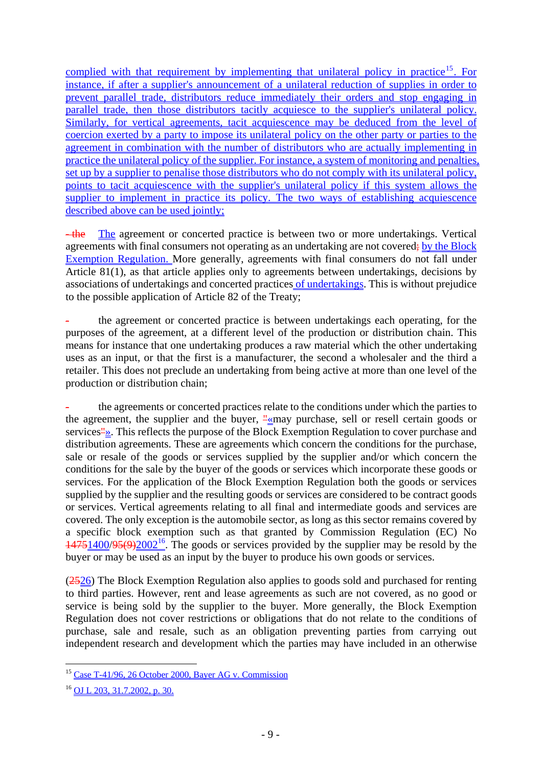complied with that requirement by implementing that unilateral policy in practice<sup>15</sup>. For instance, if after a supplier's announcement of a unilateral reduction of supplies in order to prevent parallel trade, distributors reduce immediately their orders and stop engaging in parallel trade, then those distributors tacitly acquiesce to the supplier's unilateral policy. Similarly, for vertical agreements, tacit acquiescence may be deduced from the level of coercion exerted by a party to impose its unilateral policy on the other party or parties to the agreement in combination with the number of distributors who are actually implementing in practice the unilateral policy of the supplier. For instance, a system of monitoring and penalties, set up by a supplier to penalise those distributors who do not comply with its unilateral policy, points to tacit acquiescence with the supplier's unilateral policy if this system allows the supplier to implement in practice its policy. The two ways of establishing acquiescence described above can be used jointly;

-the The agreement or concerted practice is between two or more undertakings. Vertical agreements with final consumers not operating as an undertaking are not covered; by the Block Exemption Regulation. More generally, agreements with final consumers do not fall under Article 81(1), as that article applies only to agreements between undertakings, decisions by associations of undertakings and concerted practices of undertakings. This is without prejudice to the possible application of Article 82 of the Treaty;

the agreement or concerted practice is between undertakings each operating, for the purposes of the agreement, at a different level of the production or distribution chain. This means for instance that one undertaking produces a raw material which the other undertaking uses as an input, or that the first is a manufacturer, the second a wholesaler and the third a retailer. This does not preclude an undertaking from being active at more than one level of the production or distribution chain;

the agreements or concerted practices relate to the conditions under which the parties to the agreement, the supplier and the buyer,  $\frac{n}{2}$  may purchase, sell or resell certain goods or services"». This reflects the purpose of the Block Exemption Regulation to cover purchase and distribution agreements. These are agreements which concern the conditions for the purchase, sale or resale of the goods or services supplied by the supplier and/or which concern the conditions for the sale by the buyer of the goods or services which incorporate these goods or services. For the application of the Block Exemption Regulation both the goods or services supplied by the supplier and the resulting goods or services are considered to be contract goods or services. Vertical agreements relating to all final and intermediate goods and services are covered. The only exception is the automobile sector, as long as this sector remains covered by a specific block exemption such as that granted by Commission Regulation (EC) No  $\frac{14751400}{95(9)2002^{16}}$ . The goods or services provided by the supplier may be resold by the buyer or may be used as an input by the buyer to produce his own goods or services.

(2526) The Block Exemption Regulation also applies to goods sold and purchased for renting to third parties. However, rent and lease agreements as such are not covered, as no good or service is being sold by the supplier to the buyer. More generally, the Block Exemption Regulation does not cover restrictions or obligations that do not relate to the conditions of purchase, sale and resale, such as an obligation preventing parties from carrying out independent research and development which the parties may have included in an otherwise

 $\overline{a}$ <sup>15</sup> Case T-41/96, 26 October 2000, Bayer AG v. Commission

<sup>16</sup> OJ L 203, 31.7.2002, p. 30.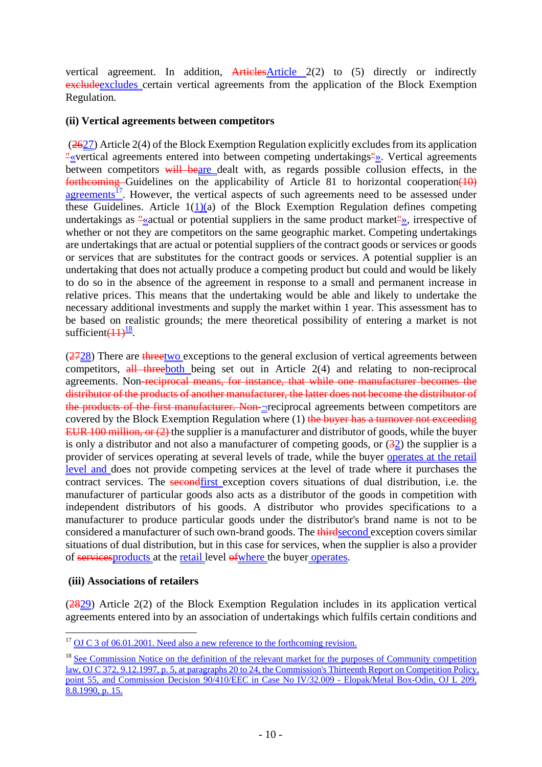vertical agreement. In addition,  $\overline{ArticlesArticle}$  2(2) to (5) directly or indirectly excludeexcludes certain vertical agreements from the application of the Block Exemption Regulation.

#### **(ii) Vertical agreements between competitors**

 $(2627)$  Article 2(4) of the Block Exemption Regulation explicitly excludes from its application " wertical agreements entered into between competing undertakings" ». Vertical agreements between competitors will beare dealt with, as regards possible collusion effects, in the forthcoming Guidelines on the applicability of Article 81 to horizontal cooperation( $\overline{10}$ )  $\alpha$  agreements<sup>17</sup>. However, the vertical aspects of such agreements need to be assessed under these Guidelines. Article  $1(1)(a)$  of the Block Exemption Regulation defines competing undertakings as  $\frac{\pi}{2}$  actual or potential suppliers in the same product market  $\frac{\pi}{2}$ , irrespective of whether or not they are competitors on the same geographic market. Competing undertakings are undertakings that are actual or potential suppliers of the contract goods or services or goods or services that are substitutes for the contract goods or services. A potential supplier is an undertaking that does not actually produce a competing product but could and would be likely to do so in the absence of the agreement in response to a small and permanent increase in relative prices. This means that the undertaking would be able and likely to undertake the necessary additional investments and supply the market within 1 year. This assessment has to be based on realistic grounds; the mere theoretical possibility of entering a market is not sufficient $\left(11\right)^{18}$ .

 $(2728)$  There are threetwo exceptions to the general exclusion of vertical agreements between competitors,  $all$  threeboth being set out in Article 2(4) and relating to non-reciprocal agreements. Non-reciprocal means, for instance, that while one manufacturer becomes the distributor of the products of another manufacturer, the latter does not become the distributor of the products of the first manufacturer. Non- $\lnot$ reciprocal agreements between competitors are covered by the Block Exemption Regulation where  $(1)$  the buyer has a turnover not exceeding EUR 100 million, or (2) the supplier is a manufacturer and distributor of goods, while the buyer is only a distributor and not also a manufacturer of competing goods, or  $(32)$  the supplier is a provider of services operating at several levels of trade, while the buyer operates at the retail level and does not provide competing services at the level of trade where it purchases the contract services. The secondfirst exception covers situations of dual distribution, i.e. the manufacturer of particular goods also acts as a distributor of the goods in competition with independent distributors of his goods. A distributor who provides specifications to a manufacturer to produce particular goods under the distributor's brand name is not to be considered a manufacturer of such own-brand goods. The thirdsecond exception covers similar situations of dual distribution, but in this case for services, when the supplier is also a provider of servicesproducts at the retail level ofwhere the buyer operates.

## **(iii) Associations of retailers**

(2829) Article 2(2) of the Block Exemption Regulation includes in its application vertical agreements entered into by an association of undertakings which fulfils certain conditions and

 $\overline{a}$ <sup>17</sup> OJ C 3 of 06.01.2001. Need also a new reference to the forthcoming revision.

<sup>&</sup>lt;sup>18</sup> See Commission Notice on the definition of the relevant market for the purposes of Community competition law, OJ C 372, 9.12.1997, p. 5, at paragraphs 20 to 24, the Commission's Thirteenth Report on Competition Policy, point 55, and Commission Decision 90/410/EEC in Case No IV/32.009 - Elopak/Metal Box-Odin, OJ L 209. 8.8.1990, p. 15.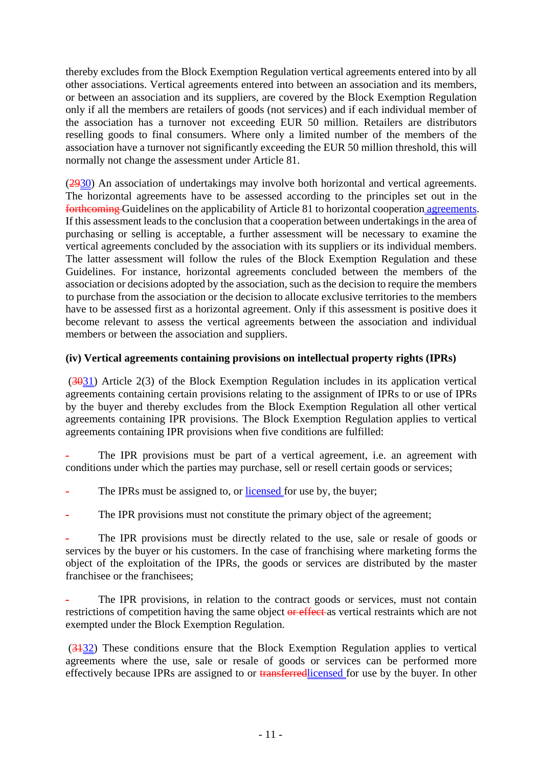thereby excludes from the Block Exemption Regulation vertical agreements entered into by all other associations. Vertical agreements entered into between an association and its members, or between an association and its suppliers, are covered by the Block Exemption Regulation only if all the members are retailers of goods (not services) and if each individual member of the association has a turnover not exceeding EUR 50 million. Retailers are distributors reselling goods to final consumers. Where only a limited number of the members of the association have a turnover not significantly exceeding the EUR 50 million threshold, this will normally not change the assessment under Article 81.

(2930) An association of undertakings may involve both horizontal and vertical agreements. The horizontal agreements have to be assessed according to the principles set out in the forthcoming Guidelines on the applicability of Article 81 to horizontal cooperation agreements. If this assessment leads to the conclusion that a cooperation between undertakings in the area of purchasing or selling is acceptable, a further assessment will be necessary to examine the vertical agreements concluded by the association with its suppliers or its individual members. The latter assessment will follow the rules of the Block Exemption Regulation and these Guidelines. For instance, horizontal agreements concluded between the members of the association or decisions adopted by the association, such as the decision to require the members to purchase from the association or the decision to allocate exclusive territories to the members have to be assessed first as a horizontal agreement. Only if this assessment is positive does it become relevant to assess the vertical agreements between the association and individual members or between the association and suppliers.

#### **(iv) Vertical agreements containing provisions on intellectual property rights (IPRs)**

 $(3031)$  Article 2(3) of the Block Exemption Regulation includes in its application vertical agreements containing certain provisions relating to the assignment of IPRs to or use of IPRs by the buyer and thereby excludes from the Block Exemption Regulation all other vertical agreements containing IPR provisions. The Block Exemption Regulation applies to vertical agreements containing IPR provisions when five conditions are fulfilled:

The IPR provisions must be part of a vertical agreement, i.e. an agreement with conditions under which the parties may purchase, sell or resell certain goods or services;

- The IPRs must be assigned to, or licensed for use by, the buyer;
- The IPR provisions must not constitute the primary object of the agreement;

The IPR provisions must be directly related to the use, sale or resale of goods or services by the buyer or his customers. In the case of franchising where marketing forms the object of the exploitation of the IPRs, the goods or services are distributed by the master franchisee or the franchisees;

The IPR provisions, in relation to the contract goods or services, must not contain restrictions of competition having the same object or effect as vertical restraints which are not exempted under the Block Exemption Regulation.

 (3132) These conditions ensure that the Block Exemption Regulation applies to vertical agreements where the use, sale or resale of goods or services can be performed more effectively because IPRs are assigned to or transferredlicensed for use by the buyer. In other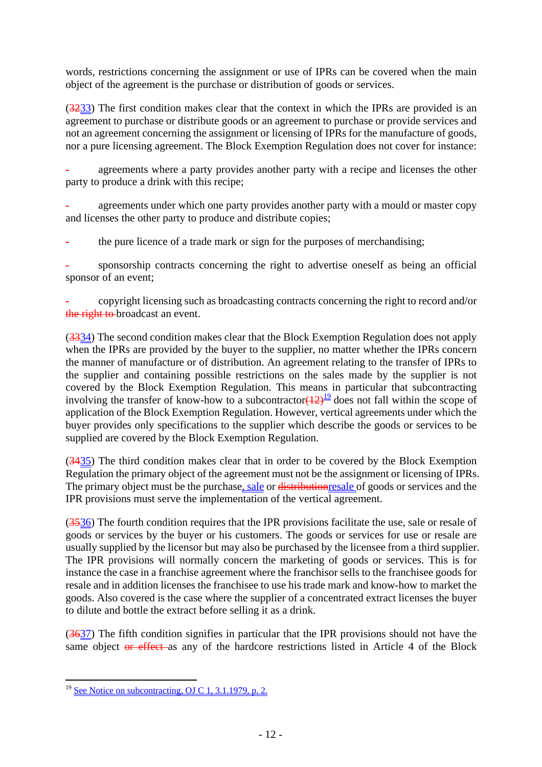words, restrictions concerning the assignment or use of IPRs can be covered when the main object of the agreement is the purchase or distribution of goods or services.

(3233) The first condition makes clear that the context in which the IPRs are provided is an agreement to purchase or distribute goods or an agreement to purchase or provide services and not an agreement concerning the assignment or licensing of IPRs for the manufacture of goods, nor a pure licensing agreement. The Block Exemption Regulation does not cover for instance:

agreements where a party provides another party with a recipe and licenses the other party to produce a drink with this recipe;

agreements under which one party provides another party with a mould or master copy and licenses the other party to produce and distribute copies;

the pure licence of a trade mark or sign for the purposes of merchandising;

sponsorship contracts concerning the right to advertise oneself as being an official sponsor of an event;

- copyright licensing such as broadcasting contracts concerning the right to record and/or the right to-broadcast an event.

(3334) The second condition makes clear that the Block Exemption Regulation does not apply when the IPRs are provided by the buyer to the supplier, no matter whether the IPRs concern the manner of manufacture or of distribution. An agreement relating to the transfer of IPRs to the supplier and containing possible restrictions on the sales made by the supplier is not covered by the Block Exemption Regulation. This means in particular that subcontracting involving the transfer of know-how to a subcontractor $\frac{12}{2}$  does not fall within the scope of application of the Block Exemption Regulation. However, vertical agreements under which the buyer provides only specifications to the supplier which describe the goods or services to be supplied are covered by the Block Exemption Regulation.

(3435) The third condition makes clear that in order to be covered by the Block Exemption Regulation the primary object of the agreement must not be the assignment or licensing of IPRs. The primary object must be the purchase, sale or distribution resale of goods or services and the IPR provisions must serve the implementation of the vertical agreement.

(3536) The fourth condition requires that the IPR provisions facilitate the use, sale or resale of goods or services by the buyer or his customers. The goods or services for use or resale are usually supplied by the licensor but may also be purchased by the licensee from a third supplier. The IPR provisions will normally concern the marketing of goods or services. This is for instance the case in a franchise agreement where the franchisor sells to the franchisee goods for resale and in addition licenses the franchisee to use his trade mark and know-how to market the goods. Also covered is the case where the supplier of a concentrated extract licenses the buyer to dilute and bottle the extract before selling it as a drink.

(3637) The fifth condition signifies in particular that the IPR provisions should not have the same object or effect as any of the hardcore restrictions listed in Article 4 of the Block

 $\overline{a}$ <sup>19</sup> See Notice on subcontracting, OJ C 1, 3.1.1979, p. 2.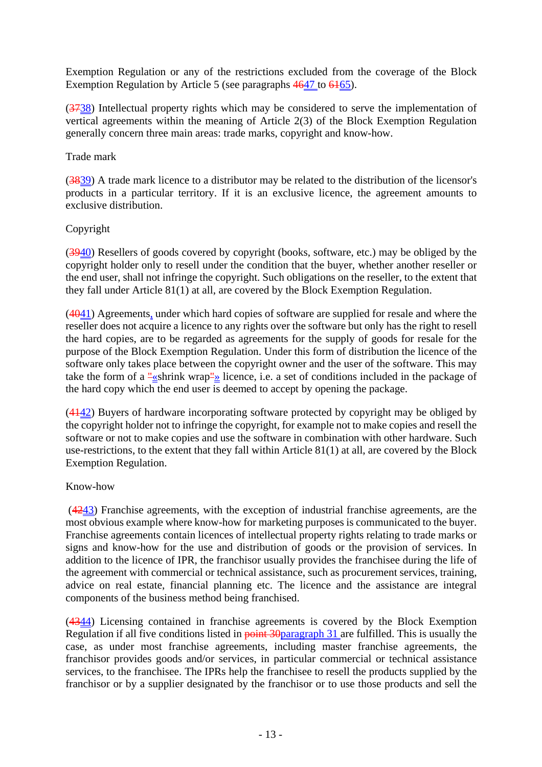Exemption Regulation or any of the restrictions excluded from the coverage of the Block Exemption Regulation by Article 5 (see paragraphs  $4647$  to  $6165$ ).

(3738) Intellectual property rights which may be considered to serve the implementation of vertical agreements within the meaning of Article 2(3) of the Block Exemption Regulation generally concern three main areas: trade marks, copyright and know-how.

#### Trade mark

(3839) A trade mark licence to a distributor may be related to the distribution of the licensor's products in a particular territory. If it is an exclusive licence, the agreement amounts to exclusive distribution.

## Copyright

 $(3940)$  Resellers of goods covered by copyright (books, software, etc.) may be obliged by the copyright holder only to resell under the condition that the buyer, whether another reseller or the end user, shall not infringe the copyright. Such obligations on the reseller, to the extent that they fall under Article 81(1) at all, are covered by the Block Exemption Regulation.

(4041) Agreements, under which hard copies of software are supplied for resale and where the reseller does not acquire a licence to any rights over the software but only has the right to resell the hard copies, are to be regarded as agreements for the supply of goods for resale for the purpose of the Block Exemption Regulation. Under this form of distribution the licence of the software only takes place between the copyright owner and the user of the software. This may take the form of a "«shrink wrap"» licence, i.e. a set of conditions included in the package of the hard copy which the end user is deemed to accept by opening the package.

(4142) Buyers of hardware incorporating software protected by copyright may be obliged by the copyright holder not to infringe the copyright, for example not to make copies and resell the software or not to make copies and use the software in combination with other hardware. Such use-restrictions, to the extent that they fall within Article 81(1) at all, are covered by the Block Exemption Regulation.

#### Know-how

 (4243) Franchise agreements, with the exception of industrial franchise agreements, are the most obvious example where know-how for marketing purposes is communicated to the buyer. Franchise agreements contain licences of intellectual property rights relating to trade marks or signs and know-how for the use and distribution of goods or the provision of services. In addition to the licence of IPR, the franchisor usually provides the franchisee during the life of the agreement with commercial or technical assistance, such as procurement services, training, advice on real estate, financial planning etc. The licence and the assistance are integral components of the business method being franchised.

(4344) Licensing contained in franchise agreements is covered by the Block Exemption Regulation if all five conditions listed in point 30 paragraph 31 are fulfilled. This is usually the case, as under most franchise agreements, including master franchise agreements, the franchisor provides goods and/or services, in particular commercial or technical assistance services, to the franchisee. The IPRs help the franchisee to resell the products supplied by the franchisor or by a supplier designated by the franchisor or to use those products and sell the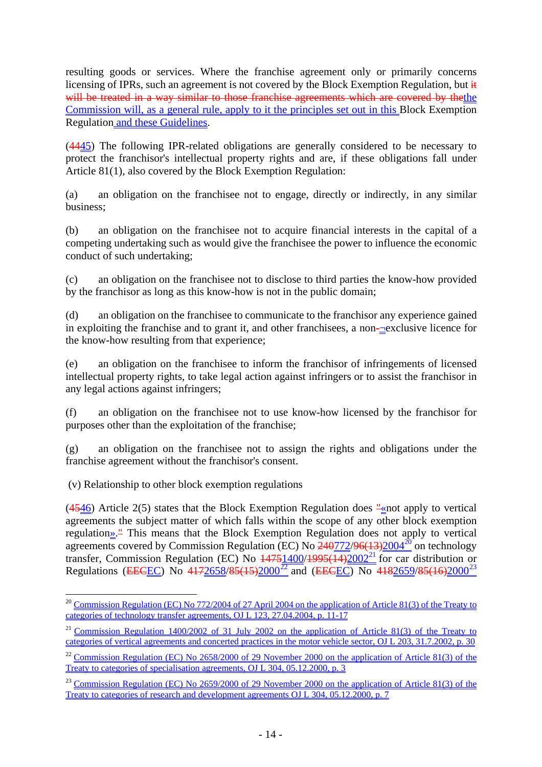resulting goods or services. Where the franchise agreement only or primarily concerns licensing of IPRs, such an agreement is not covered by the Block Exemption Regulation, but  $\frac{1}{x}$ will be treated in a way similar to those franchise agreements which are covered by thethe Commission will, as a general rule, apply to it the principles set out in this Block Exemption Regulation and these Guidelines.

(4445) The following IPR-related obligations are generally considered to be necessary to protect the franchisor's intellectual property rights and are, if these obligations fall under Article 81(1), also covered by the Block Exemption Regulation:

(a) an obligation on the franchisee not to engage, directly or indirectly, in any similar business;

(b) an obligation on the franchisee not to acquire financial interests in the capital of a competing undertaking such as would give the franchisee the power to influence the economic conduct of such undertaking;

(c) an obligation on the franchisee not to disclose to third parties the know-how provided by the franchisor as long as this know-how is not in the public domain;

(d) an obligation on the franchisee to communicate to the franchisor any experience gained in exploiting the franchise and to grant it, and other franchisees, a non--exclusive licence for the know-how resulting from that experience;

(e) an obligation on the franchisee to inform the franchisor of infringements of licensed intellectual property rights, to take legal action against infringers or to assist the franchisor in any legal actions against infringers;

(f) an obligation on the franchisee not to use know-how licensed by the franchisor for purposes other than the exploitation of the franchise;

(g) an obligation on the franchisee not to assign the rights and obligations under the franchise agreement without the franchisor's consent.

(v) Relationship to other block exemption regulations

 $\overline{a}$ 

 $(4546)$  Article 2(5) states that the Block Exemption Regulation does  $\frac{\pi}{4}$  and apply to vertical agreements the subject matter of which falls within the scope of any other block exemption regulation»." This means that the Block Exemption Regulation does not apply to vertical agreements covered by Commission Regulation (EC) No  $240772/96(13)2004^{20}$  on technology transfer, Commission Regulation (EC) No  $\frac{14751400}{1995}\left(\frac{14}{2002^{21}}\right)$  for car distribution or Regulations (EECEC) No  $4172658/85(15)2000^{22}$  and (EECEC) No  $4182659/85(16)2000^{23}$ 

<sup>&</sup>lt;sup>20</sup> Commission Regulation (EC) No 772/2004 of 27 April 2004 on the application of Article 81(3) of the Treaty to categories of technology transfer agreements, OJ L 123, 27.04.2004, p. 11-17

<sup>&</sup>lt;sup>21</sup> Commission Regulation 1400/2002 of 31 July 2002 on the application of Article 81(3) of the Treaty to categories of vertical agreements and concerted practices in the motor vehicle sector, OJ L 203, 31.7.2002, p. 30

<sup>&</sup>lt;sup>22</sup> Commission Regulation (EC) No 2658/2000 of 29 November 2000 on the application of Article 81(3) of the Treaty to categories of specialisation agreements, OJ L 304, 05.12.2000, p. 3

<sup>&</sup>lt;sup>23</sup> Commission Regulation (EC) No 2659/2000 of 29 November 2000 on the application of Article 81(3) of the Treaty to categories of research and development agreements OJ L 304, 05.12.2000, p. 7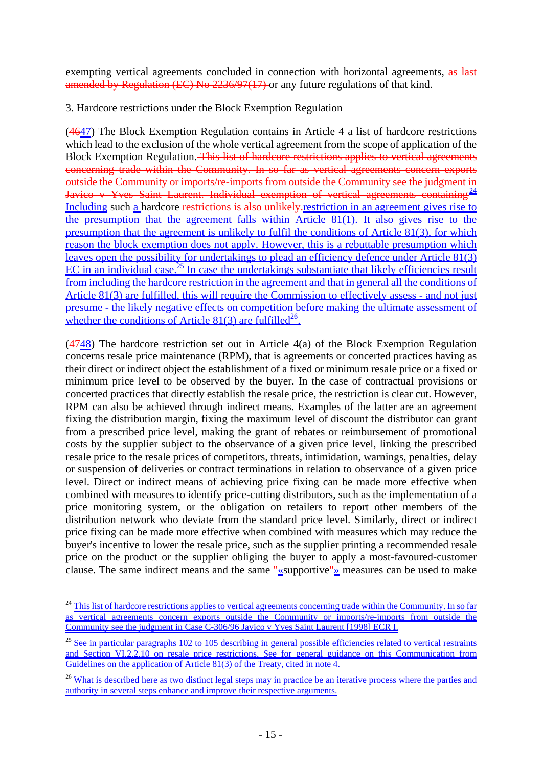exempting vertical agreements concluded in connection with horizontal agreements, as last amended by Regulation (EC) No 2236/97(17) or any future regulations of that kind.

## 3. Hardcore restrictions under the Block Exemption Regulation

(4647) The Block Exemption Regulation contains in Article 4 a list of hardcore restrictions which lead to the exclusion of the whole vertical agreement from the scope of application of the Block Exemption Regulation. This list of hardcore restrictions applies to vertical agreements concerning trade within the Community. In so far as vertical agreements concern exports outside the Community or imports/re-imports from outside the Community see the judgment in Javico v Yves Saint Laurent. Individual exemption of vertical agreements containing  $\frac{24}{3}$ Including such a hardcore restrictions is also unlikely.restriction in an agreement gives rise to the presumption that the agreement falls within Article 81(1). It also gives rise to the presumption that the agreement is unlikely to fulfil the conditions of Article 81(3), for which reason the block exemption does not apply. However, this is a rebuttable presumption which leaves open the possibility for undertakings to plead an efficiency defence under Article 81(3)  $\overline{EC}$  in an individual case.<sup>25</sup> In case the undertakings substantiate that likely efficiencies result from including the hardcore restriction in the agreement and that in general all the conditions of Article 81(3) are fulfilled, this will require the Commission to effectively assess - and not just presume - the likely negative effects on competition before making the ultimate assessment of whether the conditions of Article 81(3) are fulfilled<sup>26</sup>.

(4748) The hardcore restriction set out in Article 4(a) of the Block Exemption Regulation concerns resale price maintenance (RPM), that is agreements or concerted practices having as their direct or indirect object the establishment of a fixed or minimum resale price or a fixed or minimum price level to be observed by the buyer. In the case of contractual provisions or concerted practices that directly establish the resale price, the restriction is clear cut. However, RPM can also be achieved through indirect means. Examples of the latter are an agreement fixing the distribution margin, fixing the maximum level of discount the distributor can grant from a prescribed price level, making the grant of rebates or reimbursement of promotional costs by the supplier subject to the observance of a given price level, linking the prescribed resale price to the resale prices of competitors, threats, intimidation, warnings, penalties, delay or suspension of deliveries or contract terminations in relation to observance of a given price level. Direct or indirect means of achieving price fixing can be made more effective when combined with measures to identify price-cutting distributors, such as the implementation of a price monitoring system, or the obligation on retailers to report other members of the distribution network who deviate from the standard price level. Similarly, direct or indirect price fixing can be made more effective when combined with measures which may reduce the buyer's incentive to lower the resale price, such as the supplier printing a recommended resale price on the product or the supplier obliging the buyer to apply a most-favoured-customer clause. The same indirect means and the same "«supportive"» measures can be used to make

 $\overline{a}$ <sup>24</sup> This list of hardcore restrictions applies to vertical agreements concerning trade within the Community. In so far as vertical agreements concern exports outside the Community or imports/re-imports from outside the Community see the judgment in Case C-306/96 Javico v Yves Saint Laurent [1998] ECR I.

 $^{25}$  See in particular paragraphs 102 to 105 describing in general possible efficiencies related to vertical restraints and Section VI.2.2.10 on resale price restrictions. See for general guidance on this Communication from Guidelines on the application of Article  $81(3)$  of the Treaty, cited in note 4.

<sup>&</sup>lt;sup>26</sup> What is described here as two distinct legal steps may in practice be an iterative process where the parties and authority in several steps enhance and improve their respective arguments.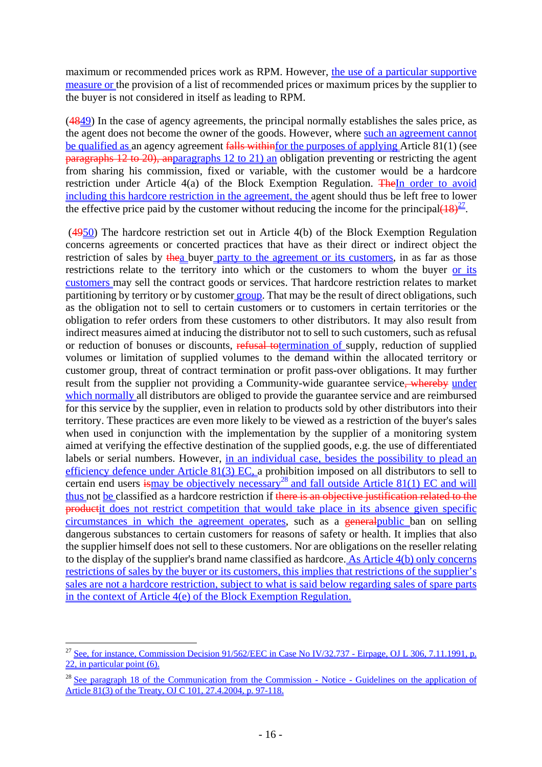maximum or recommended prices work as RPM. However, the use of a particular supportive measure or the provision of a list of recommended prices or maximum prices by the supplier to the buyer is not considered in itself as leading to RPM.

(4849) In the case of agency agreements, the principal normally establishes the sales price, as the agent does not become the owner of the goods. However, where such an agreement cannot be qualified as an agency agreement falls withinfor the purposes of applying Article 81(1) (see paragraphs 12 to 20), anparagraphs 12 to 21) an obligation preventing or restricting the agent from sharing his commission, fixed or variable, with the customer would be a hardcore restriction under Article 4(a) of the Block Exemption Regulation. The In order to avoid including this hardcore restriction in the agreement, the agent should thus be left free to lower the effective price paid by the customer without reducing the income for the principal( $\frac{18}{27}$ .

 (4950) The hardcore restriction set out in Article 4(b) of the Block Exemption Regulation concerns agreements or concerted practices that have as their direct or indirect object the restriction of sales by the a buyer party to the agreement or its customers, in as far as those restrictions relate to the territory into which or the customers to whom the buyer or its customers may sell the contract goods or services. That hardcore restriction relates to market partitioning by territory or by customer group. That may be the result of direct obligations, such as the obligation not to sell to certain customers or to customers in certain territories or the obligation to refer orders from these customers to other distributors. It may also result from indirect measures aimed at inducing the distributor not to sell to such customers, such as refusal or reduction of bonuses or discounts, refusal totermination of supply, reduction of supplied volumes or limitation of supplied volumes to the demand within the allocated territory or customer group, threat of contract termination or profit pass-over obligations. It may further result from the supplier not providing a Community-wide guarantee service, whereby under which normally all distributors are obliged to provide the guarantee service and are reimbursed for this service by the supplier, even in relation to products sold by other distributors into their territory. These practices are even more likely to be viewed as a restriction of the buyer's sales when used in conjunction with the implementation by the supplier of a monitoring system aimed at verifying the effective destination of the supplied goods, e.g. the use of differentiated labels or serial numbers. However, in an individual case, besides the possibility to plead an efficiency defence under Article 81(3) EC, a prohibition imposed on all distributors to sell to certain end users ismay be objectively necessary<sup>28</sup> and fall outside Article 81(1) EC and will thus not be classified as a hardcore restriction if there is an objective justification related to the productit does not restrict competition that would take place in its absence given specific circumstances in which the agreement operates, such as a generalpublic ban on selling dangerous substances to certain customers for reasons of safety or health. It implies that also the supplier himself does not sell to these customers. Nor are obligations on the reseller relating to the display of the supplier's brand name classified as hardcore. As Article 4(b) only concerns restrictions of sales by the buyer or its customers, this implies that restrictions of the supplier's sales are not a hardcore restriction, subject to what is said below regarding sales of spare parts in the context of Article 4(e) of the Block Exemption Regulation.

 $\overline{a}$ <sup>27</sup> See, for instance, Commission Decision 91/562/EEC in Case No IV/32.737 - Eirpage, OJ L 306, 7.11.1991, p.  $22$ , in particular point  $(6)$ .

<sup>&</sup>lt;sup>28</sup> See paragraph 18 of the Communication from the Commission - Notice - Guidelines on the application of Article 81(3) of the Treaty, OJ C 101, 27,4, 2004, p. 97-118.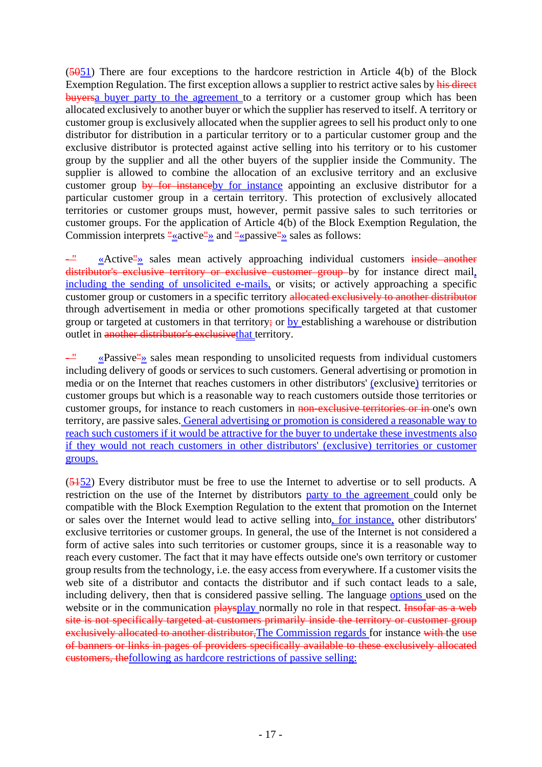$(5051)$  There are four exceptions to the hardcore restriction in Article 4(b) of the Block Exemption Regulation. The first exception allows a supplier to restrict active sales by his direct buyersa buyer party to the agreement to a territory or a customer group which has been allocated exclusively to another buyer or which the supplier has reserved to itself. A territory or customer group is exclusively allocated when the supplier agrees to sell his product only to one distributor for distribution in a particular territory or to a particular customer group and the exclusive distributor is protected against active selling into his territory or to his customer group by the supplier and all the other buyers of the supplier inside the Community. The supplier is allowed to combine the allocation of an exclusive territory and an exclusive customer group by for instance by for instance appointing an exclusive distributor for a particular customer group in a certain territory. This protection of exclusively allocated territories or customer groups must, however, permit passive sales to such territories or customer groups. For the application of Article 4(b) of the Block Exemption Regulation, the Commission interprets  $\frac{\pi}{2}$  active  $\frac{\pi}{2}$  and  $\frac{\pi}{2}$  assive  $\frac{\pi}{2}$  sales as follows:

 $\frac{1}{2}$  «Active<sup>"</sup>» sales mean actively approaching individual customers inside another distributor's exclusive territory or exclusive customer group by for instance direct mail, including the sending of unsolicited e-mails, or visits; or actively approaching a specific customer group or customers in a specific territory allocated exclusively to another distributor through advertisement in media or other promotions specifically targeted at that customer group or targeted at customers in that territory; or by establishing a warehouse or distribution outlet in another distributor's exclusivethat territory.

 $\frac{\cdot \cdot \cdot}{\cdot \cdot \cdot}$  «Passive  $\frac{\cdot \cdot}{\cdot}$  sales mean responding to unsolicited requests from individual customers including delivery of goods or services to such customers. General advertising or promotion in media or on the Internet that reaches customers in other distributors' (exclusive) territories or customer groups but which is a reasonable way to reach customers outside those territories or customer groups, for instance to reach customers in non-exclusive territories or in one's own territory, are passive sales. General advertising or promotion is considered a reasonable way to reach such customers if it would be attractive for the buyer to undertake these investments also if they would not reach customers in other distributors' (exclusive) territories or customer groups.

(5152) Every distributor must be free to use the Internet to advertise or to sell products. A restriction on the use of the Internet by distributors party to the agreement could only be compatible with the Block Exemption Regulation to the extent that promotion on the Internet or sales over the Internet would lead to active selling into, for instance, other distributors' exclusive territories or customer groups. In general, the use of the Internet is not considered a form of active sales into such territories or customer groups, since it is a reasonable way to reach every customer. The fact that it may have effects outside one's own territory or customer group results from the technology, i.e. the easy access from everywhere. If a customer visits the web site of a distributor and contacts the distributor and if such contact leads to a sale, including delivery, then that is considered passive selling. The language options used on the website or in the communication playsplay normally no role in that respect. Insofar as a web site is not specifically targeted at customers primarily inside the territory or customer group exclusively allocated to another distributor, The Commission regards for instance with the use of banners or links in pages of providers specifically available to these exclusively allocated customers, thefollowing as hardcore restrictions of passive selling: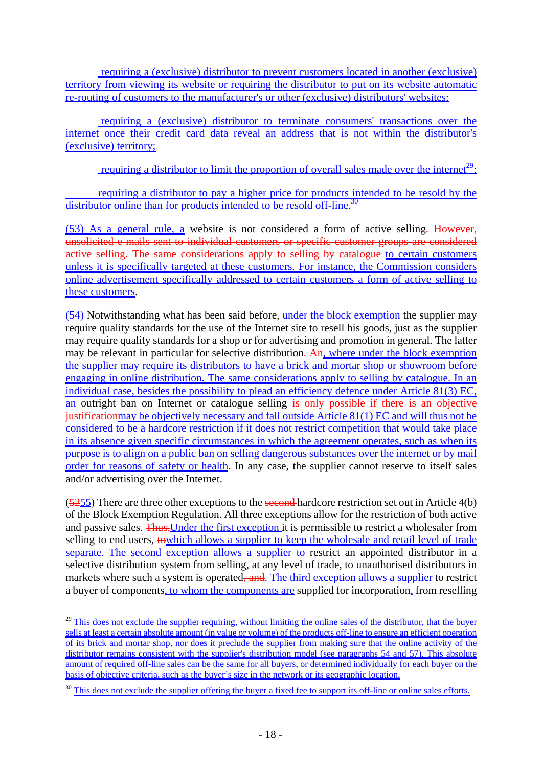requiring a (exclusive) distributor to prevent customers located in another (exclusive) territory from viewing its website or requiring the distributor to put on its website automatic re-routing of customers to the manufacturer's or other (exclusive) distributors' websites;

 requiring a (exclusive) distributor to terminate consumers' transactions over the internet once their credit card data reveal an address that is not within the distributor's (exclusive) territory;

requiring a distributor to limit the proportion of overall sales made over the internet<sup>29</sup>;

 requiring a distributor to pay a higher price for products intended to be resold by the distributor online than for products intended to be resold off-line.<sup>30</sup>

(53) As a general rule, a website is not considered a form of active selling. However, unsolicited e-mails sent to individual customers or specific customer groups are considered active selling. The same considerations apply to selling by catalogue to certain customers unless it is specifically targeted at these customers. For instance, the Commission considers online advertisement specifically addressed to certain customers a form of active selling to these customers.

(54) Notwithstanding what has been said before, under the block exemption the supplier may require quality standards for the use of the Internet site to resell his goods, just as the supplier may require quality standards for a shop or for advertising and promotion in general. The latter may be relevant in particular for selective distribution. An, where under the block exemption the supplier may require its distributors to have a brick and mortar shop or showroom before engaging in online distribution. The same considerations apply to selling by catalogue. In an individual case, besides the possibility to plead an efficiency defence under Article 81(3) EC, an outright ban on Internet or catalogue selling is only possible if there is an objective justificationmay be objectively necessary and fall outside Article 81(1) EC and will thus not be considered to be a hardcore restriction if it does not restrict competition that would take place in its absence given specific circumstances in which the agreement operates, such as when its purpose is to align on a public ban on selling dangerous substances over the internet or by mail order for reasons of safety or health. In any case, the supplier cannot reserve to itself sales and/or advertising over the Internet.

 $(5255)$  There are three other exceptions to the second-hardcore restriction set out in Article 4(b) of the Block Exemption Regulation. All three exceptions allow for the restriction of both active and passive sales. Thus, Under the first exception it is permissible to restrict a wholesaler from selling to end users, towhich allows a supplier to keep the wholesale and retail level of trade separate. The second exception allows a supplier to restrict an appointed distributor in a selective distribution system from selling, at any level of trade, to unauthorised distributors in markets where such a system is operated, and. The third exception allows a supplier to restrict a buyer of components, to whom the components are supplied for incorporation, from reselling

 $\overline{a}$ 

 $29$  This does not exclude the supplier requiring, without limiting the online sales of the distributor, that the buyer sells at least a certain absolute amount (in value or volume) of the products off-line to ensure an efficient operation of its brick and mortar shop, nor does it preclude the supplier from making sure that the online activity of the distributor remains consistent with the supplier's distribution model (see paragraphs 54 and 57). This absolute amount of required off-line sales can be the same for all buyers, or determined individually for each buyer on the basis of objective criteria, such as the buyer's size in the network or its geographic location.

<sup>&</sup>lt;sup>30</sup> This does not exclude the supplier offering the buyer a fixed fee to support its off-line or online sales efforts.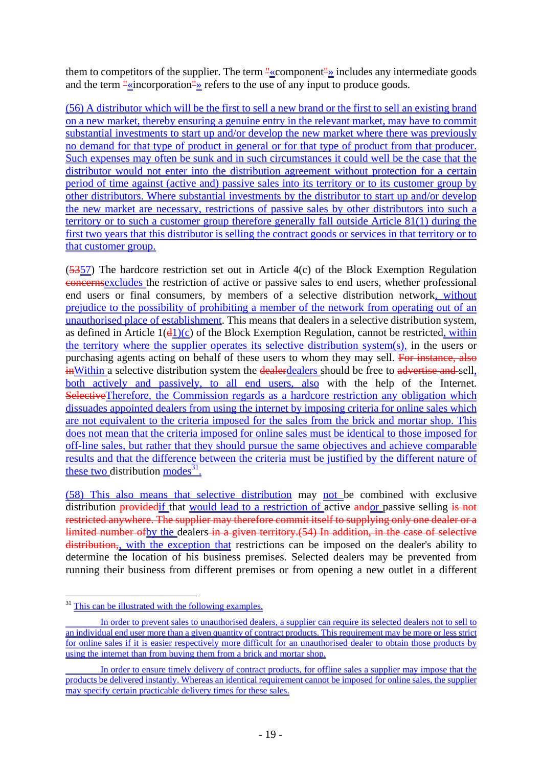them to competitors of the supplier. The term  $\frac{1}{2}$  component  $\frac{1}{2}$  includes any intermediate goods and the term  $\frac{n}{\infty}$ incorporation  $\frac{n}{\infty}$  refers to the use of any input to produce goods.

(56) A distributor which will be the first to sell a new brand or the first to sell an existing brand on a new market, thereby ensuring a genuine entry in the relevant market, may have to commit substantial investments to start up and/or develop the new market where there was previously no demand for that type of product in general or for that type of product from that producer. Such expenses may often be sunk and in such circumstances it could well be the case that the distributor would not enter into the distribution agreement without protection for a certain period of time against (active and) passive sales into its territory or to its customer group by other distributors. Where substantial investments by the distributor to start up and/or develop the new market are necessary, restrictions of passive sales by other distributors into such a territory or to such a customer group therefore generally fall outside Article 81(1) during the first two years that this distributor is selling the contract goods or services in that territory or to that customer group.

(5357) The hardcore restriction set out in Article 4(c) of the Block Exemption Regulation concernsexcludes the restriction of active or passive sales to end users, whether professional end users or final consumers, by members of a selective distribution network, without prejudice to the possibility of prohibiting a member of the network from operating out of an unauthorised place of establishment. This means that dealers in a selective distribution system, as defined in Article  $1(d_1)(c)$  of the Block Exemption Regulation, cannot be restricted, within the territory where the supplier operates its selective distribution system(s), in the users or purchasing agents acting on behalf of these users to whom they may sell. For instance, also in Within a selective distribution system the dealerdealers should be free to advertise and sell, both actively and passively, to all end users, also with the help of the Internet. SelectiveTherefore, the Commission regards as a hardcore restriction any obligation which dissuades appointed dealers from using the internet by imposing criteria for online sales which are not equivalent to the criteria imposed for the sales from the brick and mortar shop. This does not mean that the criteria imposed for online sales must be identical to those imposed for off-line sales, but rather that they should pursue the same objectives and achieve comparable results and that the difference between the criteria must be justified by the different nature of these two distribution  $\overline{modes}^{31}$ .

(58) This also means that selective distribution may not be combined with exclusive distribution **provided**if that would lead to a restriction of active andor passive selling is not restricted anywhere. The supplier may therefore commit itself to supplying only one dealer or a limited number of by the dealers in a given territory.(54) In addition, in the case of selective distribution,, with the exception that restrictions can be imposed on the dealer's ability to determine the location of his business premises. Selected dealers may be prevented from running their business from different premises or from opening a new outlet in a different

 $\overline{a}$ <sup>31</sup> This can be illustrated with the following examples.

In order to prevent sales to unauthorised dealers, a supplier can require its selected dealers not to sell to an individual end user more than a given quantity of contract products. This requirement may be more or less strict for online sales if it is easier respectively more difficult for an unauthorised dealer to obtain those products by using the internet than from buying them from a brick and mortar shop.

In order to ensure timely delivery of contract products, for offline sales a supplier may impose that the products be delivered instantly. Whereas an identical requirement cannot be imposed for online sales, the supplier may specify certain practicable delivery times for these sales.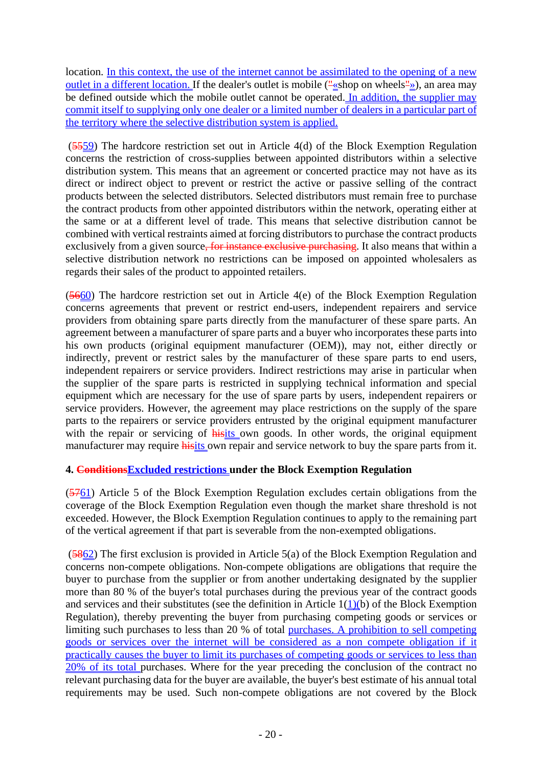location. In this context, the use of the internet cannot be assimilated to the opening of a new outlet in a different location. If the dealer's outlet is mobile  $(\frac{\pi}{6} \times \pi)$  on wheels  $\frac{\pi}{2}$ ), an area may be defined outside which the mobile outlet cannot be operated. In addition, the supplier may commit itself to supplying only one dealer or a limited number of dealers in a particular part of the territory where the selective distribution system is applied.

 (5559) The hardcore restriction set out in Article 4(d) of the Block Exemption Regulation concerns the restriction of cross-supplies between appointed distributors within a selective distribution system. This means that an agreement or concerted practice may not have as its direct or indirect object to prevent or restrict the active or passive selling of the contract products between the selected distributors. Selected distributors must remain free to purchase the contract products from other appointed distributors within the network, operating either at the same or at a different level of trade. This means that selective distribution cannot be combined with vertical restraints aimed at forcing distributors to purchase the contract products exclusively from a given source, for instance exclusive purchasing. It also means that within a selective distribution network no restrictions can be imposed on appointed wholesalers as regards their sales of the product to appointed retailers.

(5660) The hardcore restriction set out in Article 4(e) of the Block Exemption Regulation concerns agreements that prevent or restrict end-users, independent repairers and service providers from obtaining spare parts directly from the manufacturer of these spare parts. An agreement between a manufacturer of spare parts and a buyer who incorporates these parts into his own products (original equipment manufacturer (OEM)), may not, either directly or indirectly, prevent or restrict sales by the manufacturer of these spare parts to end users, independent repairers or service providers. Indirect restrictions may arise in particular when the supplier of the spare parts is restricted in supplying technical information and special equipment which are necessary for the use of spare parts by users, independent repairers or service providers. However, the agreement may place restrictions on the supply of the spare parts to the repairers or service providers entrusted by the original equipment manufacturer with the repair or servicing of hisits own goods. In other words, the original equipment manufacturer may require hisits own repair and service network to buy the spare parts from it.

## **4. ConditionsExcluded restrictions under the Block Exemption Regulation**

(5761) Article 5 of the Block Exemption Regulation excludes certain obligations from the coverage of the Block Exemption Regulation even though the market share threshold is not exceeded. However, the Block Exemption Regulation continues to apply to the remaining part of the vertical agreement if that part is severable from the non-exempted obligations.

 $(5862)$  The first exclusion is provided in Article 5(a) of the Block Exemption Regulation and concerns non-compete obligations. Non-compete obligations are obligations that require the buyer to purchase from the supplier or from another undertaking designated by the supplier more than 80 % of the buyer's total purchases during the previous year of the contract goods and services and their substitutes (see the definition in Article  $1(1)(b)$  of the Block Exemption Regulation), thereby preventing the buyer from purchasing competing goods or services or limiting such purchases to less than 20 % of total purchases. A prohibition to sell competing goods or services over the internet will be considered as a non compete obligation if it practically causes the buyer to limit its purchases of competing goods or services to less than 20% of its total purchases. Where for the year preceding the conclusion of the contract no relevant purchasing data for the buyer are available, the buyer's best estimate of his annual total requirements may be used. Such non-compete obligations are not covered by the Block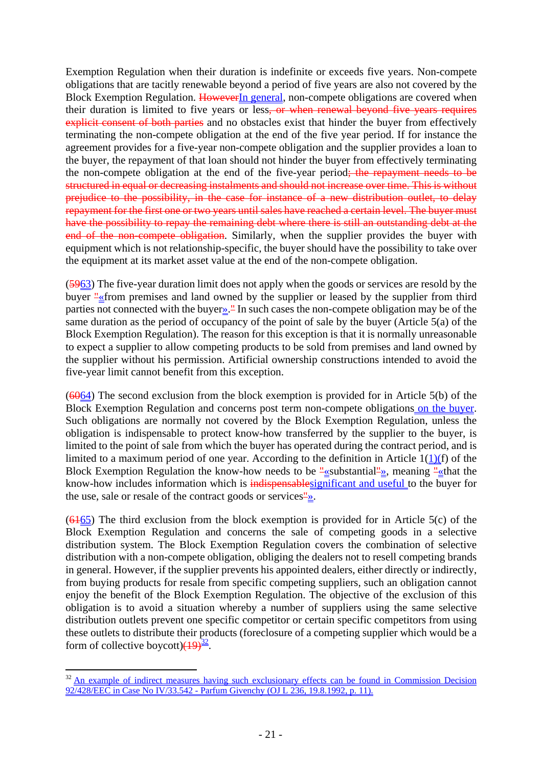Exemption Regulation when their duration is indefinite or exceeds five years. Non-compete obligations that are tacitly renewable beyond a period of five years are also not covered by the Block Exemption Regulation. HoweverIn general, non-compete obligations are covered when their duration is limited to five years or less, or when renewal beyond five years requires explicit consent of both parties and no obstacles exist that hinder the buyer from effectively terminating the non-compete obligation at the end of the five year period. If for instance the agreement provides for a five-year non-compete obligation and the supplier provides a loan to the buyer, the repayment of that loan should not hinder the buyer from effectively terminating the non-compete obligation at the end of the five-year period; the repayment needs to be structured in equal or decreasing instalments and should not increase over time. This is without prejudice to the possibility, in the case for instance of a new distribution outlet, to delay repayment for the first one or two years until sales have reached a certain level. The buyer must have the possibility to repay the remaining debt where there is still an outstanding debt at the end of the non-compete obligation. Similarly, when the supplier provides the buyer with equipment which is not relationship-specific, the buyer should have the possibility to take over the equipment at its market asset value at the end of the non-compete obligation.

(5963) The five-year duration limit does not apply when the goods or services are resold by the buyer "«from premises and land owned by the supplier or leased by the supplier from third parties not connected with the buyer».<sup>"</sup> In such cases the non-compete obligation may be of the same duration as the period of occupancy of the point of sale by the buyer (Article 5(a) of the Block Exemption Regulation). The reason for this exception is that it is normally unreasonable to expect a supplier to allow competing products to be sold from premises and land owned by the supplier without his permission. Artificial ownership constructions intended to avoid the five-year limit cannot benefit from this exception.

 $(6064)$  The second exclusion from the block exemption is provided for in Article 5(b) of the Block Exemption Regulation and concerns post term non-compete obligations on the buyer. Such obligations are normally not covered by the Block Exemption Regulation, unless the obligation is indispensable to protect know-how transferred by the supplier to the buyer, is limited to the point of sale from which the buyer has operated during the contract period, and is limited to a maximum period of one year. According to the definition in Article 1(1)(f) of the Block Exemption Regulation the know-how needs to be  $\frac{\pi}{8}$  substantial  $\frac{\pi}{8}$  meaning  $\frac{\pi}{8}$  that the know-how includes information which is indispensablesignificant and useful to the buyer for the use, sale or resale of the contract goods or services<sup>"</sup>.

 $(6465)$  The third exclusion from the block exemption is provided for in Article 5(c) of the Block Exemption Regulation and concerns the sale of competing goods in a selective distribution system. The Block Exemption Regulation covers the combination of selective distribution with a non-compete obligation, obliging the dealers not to resell competing brands in general. However, if the supplier prevents his appointed dealers, either directly or indirectly, from buying products for resale from specific competing suppliers, such an obligation cannot enjoy the benefit of the Block Exemption Regulation. The objective of the exclusion of this obligation is to avoid a situation whereby a number of suppliers using the same selective distribution outlets prevent one specific competitor or certain specific competitors from using these outlets to distribute their products (foreclosure of a competing supplier which would be a form of collective boycott) $\left(\frac{19}{2}\right)^{\frac{32}{2}}$ .

 $\overline{a}$ 

<sup>&</sup>lt;sup>32</sup> An example of indirect measures having such exclusionary effects can be found in Commission Decision 92/428/EEC in Case No IV/33.542 - Parfum Givenchy (OJ L 236, 19.8.1992, p. 11).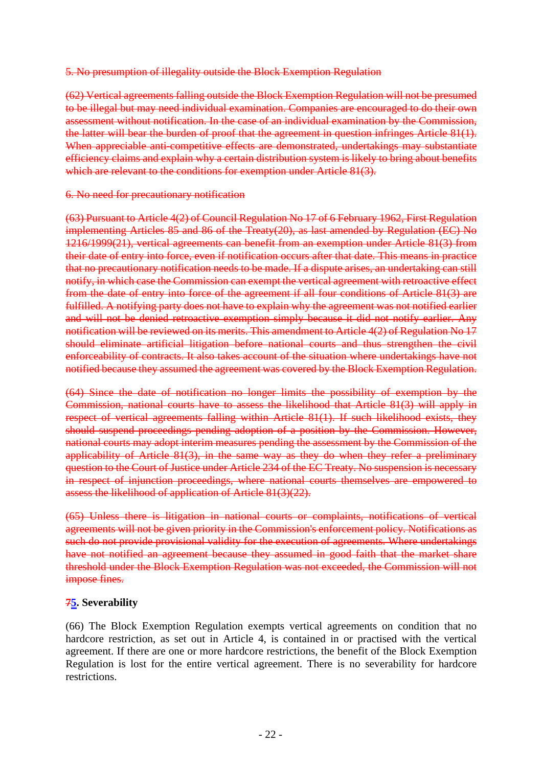#### 5. No presumption of illegality outside the Block Exemption Regulation

(62) Vertical agreements falling outside the Block Exemption Regulation will not be presumed to be illegal but may need individual examination. Companies are encouraged to do their own assessment without notification. In the case of an individual examination by the Commission, the latter will bear the burden of proof that the agreement in question infringes Article 81(1). When appreciable anti-competitive effects are demonstrated, undertakings may substantiate efficiency claims and explain why a certain distribution system is likely to bring about benefits which are relevant to the conditions for exemption under Article 81(3).

#### 6. No need for precautionary notification

(63) Pursuant to Article 4(2) of Council Regulation No 17 of 6 February 1962, First Regulation implementing Articles 85 and 86 of the Treaty(20), as last amended by Regulation (EC) No 1216/1999(21), vertical agreements can benefit from an exemption under Article 81(3) from their date of entry into force, even if notification occurs after that date. This means in practice that no precautionary notification needs to be made. If a dispute arises, an undertaking can still notify, in which case the Commission can exempt the vertical agreement with retroactive effect from the date of entry into force of the agreement if all four conditions of Article 81(3) are fulfilled. A notifying party does not have to explain why the agreement was not notified earlier and will not be denied retroactive exemption simply because it did not notify earlier. Any notification will be reviewed on its merits. This amendment to Article 4(2) of Regulation No 17 should eliminate artificial litigation before national courts and thus strengthen the civil enforceability of contracts. It also takes account of the situation where undertakings have not notified because they assumed the agreement was covered by the Block Exemption Regulation.

(64) Since the date of notification no longer limits the possibility of exemption by the Commission, national courts have to assess the likelihood that Article 81(3) will apply in respect of vertical agreements falling within Article 81(1). If such likelihood exists, they should suspend proceedings pending adoption of a position by the Commission. However, national courts may adopt interim measures pending the assessment by the Commission of the applicability of Article  $81(3)$ , in the same way as they do when they refer a preliminary question to the Court of Justice under Article 234 of the EC Treaty. No suspension is necessary in respect of injunction proceedings, where national courts themselves are empowered to assess the likelihood of application of Article 81(3)(22).

(65) Unless there is litigation in national courts or complaints, notifications of vertical agreements will not be given priority in the Commission's enforcement policy. Notifications as such do not provide provisional validity for the execution of agreements. Where undertakings have not notified an agreement because they assumed in good faith that the market share threshold under the Block Exemption Regulation was not exceeded, the Commission will not impose fines.

## **75. Severability**

(66) The Block Exemption Regulation exempts vertical agreements on condition that no hardcore restriction, as set out in Article 4, is contained in or practised with the vertical agreement. If there are one or more hardcore restrictions, the benefit of the Block Exemption Regulation is lost for the entire vertical agreement. There is no severability for hardcore restrictions.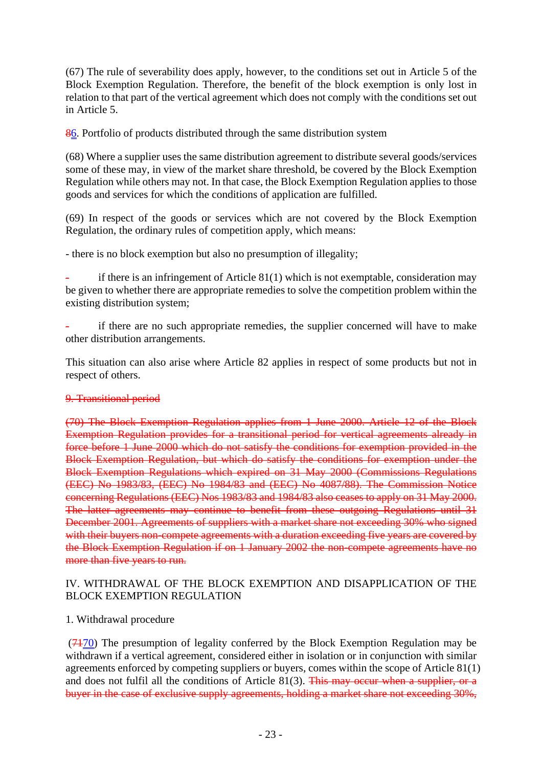(67) The rule of severability does apply, however, to the conditions set out in Article 5 of the Block Exemption Regulation. Therefore, the benefit of the block exemption is only lost in relation to that part of the vertical agreement which does not comply with the conditions set out in Article 5.

86. Portfolio of products distributed through the same distribution system

(68) Where a supplier uses the same distribution agreement to distribute several goods/services some of these may, in view of the market share threshold, be covered by the Block Exemption Regulation while others may not. In that case, the Block Exemption Regulation applies to those goods and services for which the conditions of application are fulfilled.

(69) In respect of the goods or services which are not covered by the Block Exemption Regulation, the ordinary rules of competition apply, which means:

- there is no block exemption but also no presumption of illegality;

if there is an infringement of Article  $81(1)$  which is not exemptable, consideration may be given to whether there are appropriate remedies to solve the competition problem within the existing distribution system;

if there are no such appropriate remedies, the supplier concerned will have to make other distribution arrangements.

This situation can also arise where Article 82 applies in respect of some products but not in respect of others.

#### 9. Transitional period

(70) The Block Exemption Regulation applies from 1 June 2000. Article 12 of the Block Exemption Regulation provides for a transitional period for vertical agreements already in force before 1 June 2000 which do not satisfy the conditions for exemption provided in the Block Exemption Regulation, but which do satisfy the conditions for exemption under the Block Exemption Regulations which expired on 31 May 2000 (Commissions Regulations (EEC) No 1983/83, (EEC) No 1984/83 and (EEC) No 4087/88). The Commission Notice concerning Regulations (EEC) Nos 1983/83 and 1984/83 also ceases to apply on 31 May 2000. The latter agreements may continue to benefit from these outgoing Regulations until 31 December 2001. Agreements of suppliers with a market share not exceeding 30% who signed with their buyers non-compete agreements with a duration exceeding five years are covered by the Block Exemption Regulation if on 1 January 2002 the non-compete agreements have no more than five years to run.

#### IV. WITHDRAWAL OF THE BLOCK EXEMPTION AND DISAPPLICATION OF THE BLOCK EXEMPTION REGULATION

#### 1. Withdrawal procedure

 (7170) The presumption of legality conferred by the Block Exemption Regulation may be withdrawn if a vertical agreement, considered either in isolation or in conjunction with similar agreements enforced by competing suppliers or buyers, comes within the scope of Article 81(1) and does not fulfil all the conditions of Article 81(3). This may occur when a supplier, or a buyer in the case of exclusive supply agreements, holding a market share not exceeding 30%,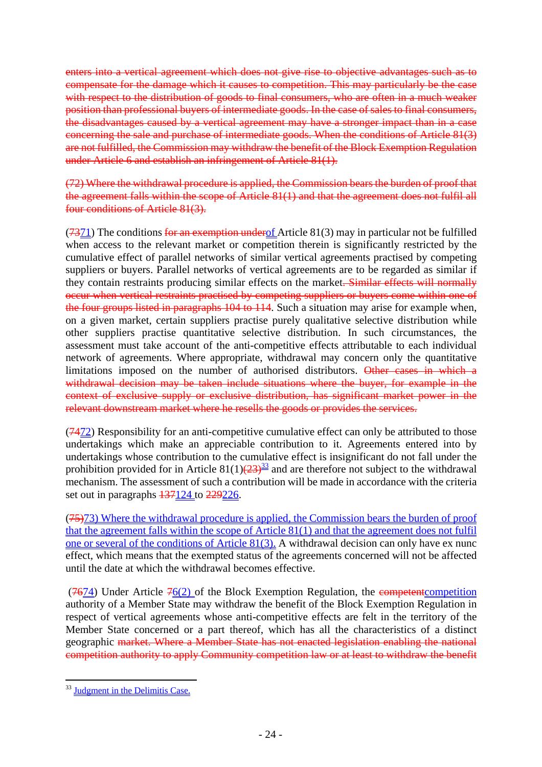enters into a vertical agreement which does not give rise to objective advantages such as to compensate for the damage which it causes to competition. This may particularly be the case with respect to the distribution of goods to final consumers, who are often in a much weaker position than professional buyers of intermediate goods. In the case of sales to final consumers, the disadvantages caused by a vertical agreement may have a stronger impact than in a case concerning the sale and purchase of intermediate goods. When the conditions of Article 81(3) are not fulfilled, the Commission may withdraw the benefit of the Block Exemption Regulation under Article 6 and establish an infringement of Article 81(1).

(72) Where the withdrawal procedure is applied, the Commission bears the burden of proof that the agreement falls within the scope of Article 81(1) and that the agreement does not fulfil all four conditions of Article 81(3).

 $(7371)$  The conditions for an exemption under of Article 81(3) may in particular not be fulfilled when access to the relevant market or competition therein is significantly restricted by the cumulative effect of parallel networks of similar vertical agreements practised by competing suppliers or buyers. Parallel networks of vertical agreements are to be regarded as similar if they contain restraints producing similar effects on the market. Similar effects will normally occur when vertical restraints practised by competing suppliers or buyers come within one of the four groups listed in paragraphs 104 to 114. Such a situation may arise for example when, on a given market, certain suppliers practise purely qualitative selective distribution while other suppliers practise quantitative selective distribution. In such circumstances, the assessment must take account of the anti-competitive effects attributable to each individual network of agreements. Where appropriate, withdrawal may concern only the quantitative limitations imposed on the number of authorised distributors. Other cases in which a withdrawal decision may be taken include situations where the buyer, for example in the context of exclusive supply or exclusive distribution, has significant market power in the relevant downstream market where he resells the goods or provides the services.

 $(7472)$  Responsibility for an anti-competitive cumulative effect can only be attributed to those undertakings which make an appreciable contribution to it. Agreements entered into by undertakings whose contribution to the cumulative effect is insignificant do not fall under the prohibition provided for in Article  $81(1)(23)^{33/2}$  and are therefore not subject to the withdrawal mechanism. The assessment of such a contribution will be made in accordance with the criteria set out in paragraphs  $\frac{137124}{10}$  to  $\frac{229226}{10}$ .

(75)73) Where the withdrawal procedure is applied, the Commission bears the burden of proof that the agreement falls within the scope of Article 81(1) and that the agreement does not fulfil one or several of the conditions of Article 81(3). A withdrawal decision can only have ex nunc effect, which means that the exempted status of the agreements concerned will not be affected until the date at which the withdrawal becomes effective.

 $(7674)$  Under Article  $76(2)$  of the Block Exemption Regulation, the competent competition authority of a Member State may withdraw the benefit of the Block Exemption Regulation in respect of vertical agreements whose anti-competitive effects are felt in the territory of the Member State concerned or a part thereof, which has all the characteristics of a distinct geographic market. Where a Member State has not enacted legislation enabling the national competition authority to apply Community competition law or at least to withdraw the benefit

 $\overline{a}$ <sup>33</sup> Judgment in the Delimitis Case.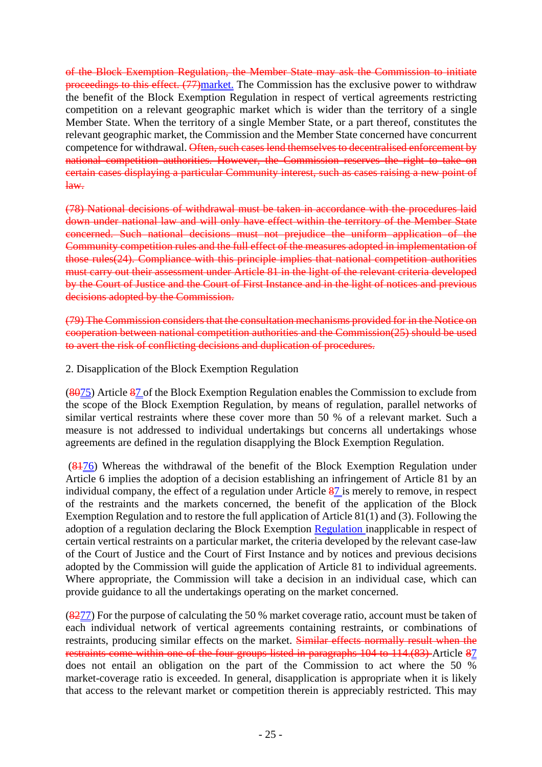of the Block Exemption Regulation, the Member State may ask the Commission to initiate proceedings to this effect. (77)market. The Commission has the exclusive power to withdraw the benefit of the Block Exemption Regulation in respect of vertical agreements restricting competition on a relevant geographic market which is wider than the territory of a single Member State. When the territory of a single Member State, or a part thereof, constitutes the relevant geographic market, the Commission and the Member State concerned have concurrent competence for withdrawal. Often, such cases lend themselves to decentralised enforcement by national competition authorities. However, the Commission reserves the right to take on certain cases displaying a particular Community interest, such as cases raising a new point of law.

(78) National decisions of withdrawal must be taken in accordance with the procedures laid down under national law and will only have effect within the territory of the Member State concerned. Such national decisions must not prejudice the uniform application of the Community competition rules and the full effect of the measures adopted in implementation of those rules(24). Compliance with this principle implies that national competition authorities must carry out their assessment under Article 81 in the light of the relevant criteria developed by the Court of Justice and the Court of First Instance and in the light of notices and previous decisions adopted by the Commission.

(79) The Commission considers that the consultation mechanisms provided for in the Notice on cooperation between national competition authorities and the Commission(25) should be used to avert the risk of conflicting decisions and duplication of procedures.

2. Disapplication of the Block Exemption Regulation

 $(8075)$  Article  $87$  of the Block Exemption Regulation enables the Commission to exclude from the scope of the Block Exemption Regulation, by means of regulation, parallel networks of similar vertical restraints where these cover more than 50 % of a relevant market. Such a measure is not addressed to individual undertakings but concerns all undertakings whose agreements are defined in the regulation disapplying the Block Exemption Regulation.

 (8176) Whereas the withdrawal of the benefit of the Block Exemption Regulation under Article 6 implies the adoption of a decision establishing an infringement of Article 81 by an individual company, the effect of a regulation under Article 87 is merely to remove, in respect of the restraints and the markets concerned, the benefit of the application of the Block Exemption Regulation and to restore the full application of Article  $81(1)$  and (3). Following the adoption of a regulation declaring the Block Exemption Regulation inapplicable in respect of certain vertical restraints on a particular market, the criteria developed by the relevant case-law of the Court of Justice and the Court of First Instance and by notices and previous decisions adopted by the Commission will guide the application of Article 81 to individual agreements. Where appropriate, the Commission will take a decision in an individual case, which can provide guidance to all the undertakings operating on the market concerned.

(8277) For the purpose of calculating the 50 % market coverage ratio, account must be taken of each individual network of vertical agreements containing restraints, or combinations of restraints, producing similar effects on the market. Similar effects normally result when the restraints come within one of the four groups listed in paragraphs 104 to 114.(83) Article 87 does not entail an obligation on the part of the Commission to act where the 50 % market-coverage ratio is exceeded. In general, disapplication is appropriate when it is likely that access to the relevant market or competition therein is appreciably restricted. This may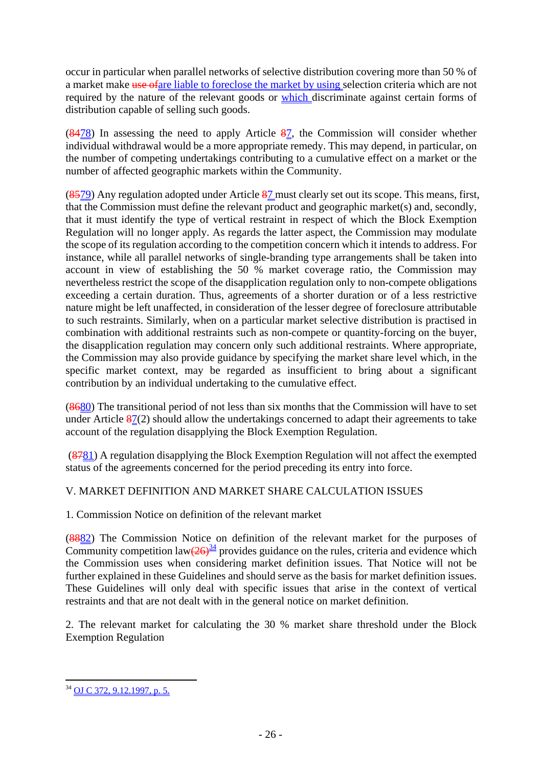occur in particular when parallel networks of selective distribution covering more than 50 % of a market make use of are liable to foreclose the market by using selection criteria which are not required by the nature of the relevant goods or which discriminate against certain forms of distribution capable of selling such goods.

 $(8478)$  In assessing the need to apply Article  $87$ , the Commission will consider whether individual withdrawal would be a more appropriate remedy. This may depend, in particular, on the number of competing undertakings contributing to a cumulative effect on a market or the number of affected geographic markets within the Community.

 $(8579)$  Any regulation adopted under Article  $87$  must clearly set out its scope. This means, first, that the Commission must define the relevant product and geographic market(s) and, secondly, that it must identify the type of vertical restraint in respect of which the Block Exemption Regulation will no longer apply. As regards the latter aspect, the Commission may modulate the scope of its regulation according to the competition concern which it intends to address. For instance, while all parallel networks of single-branding type arrangements shall be taken into account in view of establishing the 50 % market coverage ratio, the Commission may nevertheless restrict the scope of the disapplication regulation only to non-compete obligations exceeding a certain duration. Thus, agreements of a shorter duration or of a less restrictive nature might be left unaffected, in consideration of the lesser degree of foreclosure attributable to such restraints. Similarly, when on a particular market selective distribution is practised in combination with additional restraints such as non-compete or quantity-forcing on the buyer, the disapplication regulation may concern only such additional restraints. Where appropriate, the Commission may also provide guidance by specifying the market share level which, in the specific market context, may be regarded as insufficient to bring about a significant contribution by an individual undertaking to the cumulative effect.

(8680) The transitional period of not less than six months that the Commission will have to set under Article  $\frac{87}{2}$ ) should allow the undertakings concerned to adapt their agreements to take account of the regulation disapplying the Block Exemption Regulation.

 (8781) A regulation disapplying the Block Exemption Regulation will not affect the exempted status of the agreements concerned for the period preceding its entry into force.

# V. MARKET DEFINITION AND MARKET SHARE CALCULATION ISSUES

1. Commission Notice on definition of the relevant market

(8882) The Commission Notice on definition of the relevant market for the purposes of Community competition law $\left(26\right)^{34}$  provides guidance on the rules, criteria and evidence which the Commission uses when considering market definition issues. That Notice will not be further explained in these Guidelines and should serve as the basis for market definition issues. These Guidelines will only deal with specific issues that arise in the context of vertical restraints and that are not dealt with in the general notice on market definition.

2. The relevant market for calculating the 30 % market share threshold under the Block Exemption Regulation

 $\overline{a}$ <sup>34</sup> OJ C 372, 9.12.1997, p. 5.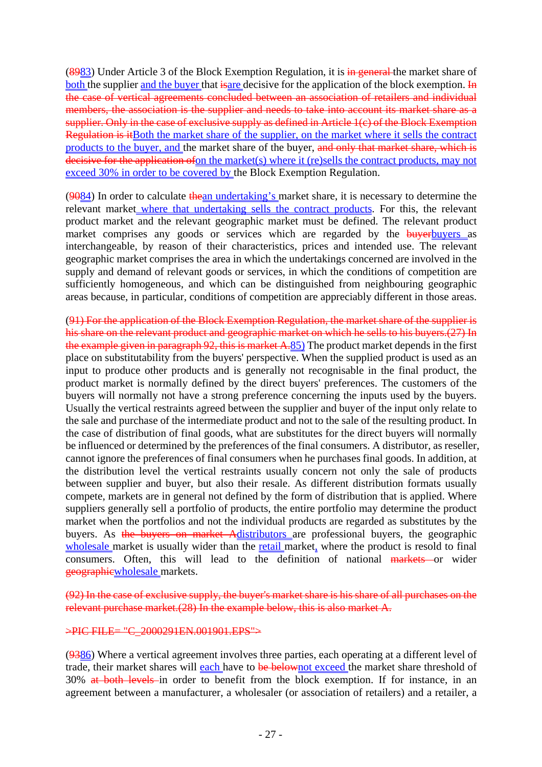$(8983)$  Under Article 3 of the Block Exemption Regulation, it is  $\frac{1}{10}$  general the market share of both the supplier and the buyer that is are decisive for the application of the block exemption. In the case of vertical agreements concluded between an association of retailers and individual members, the association is the supplier and needs to take into account its market share as a supplier. Only in the case of exclusive supply as defined in Article 1(e) of the Block Exemption Regulation is it Both the market share of the supplier, on the market where it sells the contract products to the buyer, and the market share of the buyer, and only that market share, which is decisive for the application ofon the market(s) where it (re)sells the contract products, may not exceed 30% in order to be covered by the Block Exemption Regulation.

(9084) In order to calculate thean undertaking's market share, it is necessary to determine the relevant market where that undertaking sells the contract products. For this, the relevant product market and the relevant geographic market must be defined. The relevant product market comprises any goods or services which are regarded by the **buyerbuyers** as interchangeable, by reason of their characteristics, prices and intended use. The relevant geographic market comprises the area in which the undertakings concerned are involved in the supply and demand of relevant goods or services, in which the conditions of competition are sufficiently homogeneous, and which can be distinguished from neighbouring geographic areas because, in particular, conditions of competition are appreciably different in those areas.

(91) For the application of the Block Exemption Regulation, the market share of the supplier is his share on the relevant product and geographic market on which he sells to his buyers.(27) In the example given in paragraph 92, this is market A. $\frac{85}{2}$  The product market depends in the first place on substitutability from the buyers' perspective. When the supplied product is used as an input to produce other products and is generally not recognisable in the final product, the product market is normally defined by the direct buyers' preferences. The customers of the buyers will normally not have a strong preference concerning the inputs used by the buyers. Usually the vertical restraints agreed between the supplier and buyer of the input only relate to the sale and purchase of the intermediate product and not to the sale of the resulting product. In the case of distribution of final goods, what are substitutes for the direct buyers will normally be influenced or determined by the preferences of the final consumers. A distributor, as reseller, cannot ignore the preferences of final consumers when he purchases final goods. In addition, at the distribution level the vertical restraints usually concern not only the sale of products between supplier and buyer, but also their resale. As different distribution formats usually compete, markets are in general not defined by the form of distribution that is applied. Where suppliers generally sell a portfolio of products, the entire portfolio may determine the product market when the portfolios and not the individual products are regarded as substitutes by the buyers. As the buyers on market Adistributors are professional buyers, the geographic wholesale market is usually wider than the retail market, where the product is resold to final consumers. Often, this will lead to the definition of national markets or wider geographicwholesale markets.

(92) In the case of exclusive supply, the buyer's market share is his share of all purchases on the relevant purchase market.(28) In the example below, this is also market A.

#### $\Rightarrow$ PIC FILE= "C\_2000291EN.001901.EPS">

(9386) Where a vertical agreement involves three parties, each operating at a different level of trade, their market shares will each have to be belownot exceed the market share threshold of 30% at both levels in order to benefit from the block exemption. If for instance, in an agreement between a manufacturer, a wholesaler (or association of retailers) and a retailer, a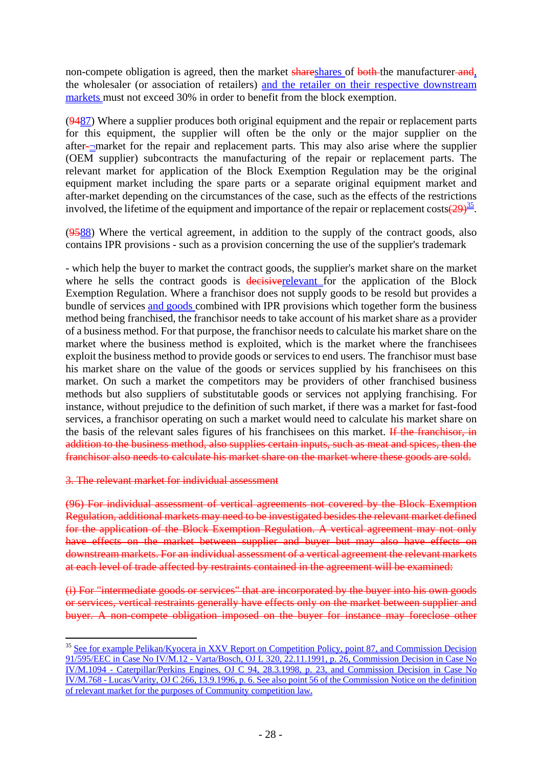non-compete obligation is agreed, then the market shareshares of both the manufacturer and, the wholesaler (or association of retailers) and the retailer on their respective downstream markets must not exceed 30% in order to benefit from the block exemption.

 $(9487)$  Where a supplier produces both original equipment and the repair or replacement parts for this equipment, the supplier will often be the only or the major supplier on the after-¬market for the repair and replacement parts. This may also arise where the supplier (OEM supplier) subcontracts the manufacturing of the repair or replacement parts. The relevant market for application of the Block Exemption Regulation may be the original equipment market including the spare parts or a separate original equipment market and after-market depending on the circumstances of the case, such as the effects of the restrictions involved, the lifetime of the equipment and importance of the repair or replacement costs $\left(29\right)^{\frac{35}{2}}$ .

 $(9588)$  Where the vertical agreement, in addition to the supply of the contract goods, also contains IPR provisions - such as a provision concerning the use of the supplier's trademark

- which help the buyer to market the contract goods, the supplier's market share on the market where he sells the contract goods is **decisiverelevant** for the application of the Block Exemption Regulation. Where a franchisor does not supply goods to be resold but provides a bundle of services and goods combined with IPR provisions which together form the business method being franchised, the franchisor needs to take account of his market share as a provider of a business method. For that purpose, the franchisor needs to calculate his market share on the market where the business method is exploited, which is the market where the franchisees exploit the business method to provide goods or services to end users. The franchisor must base his market share on the value of the goods or services supplied by his franchisees on this market. On such a market the competitors may be providers of other franchised business methods but also suppliers of substitutable goods or services not applying franchising. For instance, without prejudice to the definition of such market, if there was a market for fast-food services, a franchisor operating on such a market would need to calculate his market share on the basis of the relevant sales figures of his franchisees on this market. If the franchisor, in addition to the business method, also supplies certain inputs, such as meat and spices, then the franchisor also needs to calculate his market share on the market where these goods are sold.

#### 3. The relevant market for individual assessment

 $\overline{a}$ 

(96) For individual assessment of vertical agreements not covered by the Block Exemption Regulation, additional markets may need to be investigated besides the relevant market defined for the application of the Block Exemption Regulation. A vertical agreement may not only have effects on the market between supplier and buyer but may also have effects on downstream markets. For an individual assessment of a vertical agreement the relevant markets at each level of trade affected by restraints contained in the agreement will be examined:

(i) For "intermediate goods or services" that are incorporated by the buyer into his own goods or services, vertical restraints generally have effects only on the market between supplier and buyer. A non-compete obligation imposed on the buyer for instance may foreclose other

<sup>&</sup>lt;sup>35</sup> See for example Pelikan/Kyocera in XXV Report on Competition Policy, point 87, and Commission Decision 91/595/EEC in Case No IV/M.12 - Varta/Bosch, OJ L 320, 22.11.1991, p. 26, Commission Decision in Case No IV/M.1094 - Caterpillar/Perkins Engines, OJ C 94, 28.3.1998, p. 23, and Commission Decision in Case No IV/M.768 - Lucas/Varity, OJ C 266, 13.9.1996, p. 6. See also point 56 of the Commission Notice on the definition of relevant market for the purposes of Community competition law.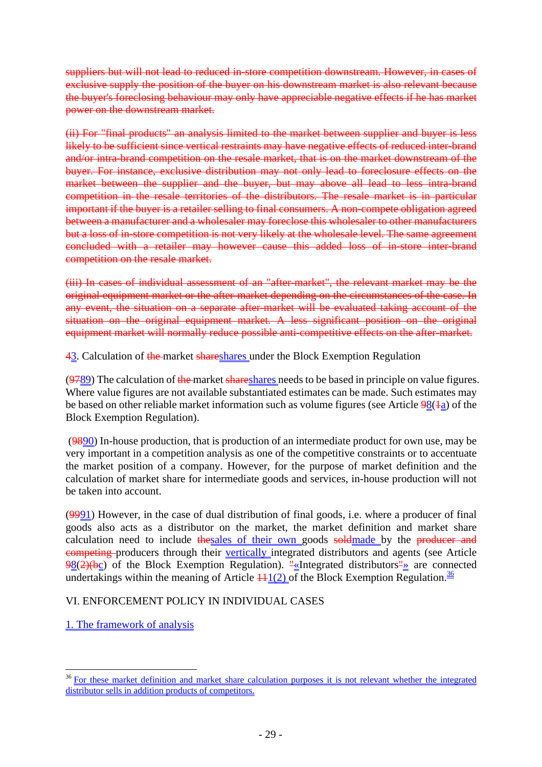suppliers but will not lead to reduced in-store competition downstream. However, in cases of exclusive supply the position of the buyer on his downstream market is also relevant because the buyer's foreclosing behaviour may only have appreciable negative effects if he has market power on the downstream market.

(ii) For "final products" an analysis limited to the market between supplier and buyer is less likely to be sufficient since vertical restraints may have negative effects of reduced inter-brand and/or intra-brand competition on the resale market, that is on the market downstream of the buyer. For instance, exclusive distribution may not only lead to foreclosure effects on the market between the supplier and the buyer, but may above all lead to less intra-brand competition in the resale territories of the distributors. The resale market is in particular important if the buyer is a retailer selling to final consumers. A non-compete obligation agreed between a manufacturer and a wholesaler may foreclose this wholesaler to other manufacturers but a loss of in-store competition is not very likely at the wholesale level. The same agreement concluded with a retailer may however cause this added loss of in-store inter-brand competition on the resale market.

(iii) In cases of individual assessment of an "after-market", the relevant market may be the original equipment market or the after-market depending on the circumstances of the case. In any event, the situation on a separate after-market will be evaluated taking account of the situation on the original equipment market. A less significant position on the original equipment market will normally reduce possible anti-competitive effects on the after-market.

43. Calculation of the market shareshares under the Block Exemption Regulation

 $(9789)$  The calculation of the market shareshares needs to be based in principle on value figures. Where value figures are not available substantiated estimates can be made. Such estimates may be based on other reliable market information such as volume figures (see Article  $98(1a)$ ) of the Block Exemption Regulation).

 (9890) In-house production, that is production of an intermediate product for own use, may be very important in a competition analysis as one of the competitive constraints or to accentuate the market position of a company. However, for the purpose of market definition and the calculation of market share for intermediate goods and services, in-house production will not be taken into account.

 $(9991)$  However, in the case of dual distribution of final goods, i.e. where a producer of final goods also acts as a distributor on the market, the market definition and market share calculation need to include thesales of their own goods soldmade by the producer and competing producers through their vertically integrated distributors and agents (see Article  $98(2)(b)$  of the Block Exemption Regulation). "«Integrated distributors" are connected undertakings within the meaning of Article  $\frac{11(2)}{2}$  of the Block Exemption Regulation.<sup>36</sup>

## VI. ENFORCEMENT POLICY IN INDIVIDUAL CASES

1. The framework of analysis

 $\overline{a}$ 

<sup>&</sup>lt;sup>36</sup> For these market definition and market share calculation purposes it is not relevant whether the integrated distributor sells in addition products of competitors.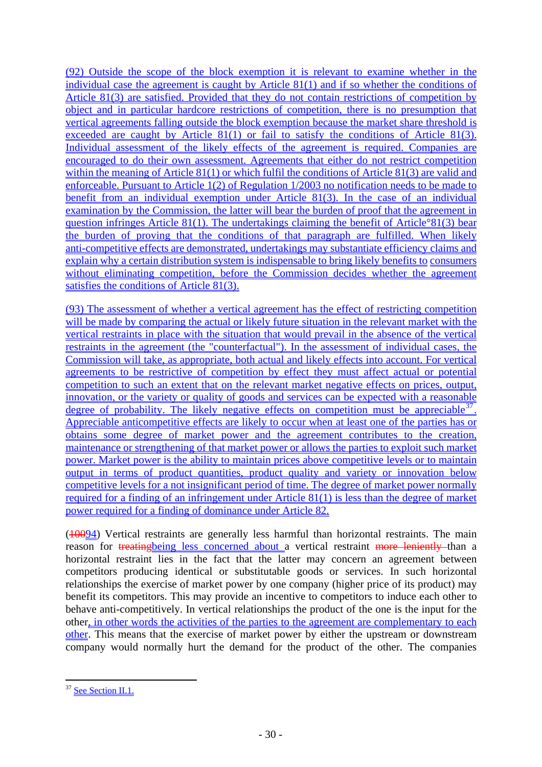(92) Outside the scope of the block exemption it is relevant to examine whether in the individual case the agreement is caught by Article 81(1) and if so whether the conditions of Article 81(3) are satisfied. Provided that they do not contain restrictions of competition by object and in particular hardcore restrictions of competition, there is no presumption that vertical agreements falling outside the block exemption because the market share threshold is exceeded are caught by Article 81(1) or fail to satisfy the conditions of Article 81(3). Individual assessment of the likely effects of the agreement is required. Companies are encouraged to do their own assessment. Agreements that either do not restrict competition within the meaning of Article 81(1) or which fulfil the conditions of Article 81(3) are valid and enforceable. Pursuant to Article 1(2) of Regulation 1/2003 no notification needs to be made to benefit from an individual exemption under Article 81(3). In the case of an individual examination by the Commission, the latter will bear the burden of proof that the agreement in question infringes Article 81(1). The undertakings claiming the benefit of Article°81(3) bear the burden of proving that the conditions of that paragraph are fulfilled. When likely anti-competitive effects are demonstrated, undertakings may substantiate efficiency claims and explain why a certain distribution system is indispensable to bring likely benefits to consumers without eliminating competition, before the Commission decides whether the agreement satisfies the conditions of Article 81(3).

(93) The assessment of whether a vertical agreement has the effect of restricting competition will be made by comparing the actual or likely future situation in the relevant market with the vertical restraints in place with the situation that would prevail in the absence of the vertical restraints in the agreement (the "counterfactual"). In the assessment of individual cases, the Commission will take, as appropriate, both actual and likely effects into account. For vertical agreements to be restrictive of competition by effect they must affect actual or potential competition to such an extent that on the relevant market negative effects on prices, output, innovation, or the variety or quality of goods and services can be expected with a reasonable degree of probability. The likely negative effects on competition must be appreciable  $37$ . Appreciable anticompetitive effects are likely to occur when at least one of the parties has or obtains some degree of market power and the agreement contributes to the creation, maintenance or strengthening of that market power or allows the parties to exploit such market power. Market power is the ability to maintain prices above competitive levels or to maintain output in terms of product quantities, product quality and variety or innovation below competitive levels for a not insignificant period of time. The degree of market power normally required for a finding of an infringement under Article 81(1) is less than the degree of market power required for a finding of dominance under Article 82.

(10094) Vertical restraints are generally less harmful than horizontal restraints. The main reason for treating being less concerned about a vertical restraint more leniently than a horizontal restraint lies in the fact that the latter may concern an agreement between competitors producing identical or substitutable goods or services. In such horizontal relationships the exercise of market power by one company (higher price of its product) may benefit its competitors. This may provide an incentive to competitors to induce each other to behave anti-competitively. In vertical relationships the product of the one is the input for the other, in other words the activities of the parties to the agreement are complementary to each other. This means that the exercise of market power by either the upstream or downstream company would normally hurt the demand for the product of the other. The companies

 $\overline{a}$ <sup>37</sup> See Section II.1.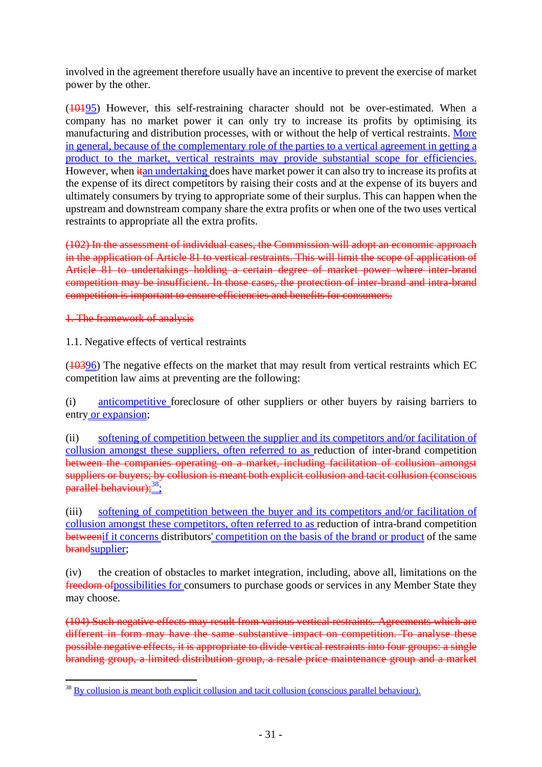involved in the agreement therefore usually have an incentive to prevent the exercise of market power by the other.

( $\frac{10195}{20}$ ) However, this self-restraining character should not be over-estimated. When a company has no market power it can only try to increase its profits by optimising its manufacturing and distribution processes, with or without the help of vertical restraints. More in general, because of the complementary role of the parties to a vertical agreement in getting a product to the market, vertical restraints may provide substantial scope for efficiencies. However, when  $\frac{1}{2}$  undertaking does have market power it can also try to increase its profits at the expense of its direct competitors by raising their costs and at the expense of its buyers and ultimately consumers by trying to appropriate some of their surplus. This can happen when the upstream and downstream company share the extra profits or when one of the two uses vertical restraints to appropriate all the extra profits.

(102) In the assessment of individual cases, the Commission will adopt an economic approach in the application of Article 81 to vertical restraints. This will limit the scope of application of Article 81 to undertakings holding a certain degree of market power where inter-brand competition may be insufficient. In those cases, the protection of inter-brand and intra-brand competition is important to ensure efficiencies and benefits for consumers.

## 1. The framework of analysis

1.1. Negative effects of vertical restraints

(10396) The negative effects on the market that may result from vertical restraints which EC competition law aims at preventing are the following:

(i) anticompetitive foreclosure of other suppliers or other buyers by raising barriers to entry or expansion;

(ii) softening of competition between the supplier and its competitors and/or facilitation of collusion amongst these suppliers, often referred to as reduction of inter-brand competition between the companies operating on a market, including facilitation of collusion amongst suppliers or buyers; by collusion is meant both explicit collusion and tacit collusion (conscious parallel behaviour); $^{38}$ ;

(iii) softening of competition between the buyer and its competitors and/or facilitation of collusion amongst these competitors, often referred to as reduction of intra-brand competition between if it concerns distributors' competition on the basis of the brand or product of the same brandsupplier:

(iv) the creation of obstacles to market integration, including, above all, limitations on the freedom ofpossibilities for consumers to purchase goods or services in any Member State they may choose.

(104) Such negative effects may result from various vertical restraints. Agreements which are different in form may have the same substantive impact on competition. To analyse these possible negative effects, it is appropriate to divide vertical restraints into four groups: a single branding group, a limited distribution group, a resale price maintenance group and a market

 $\overline{a}$ <sup>38</sup> By collusion is meant both explicit collusion and tacit collusion (conscious parallel behaviour).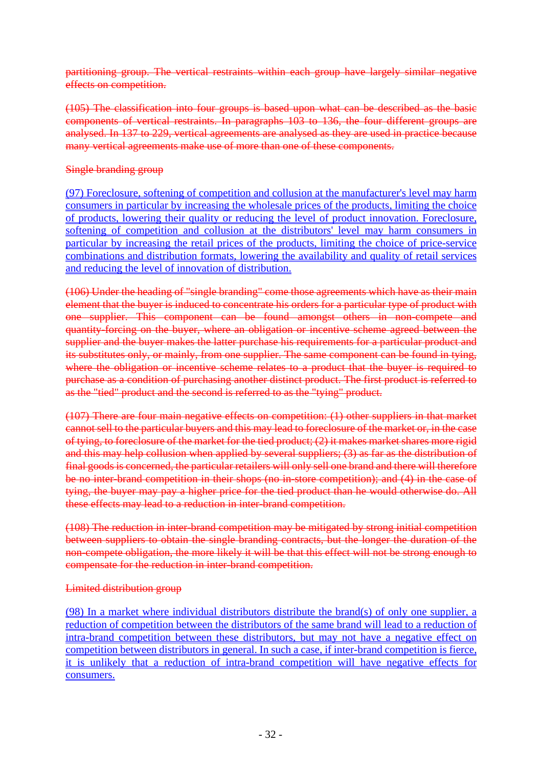partitioning group. The vertical restraints within each group have largely similar negative effects on competition.

(105) The classification into four groups is based upon what can be described as the basic components of vertical restraints. In paragraphs 103 to 136, the four different groups are analysed. In 137 to 229, vertical agreements are analysed as they are used in practice because many vertical agreements make use of more than one of these components.

#### Single branding group

(97) Foreclosure, softening of competition and collusion at the manufacturer's level may harm consumers in particular by increasing the wholesale prices of the products, limiting the choice of products, lowering their quality or reducing the level of product innovation. Foreclosure, softening of competition and collusion at the distributors' level may harm consumers in particular by increasing the retail prices of the products, limiting the choice of price-service combinations and distribution formats, lowering the availability and quality of retail services and reducing the level of innovation of distribution.

(106) Under the heading of "single branding" come those agreements which have as their main element that the buyer is induced to concentrate his orders for a particular type of product with one supplier. This component can be found amongst others in non-compete and quantity-forcing on the buyer, where an obligation or incentive scheme agreed between the supplier and the buyer makes the latter purchase his requirements for a particular product and its substitutes only, or mainly, from one supplier. The same component can be found in tying, where the obligation or incentive scheme relates to a product that the buyer is required to purchase as a condition of purchasing another distinct product. The first product is referred to as the "tied" product and the second is referred to as the "tying" product.

(107) There are four main negative effects on competition: (1) other suppliers in that market cannot sell to the particular buyers and this may lead to foreclosure of the market or, in the case of tying, to foreclosure of the market for the tied product; (2) it makes market shares more rigid and this may help collusion when applied by several suppliers; (3) as far as the distribution of final goods is concerned, the particular retailers will only sell one brand and there will therefore be no inter-brand competition in their shops (no in-store competition); and (4) in the case of tying, the buyer may pay a higher price for the tied product than he would otherwise do. All these effects may lead to a reduction in inter-brand competition.

(108) The reduction in inter-brand competition may be mitigated by strong initial competition between suppliers to obtain the single branding contracts, but the longer the duration of the non-compete obligation, the more likely it will be that this effect will not be strong enough to compensate for the reduction in inter-brand competition.

## Limited distribution group

(98) In a market where individual distributors distribute the brand(s) of only one supplier, a reduction of competition between the distributors of the same brand will lead to a reduction of intra-brand competition between these distributors, but may not have a negative effect on competition between distributors in general. In such a case, if inter-brand competition is fierce, it is unlikely that a reduction of intra-brand competition will have negative effects for consumers.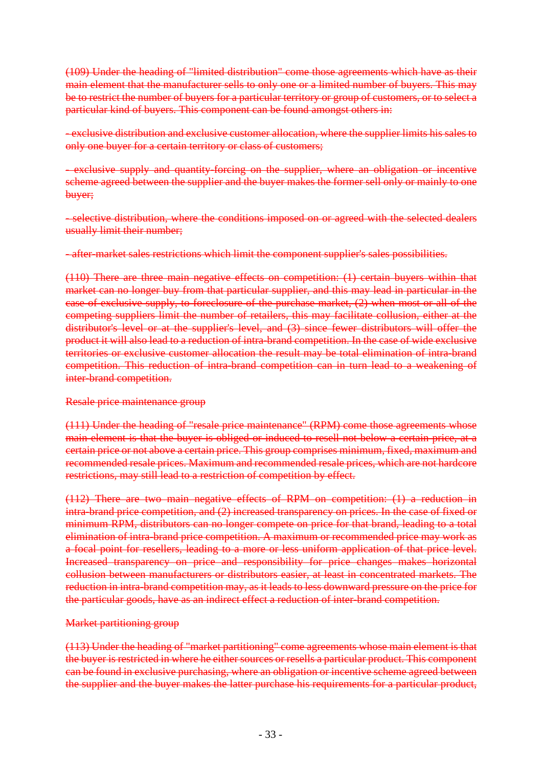(109) Under the heading of "limited distribution" come those agreements which have as their main element that the manufacturer sells to only one or a limited number of buyers. This may be to restrict the number of buyers for a particular territory or group of customers, or to select a particular kind of buyers. This component can be found amongst others in:

- exclusive distribution and exclusive customer allocation, where the supplier limits his sales to only one buyer for a certain territory or class of customers;

- exclusive supply and quantity forcing on the supplier, where an obligation or incentive scheme agreed between the supplier and the buyer makes the former sell only or mainly to one buyer;

- selective distribution, where the conditions imposed on or agreed with the selected dealers usually limit their number;

- after-market sales restrictions which limit the component supplier's sales possibilities.

(110) There are three main negative effects on competition: (1) certain buyers within that market can no longer buy from that particular supplier, and this may lead in particular in the case of exclusive supply, to foreclosure of the purchase market, (2) when most or all of the competing suppliers limit the number of retailers, this may facilitate collusion, either at the distributor's level or at the supplier's level, and (3) since fewer distributors will offer the product it will also lead to a reduction of intra-brand competition. In the case of wide exclusive territories or exclusive customer allocation the result may be total elimination of intra-brand competition. This reduction of intra-brand competition can in turn lead to a weakening of inter-brand competition.

#### Resale price maintenance group

(111) Under the heading of "resale price maintenance" (RPM) come those agreements whose main element is that the buyer is obliged or induced to resell not below a certain price, at a certain price or not above a certain price. This group comprises minimum, fixed, maximum and recommended resale prices. Maximum and recommended resale prices, which are not hardcore restrictions, may still lead to a restriction of competition by effect.

(112) There are two main negative effects of RPM on competition: (1) a reduction in intra-brand price competition, and (2) increased transparency on prices. In the case of fixed or minimum RPM, distributors can no longer compete on price for that brand, leading to a total elimination of intra-brand price competition. A maximum or recommended price may work as a focal point for resellers, leading to a more or less uniform application of that price level. Increased transparency on price and responsibility for price changes makes horizontal collusion between manufacturers or distributors easier, at least in concentrated markets. The reduction in intra-brand competition may, as it leads to less downward pressure on the price for the particular goods, have as an indirect effect a reduction of inter-brand competition.

## Market partitioning group

(113) Under the heading of "market partitioning" come agreements whose main element is that the buyer is restricted in where he either sources or resells a particular product. This component can be found in exclusive purchasing, where an obligation or incentive scheme agreed between the supplier and the buyer makes the latter purchase his requirements for a particular product,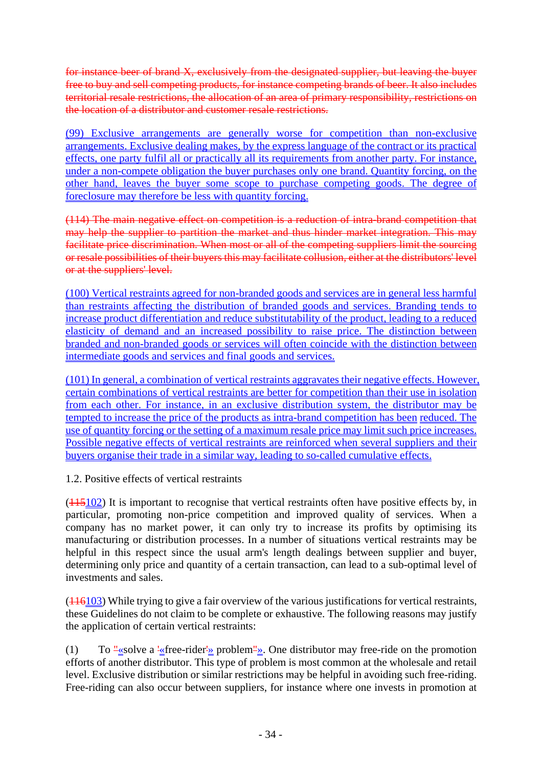for instance beer of brand X, exclusively from the designated supplier, but leaving the buyer free to buy and sell competing products, for instance competing brands of beer. It also includes territorial resale restrictions, the allocation of an area of primary responsibility, restrictions on the location of a distributor and customer resale restrictions.

(99) Exclusive arrangements are generally worse for competition than non-exclusive arrangements. Exclusive dealing makes, by the express language of the contract or its practical effects, one party fulfil all or practically all its requirements from another party. For instance, under a non-compete obligation the buyer purchases only one brand. Quantity forcing, on the other hand, leaves the buyer some scope to purchase competing goods. The degree of foreclosure may therefore be less with quantity forcing.

(114) The main negative effect on competition is a reduction of intra-brand competition that may help the supplier to partition the market and thus hinder market integration. This may facilitate price discrimination. When most or all of the competing suppliers limit the sourcing or resale possibilities of their buyers this may facilitate collusion, either at the distributors' level or at the suppliers' level.

(100) Vertical restraints agreed for non-branded goods and services are in general less harmful than restraints affecting the distribution of branded goods and services. Branding tends to increase product differentiation and reduce substitutability of the product, leading to a reduced elasticity of demand and an increased possibility to raise price. The distinction between branded and non-branded goods or services will often coincide with the distinction between intermediate goods and services and final goods and services.

(101) In general, a combination of vertical restraints aggravates their negative effects. However, certain combinations of vertical restraints are better for competition than their use in isolation from each other. For instance, in an exclusive distribution system, the distributor may be tempted to increase the price of the products as intra-brand competition has been reduced. The use of quantity forcing or the setting of a maximum resale price may limit such price increases. Possible negative effects of vertical restraints are reinforced when several suppliers and their buyers organise their trade in a similar way, leading to so-called cumulative effects.

1.2. Positive effects of vertical restraints

 $(115102)$  It is important to recognise that vertical restraints often have positive effects by, in particular, promoting non-price competition and improved quality of services. When a company has no market power, it can only try to increase its profits by optimising its manufacturing or distribution processes. In a number of situations vertical restraints may be helpful in this respect since the usual arm's length dealings between supplier and buyer, determining only price and quantity of a certain transaction, can lead to a sub-optimal level of investments and sales.

(116103) While trying to give a fair overview of the various justifications for vertical restraints, these Guidelines do not claim to be complete or exhaustive. The following reasons may justify the application of certain vertical restraints:

(1) To  $\frac{\mu}{\infty}$ solve a  $\frac{1}{\infty}$ free-rider $\frac{1}{2}$  problem $\frac{\mu}{2}$ . One distributor may free-ride on the promotion efforts of another distributor. This type of problem is most common at the wholesale and retail level. Exclusive distribution or similar restrictions may be helpful in avoiding such free-riding. Free-riding can also occur between suppliers, for instance where one invests in promotion at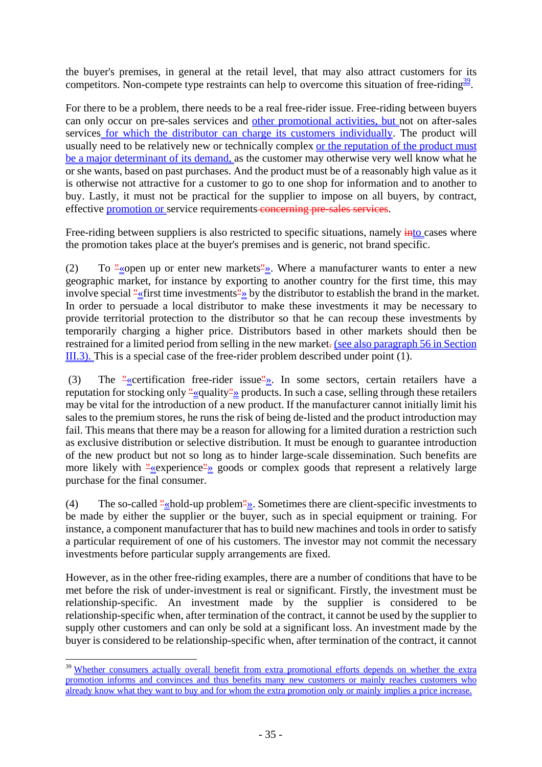the buyer's premises, in general at the retail level, that may also attract customers for its competitors. Non-compete type restraints can help to overcome this situation of free-riding  $\frac{39}{2}$ .

For there to be a problem, there needs to be a real free-rider issue. Free-riding between buyers can only occur on pre-sales services and other promotional activities, but not on after-sales services for which the distributor can charge its customers individually. The product will usually need to be relatively new or technically complex or the reputation of the product must be a major determinant of its demand, as the customer may otherwise very well know what he or she wants, based on past purchases. And the product must be of a reasonably high value as it is otherwise not attractive for a customer to go to one shop for information and to another to buy. Lastly, it must not be practical for the supplier to impose on all buyers, by contract, effective promotion or service requirements concerning pre-sales services.

Free-riding between suppliers is also restricted to specific situations, namely *into* cases where the promotion takes place at the buyer's premises and is generic, not brand specific.

(2) To  $\frac{u}{x}$  open up or enter new markets  $\frac{v}{x}$ . Where a manufacturer wants to enter a new geographic market, for instance by exporting to another country for the first time, this may involve special "«first time investments" by the distributor to establish the brand in the market. In order to persuade a local distributor to make these investments it may be necessary to provide territorial protection to the distributor so that he can recoup these investments by temporarily charging a higher price. Distributors based in other markets should then be restrained for a limited period from selling in the new market. (see also paragraph 56 in Section III.3). This is a special case of the free-rider problem described under point (1).

(3) The  $\frac{u}{x}$  certification free-rider issue  $\frac{u}{x}$ . In some sectors, certain retailers have a reputation for stocking only  $\frac{\pi}{2}$  quality  $\frac{\pi}{2}$  products. In such a case, selling through these retailers may be vital for the introduction of a new product. If the manufacturer cannot initially limit his sales to the premium stores, he runs the risk of being de-listed and the product introduction may fail. This means that there may be a reason for allowing for a limited duration a restriction such as exclusive distribution or selective distribution. It must be enough to guarantee introduction of the new product but not so long as to hinder large-scale dissemination. Such benefits are more likely with " $\leq$  experience" $\geq$  goods or complex goods that represent a relatively large purchase for the final consumer.

(4) The so-called  $\frac{\mu_{\alpha}}{\sigma}$  hold-up problem  $\frac{\mu_{\alpha}}{\sigma}$ . Sometimes there are client-specific investments to be made by either the supplier or the buyer, such as in special equipment or training. For instance, a component manufacturer that has to build new machines and tools in order to satisfy a particular requirement of one of his customers. The investor may not commit the necessary investments before particular supply arrangements are fixed.

However, as in the other free-riding examples, there are a number of conditions that have to be met before the risk of under-investment is real or significant. Firstly, the investment must be relationship-specific. An investment made by the supplier is considered to be relationship-specific when, after termination of the contract, it cannot be used by the supplier to supply other customers and can only be sold at a significant loss. An investment made by the buyer is considered to be relationship-specific when, after termination of the contract, it cannot

 $\overline{a}$ 

<sup>&</sup>lt;sup>39</sup> Whether consumers actually overall benefit from extra promotional efforts depends on whether the extra promotion informs and convinces and thus benefits many new customers or mainly reaches customers who already know what they want to buy and for whom the extra promotion only or mainly implies a price increase.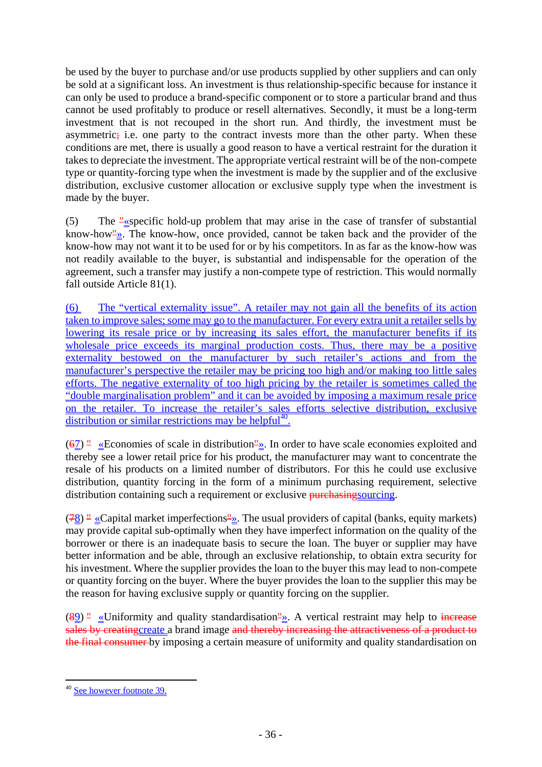be used by the buyer to purchase and/or use products supplied by other suppliers and can only be sold at a significant loss. An investment is thus relationship-specific because for instance it can only be used to produce a brand-specific component or to store a particular brand and thus cannot be used profitably to produce or resell alternatives. Secondly, it must be a long-term investment that is not recouped in the short run. And thirdly, the investment must be asymmetric; i.e. one party to the contract invests more than the other party. When these conditions are met, there is usually a good reason to have a vertical restraint for the duration it takes to depreciate the investment. The appropriate vertical restraint will be of the non-compete type or quantity-forcing type when the investment is made by the supplier and of the exclusive distribution, exclusive customer allocation or exclusive supply type when the investment is made by the buyer.

(5) The "specific hold-up problem that may arise in the case of transfer of substantial know-how" $\frac{1}{2}$ . The know-how, once provided, cannot be taken back and the provider of the know-how may not want it to be used for or by his competitors. In as far as the know-how was not readily available to the buyer, is substantial and indispensable for the operation of the agreement, such a transfer may justify a non-compete type of restriction. This would normally fall outside Article 81(1).

(6) The "vertical externality issue". A retailer may not gain all the benefits of its action taken to improve sales; some may go to the manufacturer. For every extra unit a retailer sells by lowering its resale price or by increasing its sales effort, the manufacturer benefits if its wholesale price exceeds its marginal production costs. Thus, there may be a positive externality bestowed on the manufacturer by such retailer's actions and from the manufacturer's perspective the retailer may be pricing too high and/or making too little sales efforts. The negative externality of too high pricing by the retailer is sometimes called the "double marginalisation problem" and it can be avoided by imposing a maximum resale price on the retailer. To increase the retailer's sales efforts selective distribution, exclusive distribution or similar restrictions may be helpful<sup>40</sup>.

 $(67)$  " «Economies of scale in distribution"». In order to have scale economies exploited and thereby see a lower retail price for his product, the manufacturer may want to concentrate the resale of his products on a limited number of distributors. For this he could use exclusive distribution, quantity forcing in the form of a minimum purchasing requirement, selective distribution containing such a requirement or exclusive purchasing sourcing.

 $(78)$  " «Capital market imperfections"». The usual providers of capital (banks, equity markets) may provide capital sub-optimally when they have imperfect information on the quality of the borrower or there is an inadequate basis to secure the loan. The buyer or supplier may have better information and be able, through an exclusive relationship, to obtain extra security for his investment. Where the supplier provides the loan to the buyer this may lead to non-compete or quantity forcing on the buyer. Where the buyer provides the loan to the supplier this may be the reason for having exclusive supply or quantity forcing on the supplier.

 $(89)$  " «Uniformity and quality standardisation"». A vertical restraint may help to increase sales by creatingcreate a brand image and thereby increasing the attractiveness of a product to the final consumer by imposing a certain measure of uniformity and quality standardisation on

 $\overline{a}$ <sup>40</sup> See however footnote 39.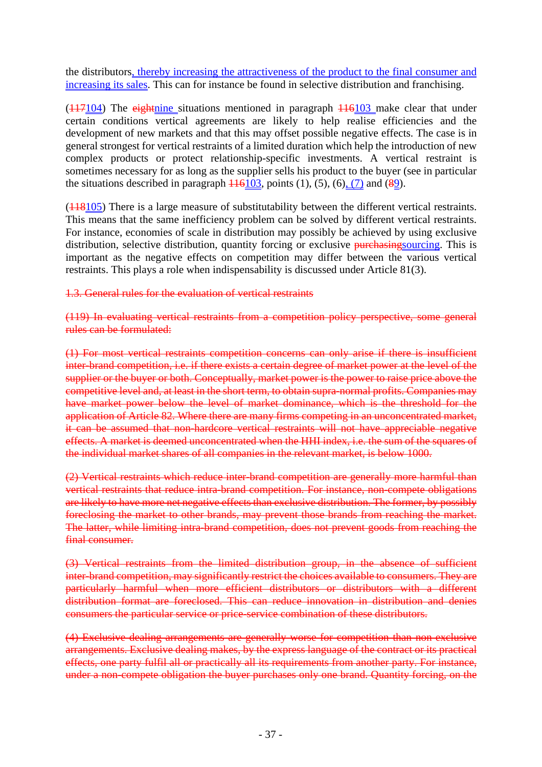the distributors, thereby increasing the attractiveness of the product to the final consumer and increasing its sales. This can for instance be found in selective distribution and franchising.

 $(117104)$  The eightnine situations mentioned in paragraph  $116103$  make clear that under certain conditions vertical agreements are likely to help realise efficiencies and the development of new markets and that this may offset possible negative effects. The case is in general strongest for vertical restraints of a limited duration which help the introduction of new complex products or protect relationship-specific investments. A vertical restraint is sometimes necessary for as long as the supplier sells his product to the buyer (see in particular the situations described in paragraph  $\frac{116103}{1600}$ , points (1), (5), (6), (7) and (89).

(118105) There is a large measure of substitutability between the different vertical restraints. This means that the same inefficiency problem can be solved by different vertical restraints. For instance, economies of scale in distribution may possibly be achieved by using exclusive distribution, selective distribution, quantity forcing or exclusive purchasing sourcing. This is important as the negative effects on competition may differ between the various vertical restraints. This plays a role when indispensability is discussed under Article 81(3).

# 1.3. General rules for the evaluation of vertical restraints

#### (119) In evaluating vertical restraints from a competition policy perspective, some general rules can be formulated:

(1) For most vertical restraints competition concerns can only arise if there is insufficient inter-brand competition, i.e. if there exists a certain degree of market power at the level of the supplier or the buyer or both. Conceptually, market power is the power to raise price above the competitive level and, at least in the short term, to obtain supra-normal profits. Companies may have market power below the level of market dominance, which is the threshold for the application of Article 82. Where there are many firms competing in an unconcentrated market, it can be assumed that non-hardcore vertical restraints will not have appreciable negative effects. A market is deemed unconcentrated when the HHI index, i.e. the sum of the squares of the individual market shares of all companies in the relevant market, is below 1000.

(2) Vertical restraints which reduce inter-brand competition are generally more harmful than vertical restraints that reduce intra-brand competition. For instance, non-compete obligations are likely to have more net negative effects than exclusive distribution. The former, by possibly foreclosing the market to other brands, may prevent those brands from reaching the market. The latter, while limiting intra-brand competition, does not prevent goods from reaching the final consumer.

(3) Vertical restraints from the limited distribution group, in the absence of sufficient inter-brand competition, may significantly restrict the choices available to consumers. They are particularly harmful when more efficient distributors or distributors with a different distribution format are foreclosed. This can reduce innovation in distribution and denies consumers the particular service or price-service combination of these distributors.

(4) Exclusive dealing arrangements are generally worse for competition than non-exclusive arrangements. Exclusive dealing makes, by the express language of the contract or its practical effects, one party fulfil all or practically all its requirements from another party. For instance, under a non-compete obligation the buyer purchases only one brand. Quantity forcing, on the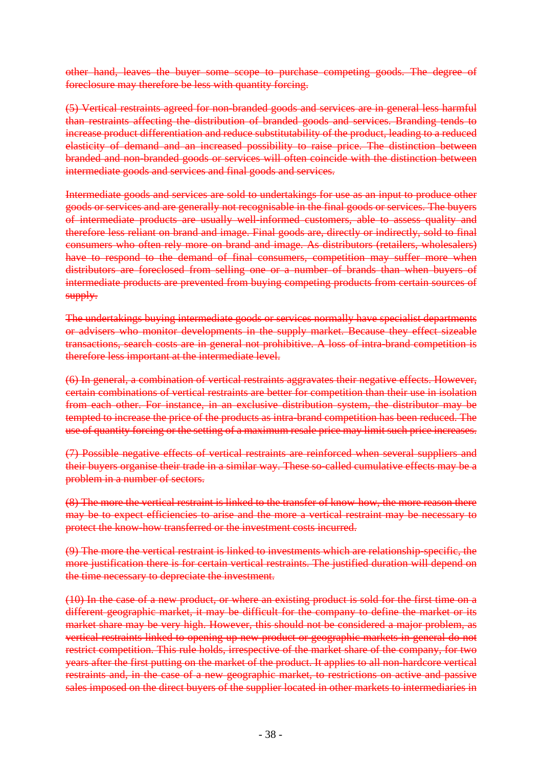other hand, leaves the buyer some scope to purchase competing goods. The degree of foreclosure may therefore be less with quantity forcing.

(5) Vertical restraints agreed for non-branded goods and services are in general less harmful than restraints affecting the distribution of branded goods and services. Branding tends to increase product differentiation and reduce substitutability of the product, leading to a reduced elasticity of demand and an increased possibility to raise price. The distinction between branded and non-branded goods or services will often coincide with the distinction between intermediate goods and services and final goods and services.

Intermediate goods and services are sold to undertakings for use as an input to produce other goods or services and are generally not recognisable in the final goods or services. The buyers of intermediate products are usually well-informed customers, able to assess quality and therefore less reliant on brand and image. Final goods are, directly or indirectly, sold to final consumers who often rely more on brand and image. As distributors (retailers, wholesalers) have to respond to the demand of final consumers, competition may suffer more when distributors are foreclosed from selling one or a number of brands than when buyers of intermediate products are prevented from buying competing products from certain sources of supply.

The undertakings buying intermediate goods or services normally have specialist departments or advisers who monitor developments in the supply market. Because they effect sizeable transactions, search costs are in general not prohibitive. A loss of intra-brand competition is therefore less important at the intermediate level.

(6) In general, a combination of vertical restraints aggravates their negative effects. However, certain combinations of vertical restraints are better for competition than their use in isolation from each other. For instance, in an exclusive distribution system, the distributor may be tempted to increase the price of the products as intra-brand competition has been reduced. The use of quantity forcing or the setting of a maximum resale price may limit such price increases.

(7) Possible negative effects of vertical restraints are reinforced when several suppliers and their buyers organise their trade in a similar way. These so-called cumulative effects may be a problem in a number of sectors.

(8) The more the vertical restraint is linked to the transfer of know-how, the more reason there may be to expect efficiencies to arise and the more a vertical restraint may be necessary to protect the know-how transferred or the investment costs incurred.

(9) The more the vertical restraint is linked to investments which are relationship-specific, the more justification there is for certain vertical restraints. The justified duration will depend on the time necessary to depreciate the investment.

(10) In the case of a new product, or where an existing product is sold for the first time on a different geographic market, it may be difficult for the company to define the market or its market share may be very high. However, this should not be considered a major problem, as vertical restraints linked to opening up new product or geographic markets in general do not restrict competition. This rule holds, irrespective of the market share of the company, for two years after the first putting on the market of the product. It applies to all non-hardcore vertical restraints and, in the case of a new geographic market, to restrictions on active and passive sales imposed on the direct buyers of the supplier located in other markets to intermediaries in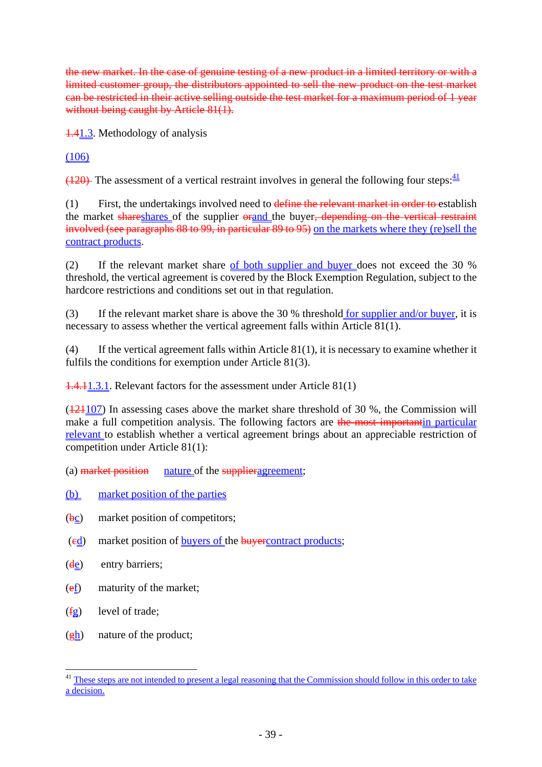the new market. In the case of genuine testing of a new product in a limited territory or with a limited customer group, the distributors appointed to sell the new product on the test market can be restricted in their active selling outside the test market for a maximum period of 1 year without being caught by Article 81(1).

1.41.3. Methodology of analysis

 $(106)$ 

 $(120)$  The assessment of a vertical restraint involves in general the following four steps:

 $(1)$  First, the undertakings involved need to define the relevant market in order to establish the market shareshares of the supplier orand the buyer, depending on the vertical restraint involved (see paragraphs 88 to 99, in particular 89 to 95) on the markets where they (re)sell the contract products.

(2) If the relevant market share of both supplier and buyer does not exceed the 30 % threshold, the vertical agreement is covered by the Block Exemption Regulation, subject to the hardcore restrictions and conditions set out in that regulation.

(3) If the relevant market share is above the 30 % threshold for supplier and/or buyer, it is necessary to assess whether the vertical agreement falls within Article 81(1).

(4) If the vertical agreement falls within Article  $81(1)$ , it is necessary to examine whether it fulfils the conditions for exemption under Article 81(3).

1.4.11.3.1. Relevant factors for the assessment under Article 81(1)

(121107) In assessing cases above the market share threshold of 30 %, the Commission will make a full competition analysis. The following factors are the most importantin particular relevant to establish whether a vertical agreement brings about an appreciable restriction of competition under Article 81(1):

- (a) market position nature of the supplieragreement;
- (b) market position of the parties
- $(**b**<sub>C</sub>)$  market position of competitors;
- (ed) market position of buyers of the buyercontract products;
- (de) entry barriers;
- $(e_i)$  maturity of the market;
- $(f_{\mathbf{g}})$  level of trade;

 $\overline{a}$ 

 $\frac{(\frac{\mathbf{eh}}{\mathbf{eh}})}{\mathbf{eh}}$  nature of the product;

<sup>&</sup>lt;sup>41</sup> These steps are not intended to present a legal reasoning that the Commission should follow in this order to take a decision.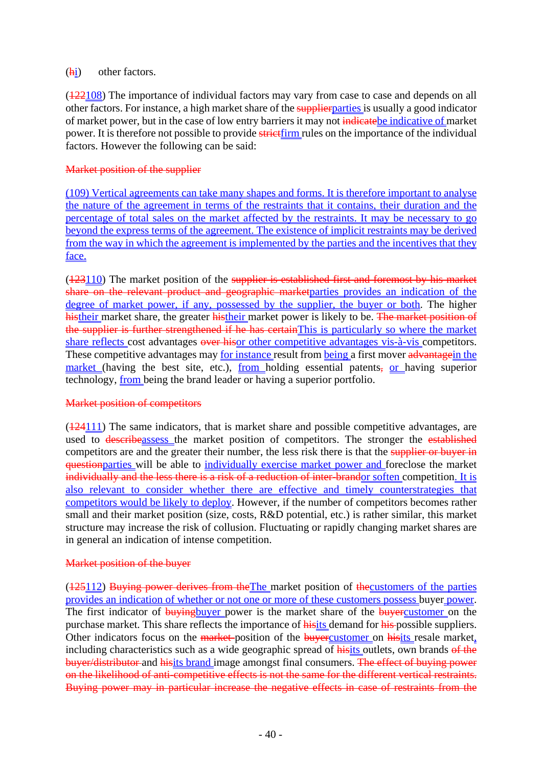#### (hi) other factors.

(122108) The importance of individual factors may vary from case to case and depends on all other factors. For instance, a high market share of the supplierparties is usually a good indicator of market power, but in the case of low entry barriers it may not indicate be indicative of market power. It is therefore not possible to provide strictfirm rules on the importance of the individual factors. However the following can be said:

#### Market position of the supplier

(109) Vertical agreements can take many shapes and forms. It is therefore important to analyse the nature of the agreement in terms of the restraints that it contains, their duration and the percentage of total sales on the market affected by the restraints. It may be necessary to go beyond the express terms of the agreement. The existence of implicit restraints may be derived from the way in which the agreement is implemented by the parties and the incentives that they face.

 $(123110)$  The market position of the supplier is established first and foremost by his market share on the relevant product and geographic marketparties provides an indication of the degree of market power, if any, possessed by the supplier, the buyer or both. The higher histheir market share, the greater histheir market power is likely to be. The market position of the supplier is further strengthened if he has certainThis is particularly so where the market share reflects cost advantages over hisor other competitive advantages vis-à-vis competitors. These competitive advantages may for instance result from being a first mover advantagein the market (having the best site, etc.), from holding essential patents, or having superior technology, from being the brand leader or having a superior portfolio.

#### Market position of competitors

 $(124111)$  The same indicators, that is market share and possible competitive advantages, are used to describeassess the market position of competitors. The stronger the established competitors are and the greater their number, the less risk there is that the supplier or buyer in questionparties will be able to individually exercise market power and foreclose the market individually and the less there is a risk of a reduction of inter-brandor soften competition. It is also relevant to consider whether there are effective and timely counterstrategies that competitors would be likely to deploy. However, if the number of competitors becomes rather small and their market position (size, costs, R&D potential, etc.) is rather similar, this market structure may increase the risk of collusion. Fluctuating or rapidly changing market shares are in general an indication of intense competition.

#### Market position of the buyer

(125112) Buying power derives from theThe market position of thecustomers of the parties provides an indication of whether or not one or more of these customers possess buyer power. The first indicator of **buyingbuyer** power is the market share of the **buyercustomer** on the purchase market. This share reflects the importance of **histiffulne in the possible suppliers.** Other indicators focus on the market-position of the buyercustomer on hisits resale market, including characteristics such as a wide geographic spread of hisits outlets, own brands of the buyer/distributor and hisits brand image amongst final consumers. The effect of buying power on the likelihood of anti-competitive effects is not the same for the different vertical restraints. Buying power may in particular increase the negative effects in case of restraints from the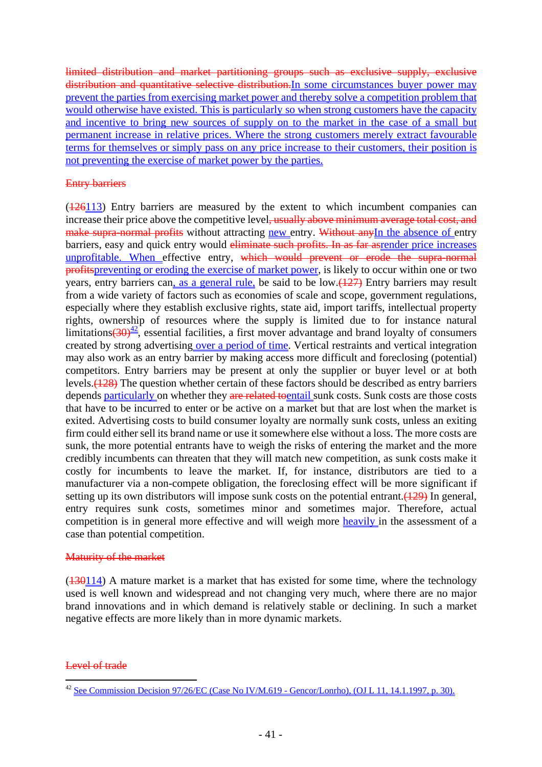limited distribution and market partitioning groups such as exclusive supply, exclusive distribution and quantitative selective distribution. In some circumstances buyer power may prevent the parties from exercising market power and thereby solve a competition problem that would otherwise have existed. This is particularly so when strong customers have the capacity and incentive to bring new sources of supply on to the market in the case of a small but permanent increase in relative prices. Where the strong customers merely extract favourable terms for themselves or simply pass on any price increase to their customers, their position is not preventing the exercise of market power by the parties.

#### Entry barriers

 $(126113)$  Entry barriers are measured by the extent to which incumbent companies can increase their price above the competitive level<del>, usually above minimum average total cost, and</del> make supra-normal profits without attracting new entry. Without anyIn the absence of entry barriers, easy and quick entry would eliminate such profits. In as far asrender price increases unprofitable. When effective entry, which would prevent or erode the supra-normal profitspreventing or eroding the exercise of market power, is likely to occur within one or two years, entry barriers can, as a general rule, be said to be low. (127) Entry barriers may result from a wide variety of factors such as economies of scale and scope, government regulations, especially where they establish exclusive rights, state aid, import tariffs, intellectual property rights, ownership of resources where the supply is limited due to for instance natural limitations  $\left(30\right)^{42}$ , essential facilities, a first mover advantage and brand loyalty of consumers created by strong advertising over a period of time. Vertical restraints and vertical integration may also work as an entry barrier by making access more difficult and foreclosing (potential) competitors. Entry barriers may be present at only the supplier or buyer level or at both levels.(128) The question whether certain of these factors should be described as entry barriers depends particularly on whether they are related toentail sunk costs. Sunk costs are those costs that have to be incurred to enter or be active on a market but that are lost when the market is exited. Advertising costs to build consumer loyalty are normally sunk costs, unless an exiting firm could either sell its brand name or use it somewhere else without a loss. The more costs are sunk, the more potential entrants have to weigh the risks of entering the market and the more credibly incumbents can threaten that they will match new competition, as sunk costs make it costly for incumbents to leave the market. If, for instance, distributors are tied to a manufacturer via a non-compete obligation, the foreclosing effect will be more significant if setting up its own distributors will impose sunk costs on the potential entrant. (129) In general, entry requires sunk costs, sometimes minor and sometimes major. Therefore, actual competition is in general more effective and will weigh more heavily in the assessment of a case than potential competition.

#### Maturity of the market

 $(130114)$  A mature market is a market that has existed for some time, where the technology used is well known and widespread and not changing very much, where there are no major brand innovations and in which demand is relatively stable or declining. In such a market negative effects are more likely than in more dynamic markets.

#### Level of trade

 $\overline{a}$ <sup>42</sup> See Commission Decision 97/26/EC (Case No IV/M.619 - Gencor/Lonrho), (OJ L 11, 14.1.1997, p. 30).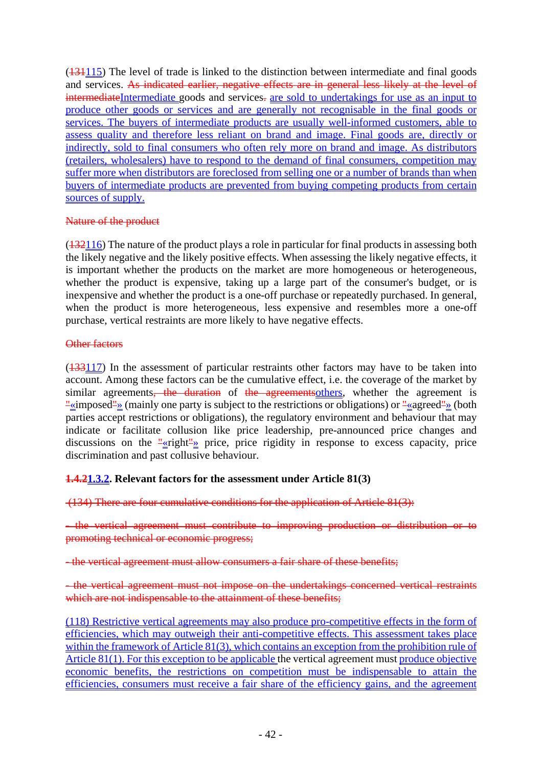$(131115)$  The level of trade is linked to the distinction between intermediate and final goods and services. As indicated earlier, negative effects are in general less likely at the level of intermediateIntermediate goods and services, are sold to undertakings for use as an input to produce other goods or services and are generally not recognisable in the final goods or services. The buyers of intermediate products are usually well-informed customers, able to assess quality and therefore less reliant on brand and image. Final goods are, directly or indirectly, sold to final consumers who often rely more on brand and image. As distributors (retailers, wholesalers) have to respond to the demand of final consumers, competition may suffer more when distributors are foreclosed from selling one or a number of brands than when buyers of intermediate products are prevented from buying competing products from certain sources of supply.

#### Nature of the product

(132116) The nature of the product plays a role in particular for final products in assessing both the likely negative and the likely positive effects. When assessing the likely negative effects, it is important whether the products on the market are more homogeneous or heterogeneous, whether the product is expensive, taking up a large part of the consumer's budget, or is inexpensive and whether the product is a one-off purchase or repeatedly purchased. In general, when the product is more heterogeneous, less expensive and resembles more a one-off purchase, vertical restraints are more likely to have negative effects.

#### Other factors

(133117) In the assessment of particular restraints other factors may have to be taken into account. Among these factors can be the cumulative effect, i.e. the coverage of the market by similar agreements, the duration of the agreementsothers, whether the agreement is " «imposed"» (mainly one party is subject to the restrictions or obligations) or " «agreed" » (both parties accept restrictions or obligations), the regulatory environment and behaviour that may indicate or facilitate collusion like price leadership, pre-announced price changes and discussions on the " $\frac{w}{x}$  right" price, price rigidity in response to excess capacity, price discrimination and past collusive behaviour.

## **1.4.21.3.2. Relevant factors for the assessment under Article 81(3)**

(134) There are four cumulative conditions for the application of Article 81(3):

- the vertical agreement must contribute to improving production or distribution or to promoting technical or economic progress;

- the vertical agreement must allow consumers a fair share of these benefits;

- the vertical agreement must not impose on the undertakings concerned vertical restraints which are not indispensable to the attainment of these benefits;

(118) Restrictive vertical agreements may also produce pro-competitive effects in the form of efficiencies, which may outweigh their anti-competitive effects. This assessment takes place within the framework of Article 81(3), which contains an exception from the prohibition rule of Article 81(1). For this exception to be applicable the vertical agreement must produce objective economic benefits, the restrictions on competition must be indispensable to attain the efficiencies, consumers must receive a fair share of the efficiency gains, and the agreement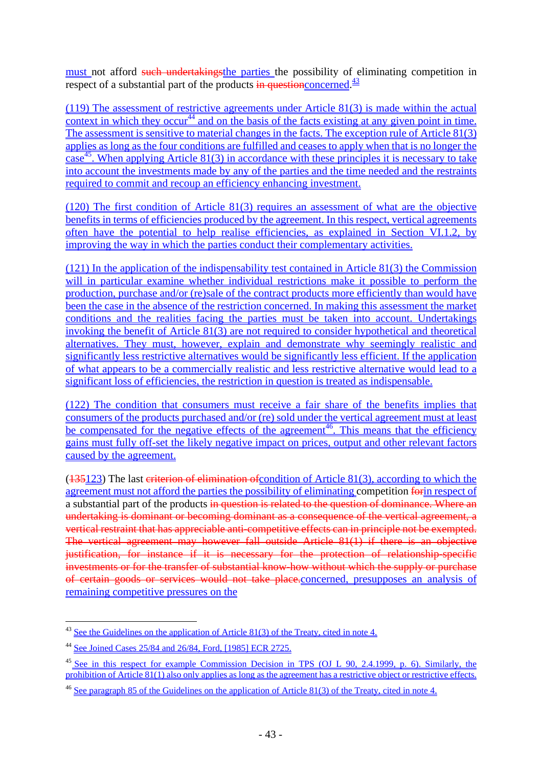must not afford such undertakings the parties the possibility of eliminating competition in respect of a substantial part of the products in question concerned. $\frac{43}{2}$ 

(119) The assessment of restrictive agreements under Article 81(3) is made within the actual context in which they occur<sup>44</sup> and on the basis of the facts existing at any given point in time. The assessment is sensitive to material changes in the facts. The exception rule of Article 81(3) applies as long as the four conditions are fulfilled and ceases to apply when that is no longer the  $\cos^{45}$ . When applying Article 81(3) in accordance with these principles it is necessary to take into account the investments made by any of the parties and the time needed and the restraints required to commit and recoup an efficiency enhancing investment.

(120) The first condition of Article 81(3) requires an assessment of what are the objective benefits in terms of efficiencies produced by the agreement. In this respect, vertical agreements often have the potential to help realise efficiencies, as explained in Section VI.1.2, by improving the way in which the parties conduct their complementary activities.

(121) In the application of the indispensability test contained in Article 81(3) the Commission will in particular examine whether individual restrictions make it possible to perform the production, purchase and/or (re)sale of the contract products more efficiently than would have been the case in the absence of the restriction concerned. In making this assessment the market conditions and the realities facing the parties must be taken into account. Undertakings invoking the benefit of Article  $81(3)$  are not required to consider hypothetical and theoretical alternatives. They must, however, explain and demonstrate why seemingly realistic and significantly less restrictive alternatives would be significantly less efficient. If the application of what appears to be a commercially realistic and less restrictive alternative would lead to a significant loss of efficiencies, the restriction in question is treated as indispensable.

(122) The condition that consumers must receive a fair share of the benefits implies that consumers of the products purchased and/or (re) sold under the vertical agreement must at least be compensated for the negative effects of the agreement<sup>46</sup>. This means that the efficiency gains must fully off-set the likely negative impact on prices, output and other relevant factors caused by the agreement.

 $(135123)$  The last criterion of elimination of condition of Article 81(3), according to which the agreement must not afford the parties the possibility of eliminating competition for the respect of a substantial part of the products in question is related to the question of dominance. Where an undertaking is dominant or becoming dominant as a consequence of the vertical agreement, a vertical restraint that has appreciable anti-competitive effects can in principle not be exempted. The vertical agreement may however fall outside Article 81(1) if there is an objective justification, for instance if it is necessary for the protection of relationship-specific investments or for the transfer of substantial know-how without which the supply or purchase of certain goods or services would not take place.concerned, presupposes an analysis of remaining competitive pressures on the

 $\overline{a}$ <sup>43</sup> See the Guidelines on the application of Article 81(3) of the Treaty, cited in note 4.

<sup>44</sup> See Joined Cases 25/84 and 26/84, Ford, [1985] ECR 2725.

<sup>45</sup> See in this respect for example Commission Decision in TPS (OJ L 90, 2.4.1999, p. 6). Similarly, the prohibition of Article 81(1) also only applies as long as the agreement has a restrictive object or restrictive effects.

<sup>46</sup> See paragraph 85 of the Guidelines on the application of Article 81(3) of the Treaty, cited in note 4.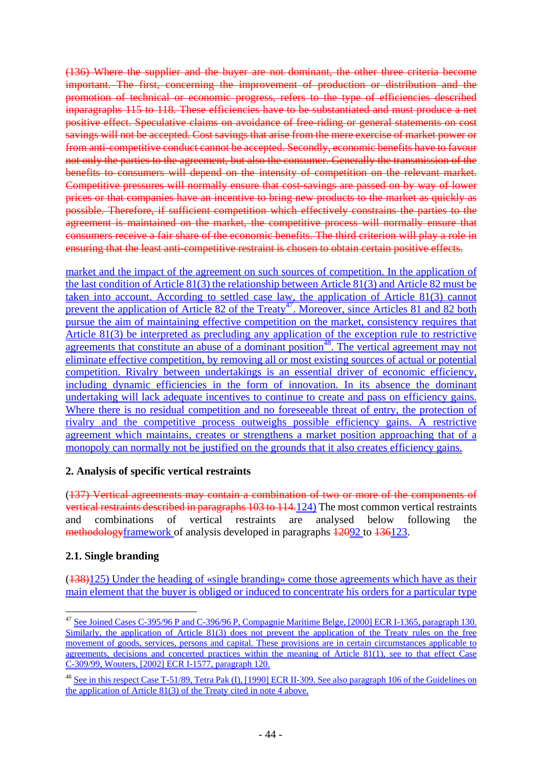(136) Where the supplier and the buyer are not dominant, the other three criteria become important. The first, concerning the improvement of production or distribution and the promotion of technical or economic progress, refers to the type of efficiencies described inparagraphs 115 to 118. These efficiencies have to be substantiated and must produce a net positive effect. Speculative claims on avoidance of free-riding or general statements on cost savings will not be accepted. Cost savings that arise from the mere exercise of market power or from anti-competitive conduct cannot be accepted. Secondly, economic benefits have to favour not only the parties to the agreement, but also the consumer. Generally the transmission of the benefits to consumers will depend on the intensity of competition on the relevant market. Competitive pressures will normally ensure that cost-savings are passed on by way of lower prices or that companies have an incentive to bring new products to the market as quickly as possible. Therefore, if sufficient competition which effectively constrains the parties to the agreement is maintained on the market, the competitive process will normally ensure that consumers receive a fair share of the economic benefits. The third criterion will play a role in ensuring that the least anti-competitive restraint is chosen to obtain certain positive effects.

market and the impact of the agreement on such sources of competition. In the application of the last condition of Article 81(3) the relationship between Article 81(3) and Article 82 must be taken into account. According to settled case law, the application of Article 81(3) cannot prevent the application of Article 82 of the Treaty<sup>47</sup>. Moreover, since Articles 81 and 82 both pursue the aim of maintaining effective competition on the market, consistency requires that Article 81(3) be interpreted as precluding any application of the exception rule to restrictive agreements that constitute an abuse of a dominant position<sup>48</sup>. The vertical agreement may not eliminate effective competition, by removing all or most existing sources of actual or potential competition. Rivalry between undertakings is an essential driver of economic efficiency, including dynamic efficiencies in the form of innovation. In its absence the dominant undertaking will lack adequate incentives to continue to create and pass on efficiency gains. Where there is no residual competition and no foreseeable threat of entry, the protection of rivalry and the competitive process outweighs possible efficiency gains. A restrictive agreement which maintains, creates or strengthens a market position approaching that of a monopoly can normally not be justified on the grounds that it also creates efficiency gains.

## **2. Analysis of specific vertical restraints**

(137) Vertical agreements may contain a combination of two or more of the components of vertical restraints described in paragraphs 103 to 114.124) The most common vertical restraints and combinations of vertical restraints are analysed below following the methodologyframework of analysis developed in paragraphs  $\frac{12092}{136123}$ .

## **2.1. Single branding**

(138)125) Under the heading of «single branding» come those agreements which have as their main element that the buyer is obliged or induced to concentrate his orders for a particular type

 $\overline{a}$ <sup>47</sup> See Joined Cases C-395/96 P and C-396/96 P, Compagnie Maritime Belge, [2000] ECR I-1365, paragraph 130. Similarly, the application of Article 81(3) does not prevent the application of the Treaty rules on the free movement of goods, services, persons and capital. These provisions are in certain circumstances applicable to agreements, decisions and concerted practices within the meaning of Article 81(1), see to that effect Case C-309/99, Wouters, [2002] ECR I-1577, paragraph 120.

<sup>&</sup>lt;sup>48</sup> See in this respect Case T-51/89, Tetra Pak (I), [1990] ECR II-309. See also paragraph 106 of the Guidelines on the application of Article 81(3) of the Treaty cited in note 4 above.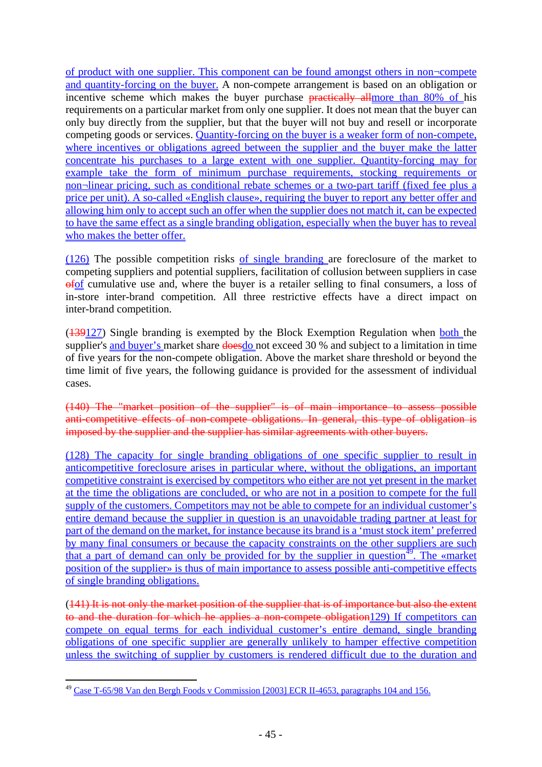of product with one supplier. This component can be found amongst others in non¬compete and quantity-forcing on the buyer. A non-compete arrangement is based on an obligation or incentive scheme which makes the buyer purchase practically allmore than 80% of his requirements on a particular market from only one supplier. It does not mean that the buyer can only buy directly from the supplier, but that the buyer will not buy and resell or incorporate competing goods or services. Quantity-forcing on the buyer is a weaker form of non-compete, where incentives or obligations agreed between the supplier and the buyer make the latter concentrate his purchases to a large extent with one supplier. Quantity-forcing may for example take the form of minimum purchase requirements, stocking requirements or non-linear pricing, such as conditional rebate schemes or a two-part tariff (fixed fee plus a price per unit). A so-called «English clause», requiring the buyer to report any better offer and allowing him only to accept such an offer when the supplier does not match it, can be expected to have the same effect as a single branding obligation, especially when the buyer has to reveal who makes the better offer.

(126) The possible competition risks of single branding are foreclosure of the market to competing suppliers and potential suppliers, facilitation of collusion between suppliers in case ofof cumulative use and, where the buyer is a retailer selling to final consumers, a loss of in-store inter-brand competition. All three restrictive effects have a direct impact on inter-brand competition.

( $\frac{139127}{139127}$ ) Single branding is exempted by the Block Exemption Regulation when both the supplier's and buyer's market share doesdo not exceed 30 % and subject to a limitation in time of five years for the non-compete obligation. Above the market share threshold or beyond the time limit of five years, the following guidance is provided for the assessment of individual cases.

(140) The "market position of the supplier" is of main importance to assess possible anti-competitive effects of non-compete obligations. In general, this type of obligation is imposed by the supplier and the supplier has similar agreements with other buyers.

(128) The capacity for single branding obligations of one specific supplier to result in anticompetitive foreclosure arises in particular where, without the obligations, an important competitive constraint is exercised by competitors who either are not yet present in the market at the time the obligations are concluded, or who are not in a position to compete for the full supply of the customers. Competitors may not be able to compete for an individual customer's entire demand because the supplier in question is an unavoidable trading partner at least for part of the demand on the market, for instance because its brand is a 'must stock item' preferred by many final consumers or because the capacity constraints on the other suppliers are such that a part of demand can only be provided for by the supplier in question<sup>49</sup>. The «market position of the supplier» is thus of main importance to assess possible anti-competitive effects of single branding obligations.

(141) It is not only the market position of the supplier that is of importance but also the extent to and the duration for which he applies a non-compete obligation129) If competitors can compete on equal terms for each individual customer's entire demand, single branding obligations of one specific supplier are generally unlikely to hamper effective competition unless the switching of supplier by customers is rendered difficult due to the duration and

 $\overline{a}$ <sup>49</sup> Case T-65/98 Van den Bergh Foods v Commission [2003] ECR II-4653, paragraphs 104 and 156.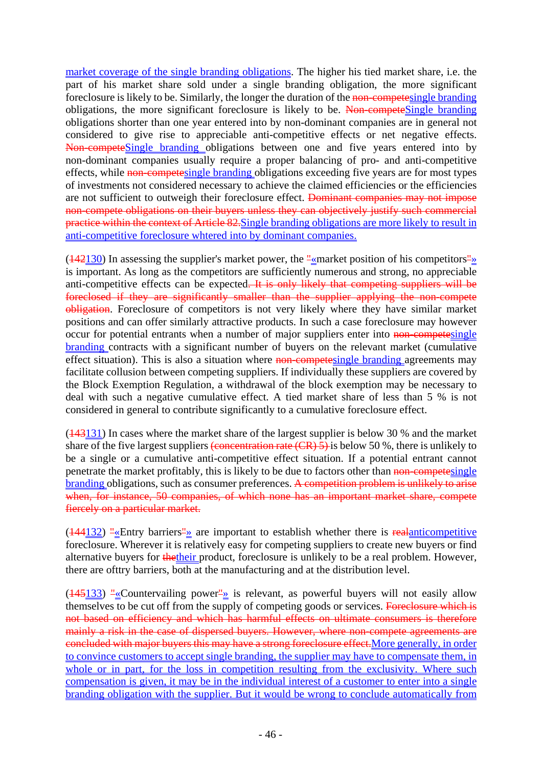market coverage of the single branding obligations. The higher his tied market share, i.e. the part of his market share sold under a single branding obligation, the more significant foreclosure is likely to be. Similarly, the longer the duration of the non-competesingle branding obligations, the more significant foreclosure is likely to be. Non-competeSingle branding obligations shorter than one year entered into by non-dominant companies are in general not considered to give rise to appreciable anti-competitive effects or net negative effects. Non-compete Single branding obligations between one and five years entered into by non-dominant companies usually require a proper balancing of pro- and anti-competitive effects, while non-competesingle branding obligations exceeding five years are for most types of investments not considered necessary to achieve the claimed efficiencies or the efficiencies are not sufficient to outweigh their foreclosure effect. Dominant companies may not impose non-compete obligations on their buyers unless they can objectively justify such commercial practice within the context of Article 82.Single branding obligations are more likely to result in anti-competitive foreclosure whtered into by dominant companies.

 $(142130)$  In assessing the supplier's market power, the "«market position of his competitors"» is important. As long as the competitors are sufficiently numerous and strong, no appreciable anti-competitive effects can be expected. It is only likely that competing suppliers will be foreclosed if they are significantly smaller than the supplier applying the non-compete obligation. Foreclosure of competitors is not very likely where they have similar market positions and can offer similarly attractive products. In such a case foreclosure may however occur for potential entrants when a number of major suppliers enter into non-competesingle branding contracts with a significant number of buyers on the relevant market (cumulative effect situation). This is also a situation where non-competesingle branding agreements may facilitate collusion between competing suppliers. If individually these suppliers are covered by the Block Exemption Regulation, a withdrawal of the block exemption may be necessary to deal with such a negative cumulative effect. A tied market share of less than 5 % is not considered in general to contribute significantly to a cumulative foreclosure effect.

(143131) In cases where the market share of the largest supplier is below 30 % and the market share of the five largest suppliers (concentration rate  $(CR)$  5) is below 50 %, there is unlikely to be a single or a cumulative anti-competitive effect situation. If a potential entrant cannot penetrate the market profitably, this is likely to be due to factors other than non-compete single branding obligations, such as consumer preferences. A competition problem is unlikely to arise when, for instance, 50 companies, of which none has an important market share, compete fiercely on a particular market.

 $(144132)$  "«Entry barriers"» are important to establish whether there is realanticompetitive foreclosure. Wherever it is relatively easy for competing suppliers to create new buyers or find alternative buyers for thetheir product, foreclosure is unlikely to be a real problem. However, there are ofttry barriers, both at the manufacturing and at the distribution level.

 $(145133)$  "«Countervailing power"» is relevant, as powerful buyers will not easily allow themselves to be cut off from the supply of competing goods or services. Foreclosure which is not based on efficiency and which has harmful effects on ultimate consumers is therefore mainly a risk in the case of dispersed buyers. However, where non-compete agreements are concluded with major buyers this may have a strong foreclosure effect.More generally, in order to convince customers to accept single branding, the supplier may have to compensate them, in whole or in part, for the loss in competition resulting from the exclusivity. Where such compensation is given, it may be in the individual interest of a customer to enter into a single branding obligation with the supplier. But it would be wrong to conclude automatically from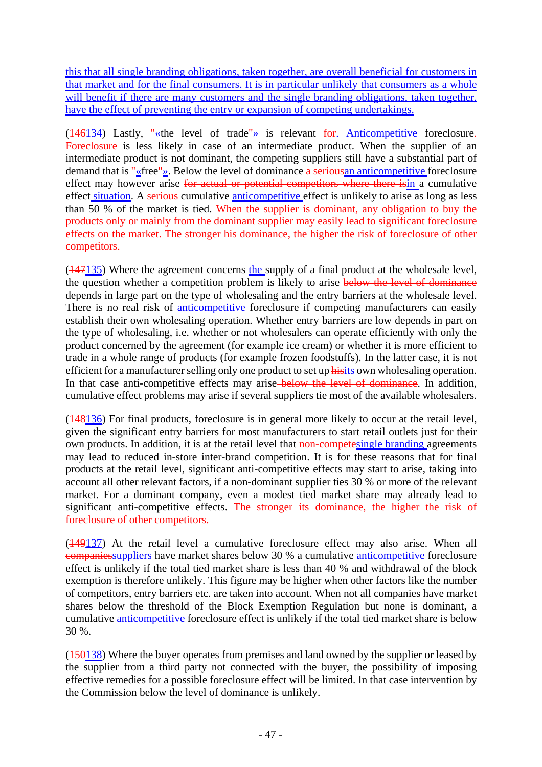this that all single branding obligations, taken together, are overall beneficial for customers in that market and for the final consumers. It is in particular unlikely that consumers as a whole will benefit if there are many customers and the single branding obligations, taken together, have the effect of preventing the entry or expansion of competing undertakings.

 $(146134)$  Lastly, "«the level of trade"» is relevant for. Anticompetitive foreclosure. Foreclosure is less likely in case of an intermediate product. When the supplier of an intermediate product is not dominant, the competing suppliers still have a substantial part of demand that is "«free"». Below the level of dominance a seriousan anticompetitive foreclosure effect may however arise for actual or potential competitors where there isin a cumulative effect situation. A serious cumulative anticompetitive effect is unlikely to arise as long as less than 50 % of the market is tied. When the supplier is dominant, any obligation to buy the products only or mainly from the dominant supplier may easily lead to significant foreclosure effects on the market. The stronger his dominance, the higher the risk of foreclosure of other competitors.

(147135) Where the agreement concerns the supply of a final product at the wholesale level, the question whether a competition problem is likely to arise below the level of dominance depends in large part on the type of wholesaling and the entry barriers at the wholesale level. There is no real risk of anticompetitive foreclosure if competing manufacturers can easily establish their own wholesaling operation. Whether entry barriers are low depends in part on the type of wholesaling, i.e. whether or not wholesalers can operate efficiently with only the product concerned by the agreement (for example ice cream) or whether it is more efficient to trade in a whole range of products (for example frozen foodstuffs). In the latter case, it is not efficient for a manufacturer selling only one product to set up hists own wholesaling operation. In that case anti-competitive effects may arise-below the level of dominance. In addition, cumulative effect problems may arise if several suppliers tie most of the available wholesalers.

(148136) For final products, foreclosure is in general more likely to occur at the retail level, given the significant entry barriers for most manufacturers to start retail outlets just for their own products. In addition, it is at the retail level that non-competesingle branding agreements may lead to reduced in-store inter-brand competition. It is for these reasons that for final products at the retail level, significant anti-competitive effects may start to arise, taking into account all other relevant factors, if a non-dominant supplier ties 30 % or more of the relevant market. For a dominant company, even a modest tied market share may already lead to significant anti-competitive effects. The stronger its dominance, the higher the risk of foreclosure of other competitors.

(149137) At the retail level a cumulative foreclosure effect may also arise. When all companiessuppliers have market shares below 30 % a cumulative anticompetitive foreclosure effect is unlikely if the total tied market share is less than 40 % and withdrawal of the block exemption is therefore unlikely. This figure may be higher when other factors like the number of competitors, entry barriers etc. are taken into account. When not all companies have market shares below the threshold of the Block Exemption Regulation but none is dominant, a cumulative anticompetitive foreclosure effect is unlikely if the total tied market share is below 30 %.

 $(150138)$  Where the buyer operates from premises and land owned by the supplier or leased by the supplier from a third party not connected with the buyer, the possibility of imposing effective remedies for a possible foreclosure effect will be limited. In that case intervention by the Commission below the level of dominance is unlikely.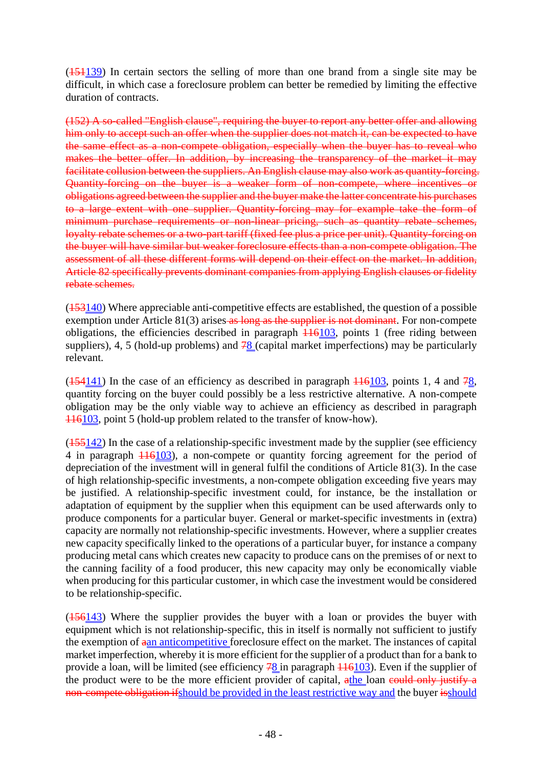(151139) In certain sectors the selling of more than one brand from a single site may be difficult, in which case a foreclosure problem can better be remedied by limiting the effective duration of contracts.

(152) A so-called "English clause", requiring the buyer to report any better offer and allowing him only to accept such an offer when the supplier does not match it, can be expected to have the same effect as a non-compete obligation, especially when the buyer has to reveal who makes the better offer. In addition, by increasing the transparency of the market it may facilitate collusion between the suppliers. An English clause may also work as quantity-forcing. Quantity-forcing on the buyer is a weaker form of non-compete, where incentives or obligations agreed between the supplier and the buyer make the latter concentrate his purchases to a large extent with one supplier. Quantity-forcing may for example take the form of minimum purchase requirements or non-linear pricing, such as quantity rebate schemes, loyalty rebate schemes or a two-part tariff (fixed fee plus a price per unit). Quantity-forcing on the buyer will have similar but weaker foreclosure effects than a non-compete obligation. The assessment of all these different forms will depend on their effect on the market. In addition, Article 82 specifically prevents dominant companies from applying English clauses or fidelity rebate schemes.

 $(153140)$  Where appreciable anti-competitive effects are established, the question of a possible exemption under Article 81(3) arises as long as the supplier is not dominant. For non-compete obligations, the efficiencies described in paragraph  $\frac{116103}{16103}$ , points 1 (free riding between suppliers), 4, 5 (hold-up problems) and  $\frac{78}{3}$  (capital market imperfections) may be particularly relevant.

 $(154141)$  In the case of an efficiency as described in paragraph  $116103$ , points 1, 4 and  $78$ , quantity forcing on the buyer could possibly be a less restrictive alternative. A non-compete obligation may be the only viable way to achieve an efficiency as described in paragraph 116103, point 5 (hold-up problem related to the transfer of know-how).

 $(155142)$  In the case of a relationship-specific investment made by the supplier (see efficiency 4 in paragraph 116103), a non-compete or quantity forcing agreement for the period of depreciation of the investment will in general fulfil the conditions of Article 81(3). In the case of high relationship-specific investments, a non-compete obligation exceeding five years may be justified. A relationship-specific investment could, for instance, be the installation or adaptation of equipment by the supplier when this equipment can be used afterwards only to produce components for a particular buyer. General or market-specific investments in (extra) capacity are normally not relationship-specific investments. However, where a supplier creates new capacity specifically linked to the operations of a particular buyer, for instance a company producing metal cans which creates new capacity to produce cans on the premises of or next to the canning facility of a food producer, this new capacity may only be economically viable when producing for this particular customer, in which case the investment would be considered to be relationship-specific.

 $(156143)$  Where the supplier provides the buyer with a loan or provides the buyer with equipment which is not relationship-specific, this in itself is normally not sufficient to justify the exemption of  $\frac{a_{2n}}{2}$  anticompetitive foreclosure effect on the market. The instances of capital market imperfection, whereby it is more efficient for the supplier of a product than for a bank to provide a loan, will be limited (see efficiency  $\frac{48}{8}$  in paragraph  $\frac{116103}{8}$ ). Even if the supplier of the product were to be the more efficient provider of capital, athe loan could only justify a non-compete obligation ifshould be provided in the least restrictive way and the buyer isshould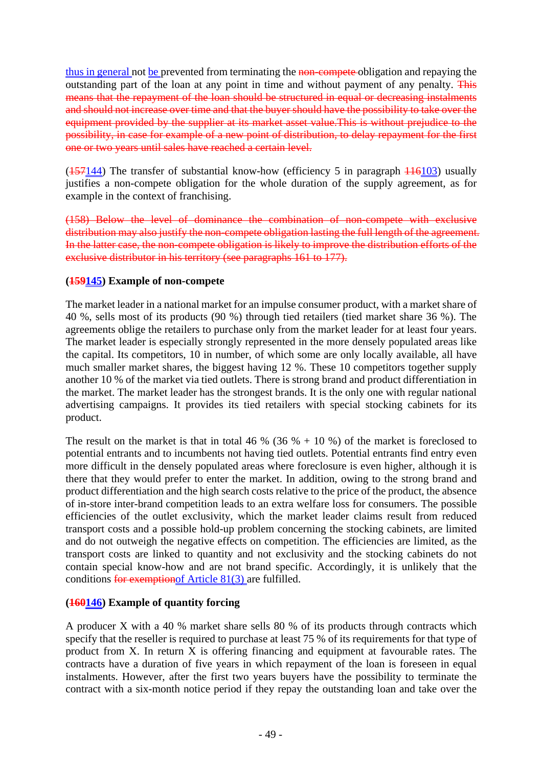thus in general not be prevented from terminating the non-compete obligation and repaying the outstanding part of the loan at any point in time and without payment of any penalty. This means that the repayment of the loan should be structured in equal or decreasing instalments and should not increase over time and that the buyer should have the possibility to take over the equipment provided by the supplier at its market asset value. This is without prejudice to the possibility, in case for example of a new point of distribution, to delay repayment for the first one or two years until sales have reached a certain level.

 $(157144)$  The transfer of substantial know-how (efficiency 5 in paragraph  $\frac{116103}{16103}$ ) usually justifies a non-compete obligation for the whole duration of the supply agreement, as for example in the context of franchising.

(158) Below the level of dominance the combination of non-compete with exclusive distribution may also justify the non-compete obligation lasting the full length of the agreement. In the latter case, the non-compete obligation is likely to improve the distribution efforts of the exclusive distributor in his territory (see paragraphs 161 to 177).

## **(159145) Example of non-compete**

The market leader in a national market for an impulse consumer product, with a market share of 40 %, sells most of its products (90 %) through tied retailers (tied market share 36 %). The agreements oblige the retailers to purchase only from the market leader for at least four years. The market leader is especially strongly represented in the more densely populated areas like the capital. Its competitors, 10 in number, of which some are only locally available, all have much smaller market shares, the biggest having 12 %. These 10 competitors together supply another 10 % of the market via tied outlets. There is strong brand and product differentiation in the market. The market leader has the strongest brands. It is the only one with regular national advertising campaigns. It provides its tied retailers with special stocking cabinets for its product.

The result on the market is that in total 46 % (36 %  $+$  10 %) of the market is foreclosed to potential entrants and to incumbents not having tied outlets. Potential entrants find entry even more difficult in the densely populated areas where foreclosure is even higher, although it is there that they would prefer to enter the market. In addition, owing to the strong brand and product differentiation and the high search costs relative to the price of the product, the absence of in-store inter-brand competition leads to an extra welfare loss for consumers. The possible efficiencies of the outlet exclusivity, which the market leader claims result from reduced transport costs and a possible hold-up problem concerning the stocking cabinets, are limited and do not outweigh the negative effects on competition. The efficiencies are limited, as the transport costs are linked to quantity and not exclusivity and the stocking cabinets do not contain special know-how and are not brand specific. Accordingly, it is unlikely that the conditions for exemptionof Article 81(3) are fulfilled.

## **(160146) Example of quantity forcing**

A producer X with a 40 % market share sells 80 % of its products through contracts which specify that the reseller is required to purchase at least 75 % of its requirements for that type of product from X. In return X is offering financing and equipment at favourable rates. The contracts have a duration of five years in which repayment of the loan is foreseen in equal instalments. However, after the first two years buyers have the possibility to terminate the contract with a six-month notice period if they repay the outstanding loan and take over the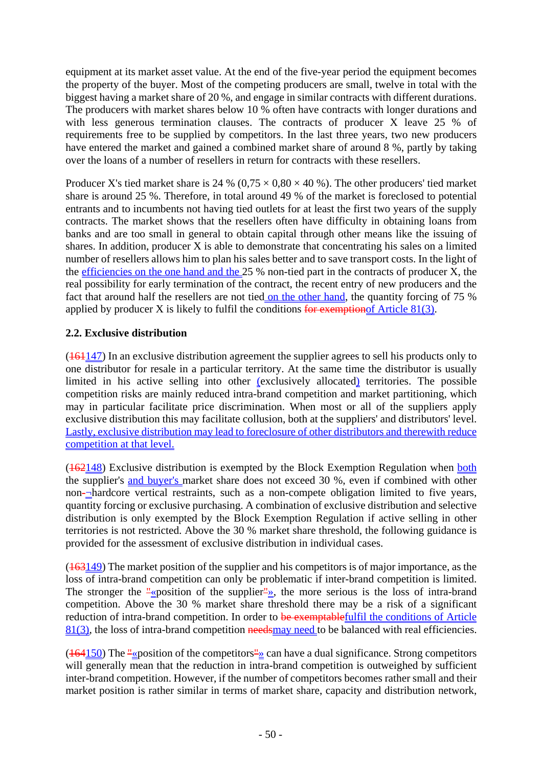equipment at its market asset value. At the end of the five-year period the equipment becomes the property of the buyer. Most of the competing producers are small, twelve in total with the biggest having a market share of 20 %, and engage in similar contracts with different durations. The producers with market shares below 10 % often have contracts with longer durations and with less generous termination clauses. The contracts of producer X leave 25 % of requirements free to be supplied by competitors. In the last three years, two new producers have entered the market and gained a combined market share of around 8 %, partly by taking over the loans of a number of resellers in return for contracts with these resellers.

Producer X's tied market share is 24 %  $(0.75 \times 0.80 \times 40$  %). The other producers' tied market share is around 25 %. Therefore, in total around 49 % of the market is foreclosed to potential entrants and to incumbents not having tied outlets for at least the first two years of the supply contracts. The market shows that the resellers often have difficulty in obtaining loans from banks and are too small in general to obtain capital through other means like the issuing of shares. In addition, producer X is able to demonstrate that concentrating his sales on a limited number of resellers allows him to plan his sales better and to save transport costs. In the light of the efficiencies on the one hand and the  $25%$  non-tied part in the contracts of producer X, the real possibility for early termination of the contract, the recent entry of new producers and the fact that around half the resellers are not tied on the other hand, the quantity forcing of 75 % applied by producer X is likely to fulfil the conditions for exemption of Article  $81(3)$ .

## **2.2. Exclusive distribution**

 $(161147)$  In an exclusive distribution agreement the supplier agrees to sell his products only to one distributor for resale in a particular territory. At the same time the distributor is usually limited in his active selling into other (exclusively allocated) territories. The possible competition risks are mainly reduced intra-brand competition and market partitioning, which may in particular facilitate price discrimination. When most or all of the suppliers apply exclusive distribution this may facilitate collusion, both at the suppliers' and distributors' level. Lastly, exclusive distribution may lead to foreclosure of other distributors and therewith reduce competition at that level.

 $(162148)$  Exclusive distribution is exempted by the Block Exemption Regulation when both the supplier's and buyer's market share does not exceed 30 %, even if combined with other nonnardcore vertical restraints, such as a non-compete obligation limited to five years, quantity forcing or exclusive purchasing. A combination of exclusive distribution and selective distribution is only exempted by the Block Exemption Regulation if active selling in other territories is not restricted. Above the 30 % market share threshold, the following guidance is provided for the assessment of exclusive distribution in individual cases.

 $(163149)$  The market position of the supplier and his competitors is of major importance, as the loss of intra-brand competition can only be problematic if inter-brand competition is limited. The stronger the "<sub>"</sub> sposition of the supplier"<sub>"</sub>, the more serious is the loss of intra-brand competition. Above the 30 % market share threshold there may be a risk of a significant reduction of intra-brand competition. In order to be exemptablefulfil the conditions of Article  $81(3)$ , the loss of intra-brand competition needs may need to be balanced with real efficiencies.

(164150) The "«position of the competitors"  $\geq$  can have a dual significance. Strong competitors will generally mean that the reduction in intra-brand competition is outweighed by sufficient inter-brand competition. However, if the number of competitors becomes rather small and their market position is rather similar in terms of market share, capacity and distribution network,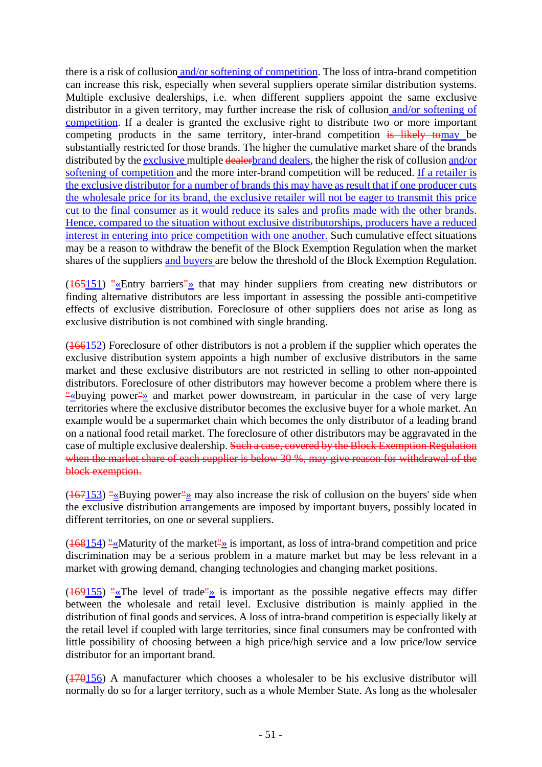there is a risk of collusion and/or softening of competition. The loss of intra-brand competition can increase this risk, especially when several suppliers operate similar distribution systems. Multiple exclusive dealerships, i.e. when different suppliers appoint the same exclusive distributor in a given territory, may further increase the risk of collusion and/or softening of competition. If a dealer is granted the exclusive right to distribute two or more important competing products in the same territory, inter-brand competition is likely tomay be substantially restricted for those brands. The higher the cumulative market share of the brands distributed by the exclusive multiple dealerbrand dealers, the higher the risk of collusion and/or softening of competition and the more inter-brand competition will be reduced. If a retailer is the exclusive distributor for a number of brands this may have as result that if one producer cuts the wholesale price for its brand, the exclusive retailer will not be eager to transmit this price cut to the final consumer as it would reduce its sales and profits made with the other brands. Hence, compared to the situation without exclusive distributorships, producers have a reduced interest in entering into price competition with one another. Such cumulative effect situations may be a reason to withdraw the benefit of the Block Exemption Regulation when the market shares of the suppliers and buyers are below the threshold of the Block Exemption Regulation.

(165151) "«Entry barriers"» that may hinder suppliers from creating new distributors or finding alternative distributors are less important in assessing the possible anti-competitive effects of exclusive distribution. Foreclosure of other suppliers does not arise as long as exclusive distribution is not combined with single branding.

(166152) Foreclosure of other distributors is not a problem if the supplier which operates the exclusive distribution system appoints a high number of exclusive distributors in the same market and these exclusive distributors are not restricted in selling to other non-appointed distributors. Foreclosure of other distributors may however become a problem where there is "«buying power"» and market power downstream, in particular in the case of very large territories where the exclusive distributor becomes the exclusive buyer for a whole market. An example would be a supermarket chain which becomes the only distributor of a leading brand on a national food retail market. The foreclosure of other distributors may be aggravated in the case of multiple exclusive dealership. Such a case, covered by the Block Exemption Regulation when the market share of each supplier is below 30 %, may give reason for withdrawal of the block exemption.

 $(167153)$  "«Buying power"» may also increase the risk of collusion on the buyers' side when the exclusive distribution arrangements are imposed by important buyers, possibly located in different territories, on one or several suppliers.

 $(168154)$  "«Maturity of the market"» is important, as loss of intra-brand competition and price discrimination may be a serious problem in a mature market but may be less relevant in a market with growing demand, changing technologies and changing market positions.

 $(169155)$  "«The level of trade"» is important as the possible negative effects may differ between the wholesale and retail level. Exclusive distribution is mainly applied in the distribution of final goods and services. A loss of intra-brand competition is especially likely at the retail level if coupled with large territories, since final consumers may be confronted with little possibility of choosing between a high price/high service and a low price/low service distributor for an important brand.

 $(170156)$  A manufacturer which chooses a wholesaler to be his exclusive distributor will normally do so for a larger territory, such as a whole Member State. As long as the wholesaler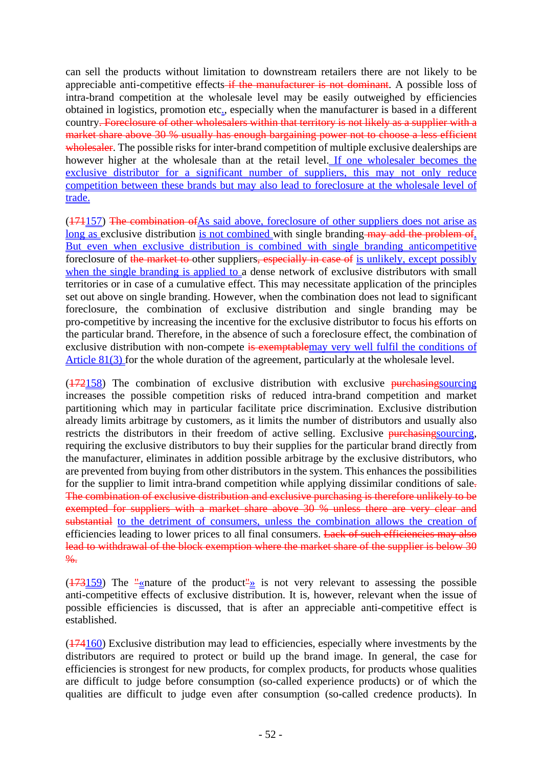can sell the products without limitation to downstream retailers there are not likely to be appreciable anti-competitive effects if the manufacturer is not dominant. A possible loss of intra-brand competition at the wholesale level may be easily outweighed by efficiencies obtained in logistics, promotion etc., especially when the manufacturer is based in a different country. Foreclosure of other wholesalers within that territory is not likely as a supplier with a market share above 30 % usually has enough bargaining power not to choose a less efficient wholesaler. The possible risks for inter-brand competition of multiple exclusive dealerships are however higher at the wholesale than at the retail level. If one wholesaler becomes the exclusive distributor for a significant number of suppliers, this may not only reduce competition between these brands but may also lead to foreclosure at the wholesale level of trade.

(171157) The combination ofAs said above, foreclosure of other suppliers does not arise as long as exclusive distribution is not combined with single branding may add the problem of. But even when exclusive distribution is combined with single branding anticompetitive foreclosure of the market to other suppliers, especially in case of is unlikely, except possibly when the single branding is applied to a dense network of exclusive distributors with small territories or in case of a cumulative effect. This may necessitate application of the principles set out above on single branding. However, when the combination does not lead to significant foreclosure, the combination of exclusive distribution and single branding may be pro-competitive by increasing the incentive for the exclusive distributor to focus his efforts on the particular brand. Therefore, in the absence of such a foreclosure effect, the combination of exclusive distribution with non-compete is exemptablemay very well fulfil the conditions of Article 81(3) for the whole duration of the agreement, particularly at the wholesale level.

 $(172158)$  The combination of exclusive distribution with exclusive purchasing sourcing increases the possible competition risks of reduced intra-brand competition and market partitioning which may in particular facilitate price discrimination. Exclusive distribution already limits arbitrage by customers, as it limits the number of distributors and usually also restricts the distributors in their freedom of active selling. Exclusive purchasingsourcing, requiring the exclusive distributors to buy their supplies for the particular brand directly from the manufacturer, eliminates in addition possible arbitrage by the exclusive distributors, who are prevented from buying from other distributors in the system. This enhances the possibilities for the supplier to limit intra-brand competition while applying dissimilar conditions of sale. The combination of exclusive distribution and exclusive purchasing is therefore unlikely to be exempted for suppliers with a market share above 30 % unless there are very clear and substantial to the detriment of consumers, unless the combination allows the creation of efficiencies leading to lower prices to all final consumers. Lack of such efficiencies may also lead to withdrawal of the block exemption where the market share of the supplier is below 30  $\frac{0}{6}$ .

( $\frac{173159}{173159}$ ) The "«nature of the product" is not very relevant to assessing the possible anti-competitive effects of exclusive distribution. It is, however, relevant when the issue of possible efficiencies is discussed, that is after an appreciable anti-competitive effect is established.

(174160) Exclusive distribution may lead to efficiencies, especially where investments by the distributors are required to protect or build up the brand image. In general, the case for efficiencies is strongest for new products, for complex products, for products whose qualities are difficult to judge before consumption (so-called experience products) or of which the qualities are difficult to judge even after consumption (so-called credence products). In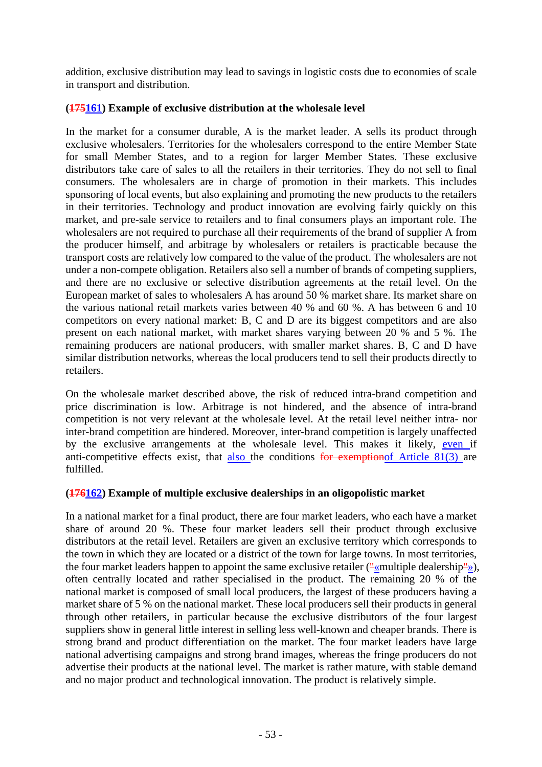addition, exclusive distribution may lead to savings in logistic costs due to economies of scale in transport and distribution.

## **(175161) Example of exclusive distribution at the wholesale level**

In the market for a consumer durable, A is the market leader. A sells its product through exclusive wholesalers. Territories for the wholesalers correspond to the entire Member State for small Member States, and to a region for larger Member States. These exclusive distributors take care of sales to all the retailers in their territories. They do not sell to final consumers. The wholesalers are in charge of promotion in their markets. This includes sponsoring of local events, but also explaining and promoting the new products to the retailers in their territories. Technology and product innovation are evolving fairly quickly on this market, and pre-sale service to retailers and to final consumers plays an important role. The wholesalers are not required to purchase all their requirements of the brand of supplier A from the producer himself, and arbitrage by wholesalers or retailers is practicable because the transport costs are relatively low compared to the value of the product. The wholesalers are not under a non-compete obligation. Retailers also sell a number of brands of competing suppliers, and there are no exclusive or selective distribution agreements at the retail level. On the European market of sales to wholesalers A has around 50 % market share. Its market share on the various national retail markets varies between 40 % and 60 %. A has between 6 and 10 competitors on every national market: B, C and D are its biggest competitors and are also present on each national market, with market shares varying between 20 % and 5 %. The remaining producers are national producers, with smaller market shares. B, C and D have similar distribution networks, whereas the local producers tend to sell their products directly to retailers.

On the wholesale market described above, the risk of reduced intra-brand competition and price discrimination is low. Arbitrage is not hindered, and the absence of intra-brand competition is not very relevant at the wholesale level. At the retail level neither intra- nor inter-brand competition are hindered. Moreover, inter-brand competition is largely unaffected by the exclusive arrangements at the wholesale level. This makes it likely, even if anti-competitive effects exist, that also the conditions for exemptionof Article 81(3) are fulfilled.

## **(176162) Example of multiple exclusive dealerships in an oligopolistic market**

In a national market for a final product, there are four market leaders, who each have a market share of around 20 %. These four market leaders sell their product through exclusive distributors at the retail level. Retailers are given an exclusive territory which corresponds to the town in which they are located or a district of the town for large towns. In most territories, the four market leaders happen to appoint the same exclusive retailer  $(\frac{m}{2}$  multiple dealership $\frac{m}{2}$ »), often centrally located and rather specialised in the product. The remaining 20 % of the national market is composed of small local producers, the largest of these producers having a market share of 5 % on the national market. These local producers sell their products in general through other retailers, in particular because the exclusive distributors of the four largest suppliers show in general little interest in selling less well-known and cheaper brands. There is strong brand and product differentiation on the market. The four market leaders have large national advertising campaigns and strong brand images, whereas the fringe producers do not advertise their products at the national level. The market is rather mature, with stable demand and no major product and technological innovation. The product is relatively simple.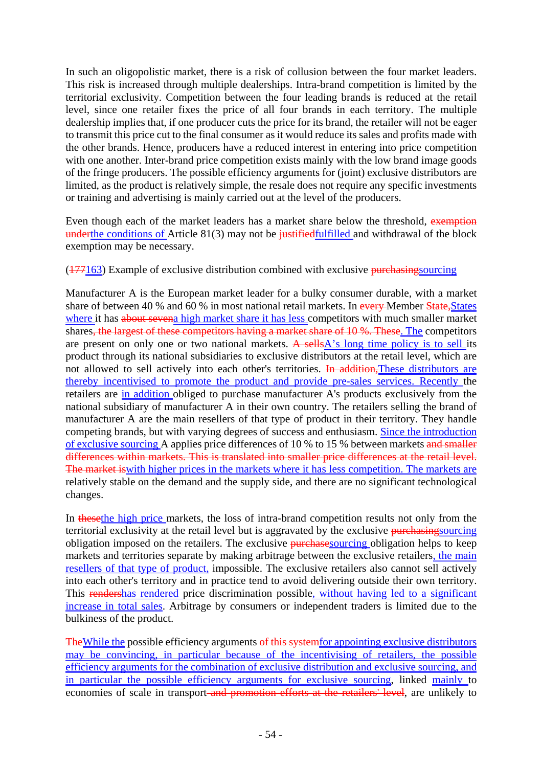In such an oligopolistic market, there is a risk of collusion between the four market leaders. This risk is increased through multiple dealerships. Intra-brand competition is limited by the territorial exclusivity. Competition between the four leading brands is reduced at the retail level, since one retailer fixes the price of all four brands in each territory. The multiple dealership implies that, if one producer cuts the price for its brand, the retailer will not be eager to transmit this price cut to the final consumer as it would reduce its sales and profits made with the other brands. Hence, producers have a reduced interest in entering into price competition with one another. Inter-brand price competition exists mainly with the low brand image goods of the fringe producers. The possible efficiency arguments for (joint) exclusive distributors are limited, as the product is relatively simple, the resale does not require any specific investments or training and advertising is mainly carried out at the level of the producers.

Even though each of the market leaders has a market share below the threshold, exemption underthe conditions of Article 81(3) may not be justified fulfilled and withdrawal of the block exemption may be necessary.

 $(177163)$  Example of exclusive distribution combined with exclusive purchasing sourcing

Manufacturer A is the European market leader for a bulky consumer durable, with a market share of between 40 % and 60 % in most national retail markets. In every Member State, States where it has about sevena high market share it has less competitors with much smaller market shares, the largest of these competitors having a market share of 10 %. These. The competitors are present on only one or two national markets. A sellsA's long time policy is to sell its product through its national subsidiaries to exclusive distributors at the retail level, which are not allowed to sell actively into each other's territories. In addition, These distributors are thereby incentivised to promote the product and provide pre-sales services. Recently the retailers are in addition obliged to purchase manufacturer A's products exclusively from the national subsidiary of manufacturer A in their own country. The retailers selling the brand of manufacturer A are the main resellers of that type of product in their territory. They handle competing brands, but with varying degrees of success and enthusiasm. Since the introduction of exclusive sourcing A applies price differences of 10 % to 15 % between markets and smaller differences within markets. This is translated into smaller price differences at the retail level. The market is with higher prices in the markets where it has less competition. The markets are relatively stable on the demand and the supply side, and there are no significant technological changes.

In thesethe high price markets, the loss of intra-brand competition results not only from the territorial exclusivity at the retail level but is aggravated by the exclusive **purchasing** sourcing obligation imposed on the retailers. The exclusive purchases our cing obligation helps to keep markets and territories separate by making arbitrage between the exclusive retailers, the main resellers of that type of product, impossible. The exclusive retailers also cannot sell actively into each other's territory and in practice tend to avoid delivering outside their own territory. This rendershas rendered price discrimination possible, without having led to a significant increase in total sales. Arbitrage by consumers or independent traders is limited due to the bulkiness of the product.

The While the possible efficiency arguments of this systemfor appointing exclusive distributors may be convincing, in particular because of the incentivising of retailers, the possible efficiency arguments for the combination of exclusive distribution and exclusive sourcing, and in particular the possible efficiency arguments for exclusive sourcing, linked mainly to economies of scale in transport–and promotion efforts at the retailers' level, are unlikely to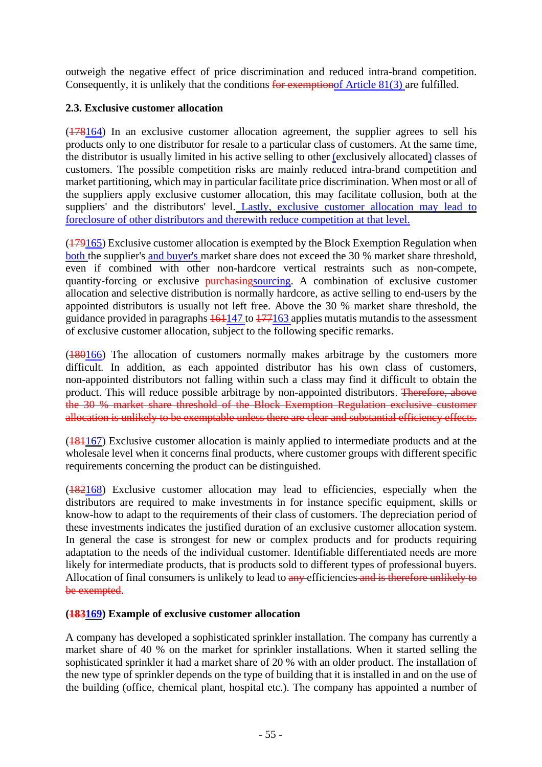outweigh the negative effect of price discrimination and reduced intra-brand competition. Consequently, it is unlikely that the conditions for exemption of Article 81(3) are fulfilled.

## **2.3. Exclusive customer allocation**

 $(178164)$  In an exclusive customer allocation agreement, the supplier agrees to sell his products only to one distributor for resale to a particular class of customers. At the same time, the distributor is usually limited in his active selling to other (exclusively allocated) classes of customers. The possible competition risks are mainly reduced intra-brand competition and market partitioning, which may in particular facilitate price discrimination. When most or all of the suppliers apply exclusive customer allocation, this may facilitate collusion, both at the suppliers' and the distributors' level. Lastly, exclusive customer allocation may lead to foreclosure of other distributors and therewith reduce competition at that level.

 $(179165)$  Exclusive customer allocation is exempted by the Block Exemption Regulation when both the supplier's and buyer's market share does not exceed the 30 % market share threshold, even if combined with other non-hardcore vertical restraints such as non-compete, quantity-forcing or exclusive purchasing sourcing. A combination of exclusive customer allocation and selective distribution is normally hardcore, as active selling to end-users by the appointed distributors is usually not left free. Above the 30 % market share threshold, the guidance provided in paragraphs 161147 to 177163 applies mutatis mutandis to the assessment of exclusive customer allocation, subject to the following specific remarks.

(180166) The allocation of customers normally makes arbitrage by the customers more difficult. In addition, as each appointed distributor has his own class of customers, non-appointed distributors not falling within such a class may find it difficult to obtain the product. This will reduce possible arbitrage by non-appointed distributors. Therefore, above the 30 % market share threshold of the Block Exemption Regulation exclusive customer allocation is unlikely to be exemptable unless there are clear and substantial efficiency effects.

(181167) Exclusive customer allocation is mainly applied to intermediate products and at the wholesale level when it concerns final products, where customer groups with different specific requirements concerning the product can be distinguished.

(182168) Exclusive customer allocation may lead to efficiencies, especially when the distributors are required to make investments in for instance specific equipment, skills or know-how to adapt to the requirements of their class of customers. The depreciation period of these investments indicates the justified duration of an exclusive customer allocation system. In general the case is strongest for new or complex products and for products requiring adaptation to the needs of the individual customer. Identifiable differentiated needs are more likely for intermediate products, that is products sold to different types of professional buyers. Allocation of final consumers is unlikely to lead to any efficiencies and is therefore unlikely to be exempted.

## **(183169) Example of exclusive customer allocation**

A company has developed a sophisticated sprinkler installation. The company has currently a market share of 40 % on the market for sprinkler installations. When it started selling the sophisticated sprinkler it had a market share of 20 % with an older product. The installation of the new type of sprinkler depends on the type of building that it is installed in and on the use of the building (office, chemical plant, hospital etc.). The company has appointed a number of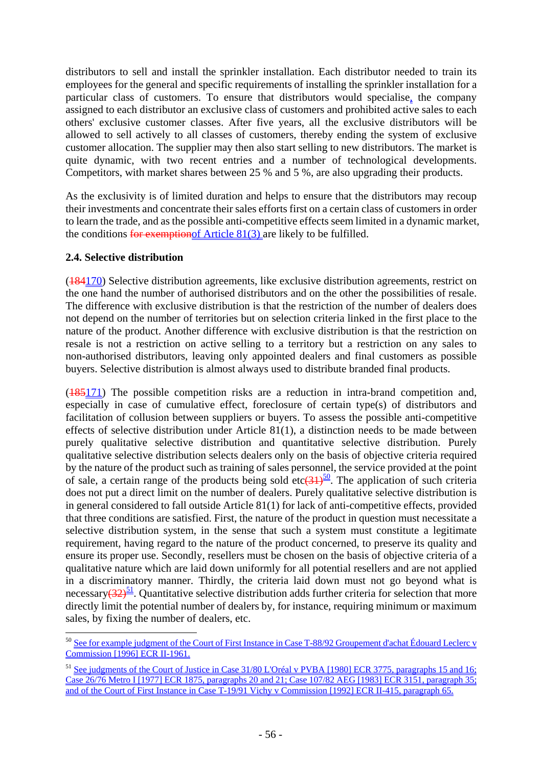distributors to sell and install the sprinkler installation. Each distributor needed to train its employees for the general and specific requirements of installing the sprinkler installation for a particular class of customers. To ensure that distributors would specialise, the company assigned to each distributor an exclusive class of customers and prohibited active sales to each others' exclusive customer classes. After five years, all the exclusive distributors will be allowed to sell actively to all classes of customers, thereby ending the system of exclusive customer allocation. The supplier may then also start selling to new distributors. The market is quite dynamic, with two recent entries and a number of technological developments. Competitors, with market shares between 25 % and 5 %, are also upgrading their products.

As the exclusivity is of limited duration and helps to ensure that the distributors may recoup their investments and concentrate their sales efforts first on a certain class of customers in order to learn the trade, and as the possible anti-competitive effects seem limited in a dynamic market, the conditions for exemption of Article  $81(3)$  are likely to be fulfilled.

#### **2.4. Selective distribution**

(184170) Selective distribution agreements, like exclusive distribution agreements, restrict on the one hand the number of authorised distributors and on the other the possibilities of resale. The difference with exclusive distribution is that the restriction of the number of dealers does not depend on the number of territories but on selection criteria linked in the first place to the nature of the product. Another difference with exclusive distribution is that the restriction on resale is not a restriction on active selling to a territory but a restriction on any sales to non-authorised distributors, leaving only appointed dealers and final customers as possible buyers. Selective distribution is almost always used to distribute branded final products.

(185171) The possible competition risks are a reduction in intra-brand competition and, especially in case of cumulative effect, foreclosure of certain type(s) of distributors and facilitation of collusion between suppliers or buyers. To assess the possible anti-competitive effects of selective distribution under Article 81(1), a distinction needs to be made between purely qualitative selective distribution and quantitative selective distribution. Purely qualitative selective distribution selects dealers only on the basis of objective criteria required by the nature of the product such as training of sales personnel, the service provided at the point of sale, a certain range of the products being sold etc $(31)^{50}$ . The application of such criteria does not put a direct limit on the number of dealers. Purely qualitative selective distribution is in general considered to fall outside Article 81(1) for lack of anti-competitive effects, provided that three conditions are satisfied. First, the nature of the product in question must necessitate a selective distribution system, in the sense that such a system must constitute a legitimate requirement, having regard to the nature of the product concerned, to preserve its quality and ensure its proper use. Secondly, resellers must be chosen on the basis of objective criteria of a qualitative nature which are laid down uniformly for all potential resellers and are not applied in a discriminatory manner. Thirdly, the criteria laid down must not go beyond what is necessary $\left(\frac{32}{2}\right)^{51}$ . Quantitative selective distribution adds further criteria for selection that more directly limit the potential number of dealers by, for instance, requiring minimum or maximum sales, by fixing the number of dealers, etc.

 $\overline{a}$ <sup>50</sup> See for example judgment of the Court of First Instance in Case T-88/92 Groupement d'achat Édouard Leclerc v Commission [1996] ECR II-1961.

<sup>&</sup>lt;sup>51</sup> See judgments of the Court of Justice in Case 31/80 L'Oréal v PVBA [1980] ECR 3775, paragraphs 15 and 16; Case 26/76 Metro I [1977] ECR 1875, paragraphs 20 and 21; Case 107/82 AEG [1983] ECR 3151, paragraph 35; and of the Court of First Instance in Case T-19/91 Vichy v Commission [1992] ECR II-415, paragraph 65.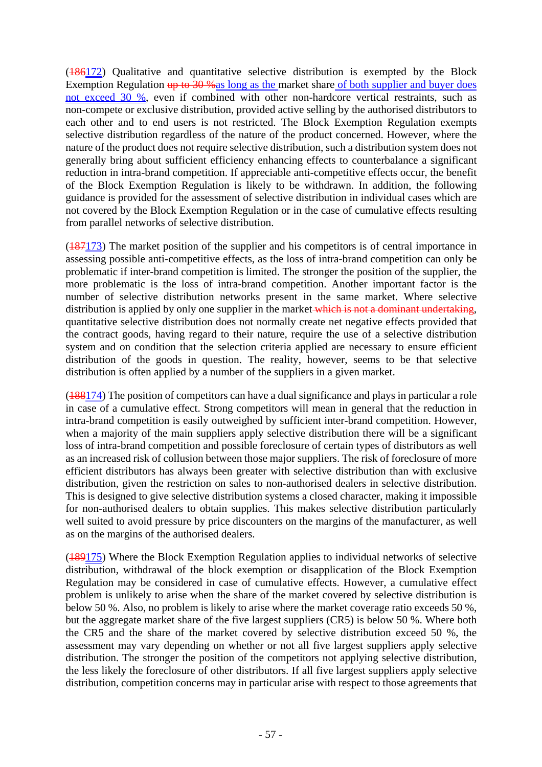(186172) Qualitative and quantitative selective distribution is exempted by the Block Exemption Regulation up to 30 % as long as the market share of both supplier and buyer does not exceed 30 %, even if combined with other non-hardcore vertical restraints, such as non-compete or exclusive distribution, provided active selling by the authorised distributors to each other and to end users is not restricted. The Block Exemption Regulation exempts selective distribution regardless of the nature of the product concerned. However, where the nature of the product does not require selective distribution, such a distribution system does not generally bring about sufficient efficiency enhancing effects to counterbalance a significant reduction in intra-brand competition. If appreciable anti-competitive effects occur, the benefit of the Block Exemption Regulation is likely to be withdrawn. In addition, the following guidance is provided for the assessment of selective distribution in individual cases which are not covered by the Block Exemption Regulation or in the case of cumulative effects resulting from parallel networks of selective distribution.

(187173) The market position of the supplier and his competitors is of central importance in assessing possible anti-competitive effects, as the loss of intra-brand competition can only be problematic if inter-brand competition is limited. The stronger the position of the supplier, the more problematic is the loss of intra-brand competition. Another important factor is the number of selective distribution networks present in the same market. Where selective distribution is applied by only one supplier in the market which is not a dominant undertaking, quantitative selective distribution does not normally create net negative effects provided that the contract goods, having regard to their nature, require the use of a selective distribution system and on condition that the selection criteria applied are necessary to ensure efficient distribution of the goods in question. The reality, however, seems to be that selective distribution is often applied by a number of the suppliers in a given market.

(188174) The position of competitors can have a dual significance and plays in particular a role in case of a cumulative effect. Strong competitors will mean in general that the reduction in intra-brand competition is easily outweighed by sufficient inter-brand competition. However, when a majority of the main suppliers apply selective distribution there will be a significant loss of intra-brand competition and possible foreclosure of certain types of distributors as well as an increased risk of collusion between those major suppliers. The risk of foreclosure of more efficient distributors has always been greater with selective distribution than with exclusive distribution, given the restriction on sales to non-authorised dealers in selective distribution. This is designed to give selective distribution systems a closed character, making it impossible for non-authorised dealers to obtain supplies. This makes selective distribution particularly well suited to avoid pressure by price discounters on the margins of the manufacturer, as well as on the margins of the authorised dealers.

(189175) Where the Block Exemption Regulation applies to individual networks of selective distribution, withdrawal of the block exemption or disapplication of the Block Exemption Regulation may be considered in case of cumulative effects. However, a cumulative effect problem is unlikely to arise when the share of the market covered by selective distribution is below 50 %. Also, no problem is likely to arise where the market coverage ratio exceeds 50 %, but the aggregate market share of the five largest suppliers (CR5) is below 50 %. Where both the CR5 and the share of the market covered by selective distribution exceed 50 %, the assessment may vary depending on whether or not all five largest suppliers apply selective distribution. The stronger the position of the competitors not applying selective distribution, the less likely the foreclosure of other distributors. If all five largest suppliers apply selective distribution, competition concerns may in particular arise with respect to those agreements that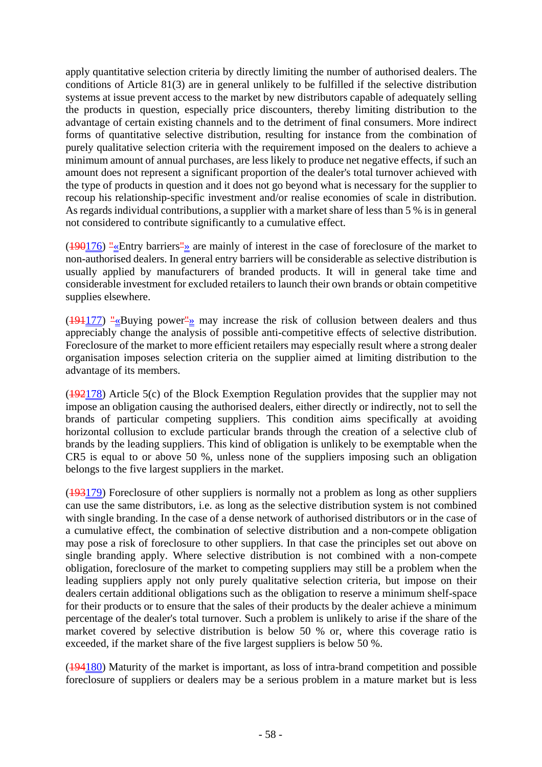apply quantitative selection criteria by directly limiting the number of authorised dealers. The conditions of Article 81(3) are in general unlikely to be fulfilled if the selective distribution systems at issue prevent access to the market by new distributors capable of adequately selling the products in question, especially price discounters, thereby limiting distribution to the advantage of certain existing channels and to the detriment of final consumers. More indirect forms of quantitative selective distribution, resulting for instance from the combination of purely qualitative selection criteria with the requirement imposed on the dealers to achieve a minimum amount of annual purchases, are less likely to produce net negative effects, if such an amount does not represent a significant proportion of the dealer's total turnover achieved with the type of products in question and it does not go beyond what is necessary for the supplier to recoup his relationship-specific investment and/or realise economies of scale in distribution. As regards individual contributions, a supplier with a market share of less than 5 % is in general not considered to contribute significantly to a cumulative effect.

 $(190176)$  "«Entry barriers"» are mainly of interest in the case of foreclosure of the market to non-authorised dealers. In general entry barriers will be considerable as selective distribution is usually applied by manufacturers of branded products. It will in general take time and considerable investment for excluded retailers to launch their own brands or obtain competitive supplies elsewhere.

 $(191177)$  "«Buying power"» may increase the risk of collusion between dealers and thus appreciably change the analysis of possible anti-competitive effects of selective distribution. Foreclosure of the market to more efficient retailers may especially result where a strong dealer organisation imposes selection criteria on the supplier aimed at limiting distribution to the advantage of its members.

(192178) Article 5(c) of the Block Exemption Regulation provides that the supplier may not impose an obligation causing the authorised dealers, either directly or indirectly, not to sell the brands of particular competing suppliers. This condition aims specifically at avoiding horizontal collusion to exclude particular brands through the creation of a selective club of brands by the leading suppliers. This kind of obligation is unlikely to be exemptable when the CR5 is equal to or above 50 %, unless none of the suppliers imposing such an obligation belongs to the five largest suppliers in the market.

(193179) Foreclosure of other suppliers is normally not a problem as long as other suppliers can use the same distributors, i.e. as long as the selective distribution system is not combined with single branding. In the case of a dense network of authorised distributors or in the case of a cumulative effect, the combination of selective distribution and a non-compete obligation may pose a risk of foreclosure to other suppliers. In that case the principles set out above on single branding apply. Where selective distribution is not combined with a non-compete obligation, foreclosure of the market to competing suppliers may still be a problem when the leading suppliers apply not only purely qualitative selection criteria, but impose on their dealers certain additional obligations such as the obligation to reserve a minimum shelf-space for their products or to ensure that the sales of their products by the dealer achieve a minimum percentage of the dealer's total turnover. Such a problem is unlikely to arise if the share of the market covered by selective distribution is below 50 % or, where this coverage ratio is exceeded, if the market share of the five largest suppliers is below 50 %.

(194180) Maturity of the market is important, as loss of intra-brand competition and possible foreclosure of suppliers or dealers may be a serious problem in a mature market but is less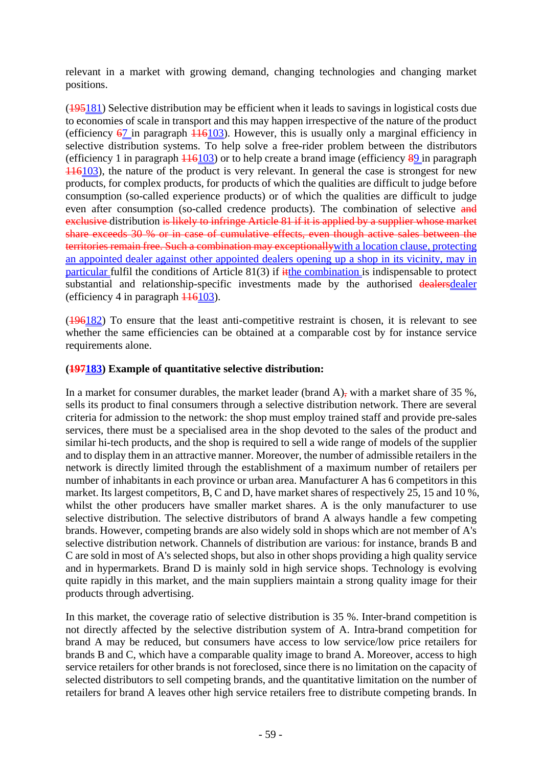relevant in a market with growing demand, changing technologies and changing market positions.

(195181) Selective distribution may be efficient when it leads to savings in logistical costs due to economies of scale in transport and this may happen irrespective of the nature of the product (efficiency  $67$  in paragraph  $116103$ ). However, this is usually only a marginal efficiency in selective distribution systems. To help solve a free-rider problem between the distributors (efficiency 1 in paragraph  $\frac{116103}{2}$ ) or to help create a brand image (efficiency  $\frac{89}{2}$  in paragraph 116103), the nature of the product is very relevant. In general the case is strongest for new products, for complex products, for products of which the qualities are difficult to judge before consumption (so-called experience products) or of which the qualities are difficult to judge even after consumption (so-called credence products). The combination of selective and exclusive distribution is likely to infringe Article 81 if it is applied by a supplier whose market share exceeds 30 % or in case of cumulative effects, even though active sales between the territories remain free. Such a combination may exceptionallywith a location clause, protecting an appointed dealer against other appointed dealers opening up a shop in its vicinity, may in particular fulfil the conditions of Article 81(3) if  $\frac{d}{dt}$  if  $\frac{d}{dt}$  combination is indispensable to protect substantial and relationship-specific investments made by the authorised dealersdealer (efficiency 4 in paragraph  $\frac{116103}{2}$ ).

(196182) To ensure that the least anti-competitive restraint is chosen, it is relevant to see whether the same efficiencies can be obtained at a comparable cost by for instance service requirements alone.

## **(197183) Example of quantitative selective distribution:**

In a market for consumer durables, the market leader (brand A), with a market share of 35 %, sells its product to final consumers through a selective distribution network. There are several criteria for admission to the network: the shop must employ trained staff and provide pre-sales services, there must be a specialised area in the shop devoted to the sales of the product and similar hi-tech products, and the shop is required to sell a wide range of models of the supplier and to display them in an attractive manner. Moreover, the number of admissible retailers in the network is directly limited through the establishment of a maximum number of retailers per number of inhabitants in each province or urban area. Manufacturer A has 6 competitors in this market. Its largest competitors, B, C and D, have market shares of respectively 25, 15 and 10 %, whilst the other producers have smaller market shares. A is the only manufacturer to use selective distribution. The selective distributors of brand A always handle a few competing brands. However, competing brands are also widely sold in shops which are not member of A's selective distribution network. Channels of distribution are various: for instance, brands B and C are sold in most of A's selected shops, but also in other shops providing a high quality service and in hypermarkets. Brand D is mainly sold in high service shops. Technology is evolving quite rapidly in this market, and the main suppliers maintain a strong quality image for their products through advertising.

In this market, the coverage ratio of selective distribution is 35 %. Inter-brand competition is not directly affected by the selective distribution system of A. Intra-brand competition for brand A may be reduced, but consumers have access to low service/low price retailers for brands B and C, which have a comparable quality image to brand A. Moreover, access to high service retailers for other brands is not foreclosed, since there is no limitation on the capacity of selected distributors to sell competing brands, and the quantitative limitation on the number of retailers for brand A leaves other high service retailers free to distribute competing brands. In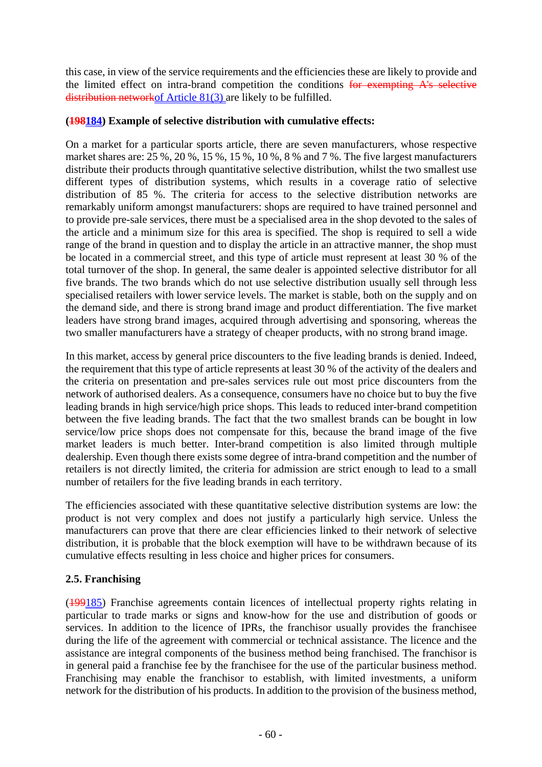this case, in view of the service requirements and the efficiencies these are likely to provide and the limited effect on intra-brand competition the conditions for exempting A's selective distribution networkof Article 81(3) are likely to be fulfilled.

#### **(198184) Example of selective distribution with cumulative effects:**

On a market for a particular sports article, there are seven manufacturers, whose respective market shares are: 25 %, 20 %, 15 %, 15 %, 10 %, 8 % and 7 %. The five largest manufacturers distribute their products through quantitative selective distribution, whilst the two smallest use different types of distribution systems, which results in a coverage ratio of selective distribution of 85 %. The criteria for access to the selective distribution networks are remarkably uniform amongst manufacturers: shops are required to have trained personnel and to provide pre-sale services, there must be a specialised area in the shop devoted to the sales of the article and a minimum size for this area is specified. The shop is required to sell a wide range of the brand in question and to display the article in an attractive manner, the shop must be located in a commercial street, and this type of article must represent at least 30 % of the total turnover of the shop. In general, the same dealer is appointed selective distributor for all five brands. The two brands which do not use selective distribution usually sell through less specialised retailers with lower service levels. The market is stable, both on the supply and on the demand side, and there is strong brand image and product differentiation. The five market leaders have strong brand images, acquired through advertising and sponsoring, whereas the two smaller manufacturers have a strategy of cheaper products, with no strong brand image.

In this market, access by general price discounters to the five leading brands is denied. Indeed, the requirement that this type of article represents at least 30 % of the activity of the dealers and the criteria on presentation and pre-sales services rule out most price discounters from the network of authorised dealers. As a consequence, consumers have no choice but to buy the five leading brands in high service/high price shops. This leads to reduced inter-brand competition between the five leading brands. The fact that the two smallest brands can be bought in low service/low price shops does not compensate for this, because the brand image of the five market leaders is much better. Inter-brand competition is also limited through multiple dealership. Even though there exists some degree of intra-brand competition and the number of retailers is not directly limited, the criteria for admission are strict enough to lead to a small number of retailers for the five leading brands in each territory.

The efficiencies associated with these quantitative selective distribution systems are low: the product is not very complex and does not justify a particularly high service. Unless the manufacturers can prove that there are clear efficiencies linked to their network of selective distribution, it is probable that the block exemption will have to be withdrawn because of its cumulative effects resulting in less choice and higher prices for consumers.

## **2.5. Franchising**

(199185) Franchise agreements contain licences of intellectual property rights relating in particular to trade marks or signs and know-how for the use and distribution of goods or services. In addition to the licence of IPRs, the franchisor usually provides the franchisee during the life of the agreement with commercial or technical assistance. The licence and the assistance are integral components of the business method being franchised. The franchisor is in general paid a franchise fee by the franchisee for the use of the particular business method. Franchising may enable the franchisor to establish, with limited investments, a uniform network for the distribution of his products. In addition to the provision of the business method,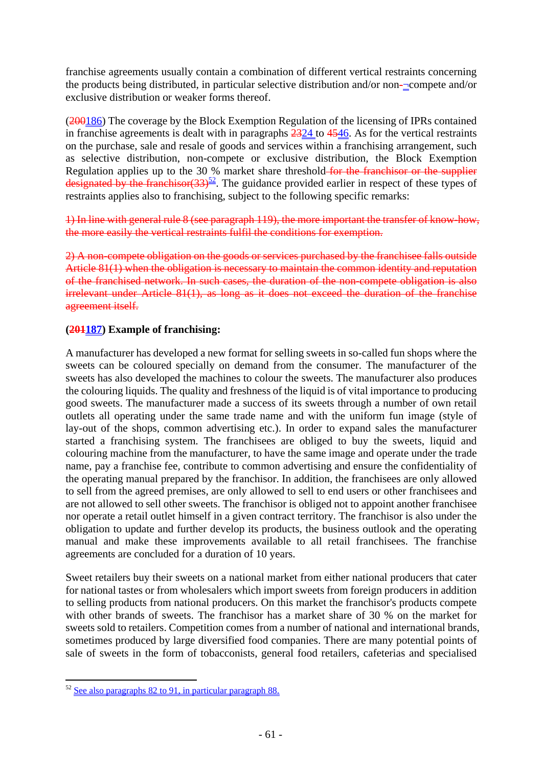franchise agreements usually contain a combination of different vertical restraints concerning the products being distributed, in particular selective distribution and/or non- $\equiv$ compete and/or exclusive distribution or weaker forms thereof.

(200186) The coverage by the Block Exemption Regulation of the licensing of IPRs contained in franchise agreements is dealt with in paragraphs 2324 to 4546. As for the vertical restraints on the purchase, sale and resale of goods and services within a franchising arrangement, such as selective distribution, non-compete or exclusive distribution, the Block Exemption Regulation applies up to the 30 % market share threshold for the franchisor or the supplier designated by the franchisor( $33\frac{52}{5}$ . The guidance provided earlier in respect of these types of restraints applies also to franchising, subject to the following specific remarks:

1) In line with general rule 8 (see paragraph 119), the more important the transfer of know-how, the more easily the vertical restraints fulfil the conditions for exemption.

2) A non-compete obligation on the goods or services purchased by the franchisee falls outside Article 81(1) when the obligation is necessary to maintain the common identity and reputation of the franchised network. In such cases, the duration of the non-compete obligation is also irrelevant under Article 81(1), as long as it does not exceed the duration of the franchise agreement itself.

#### **(201187) Example of franchising:**

A manufacturer has developed a new format for selling sweets in so-called fun shops where the sweets can be coloured specially on demand from the consumer. The manufacturer of the sweets has also developed the machines to colour the sweets. The manufacturer also produces the colouring liquids. The quality and freshness of the liquid is of vital importance to producing good sweets. The manufacturer made a success of its sweets through a number of own retail outlets all operating under the same trade name and with the uniform fun image (style of lay-out of the shops, common advertising etc.). In order to expand sales the manufacturer started a franchising system. The franchisees are obliged to buy the sweets, liquid and colouring machine from the manufacturer, to have the same image and operate under the trade name, pay a franchise fee, contribute to common advertising and ensure the confidentiality of the operating manual prepared by the franchisor. In addition, the franchisees are only allowed to sell from the agreed premises, are only allowed to sell to end users or other franchisees and are not allowed to sell other sweets. The franchisor is obliged not to appoint another franchisee nor operate a retail outlet himself in a given contract territory. The franchisor is also under the obligation to update and further develop its products, the business outlook and the operating manual and make these improvements available to all retail franchisees. The franchise agreements are concluded for a duration of 10 years.

Sweet retailers buy their sweets on a national market from either national producers that cater for national tastes or from wholesalers which import sweets from foreign producers in addition to selling products from national producers. On this market the franchisor's products compete with other brands of sweets. The franchisor has a market share of 30 % on the market for sweets sold to retailers. Competition comes from a number of national and international brands, sometimes produced by large diversified food companies. There are many potential points of sale of sweets in the form of tobacconists, general food retailers, cafeterias and specialised

 $\overline{a}$  $52$  See also paragraphs 82 to 91, in particular paragraph 88.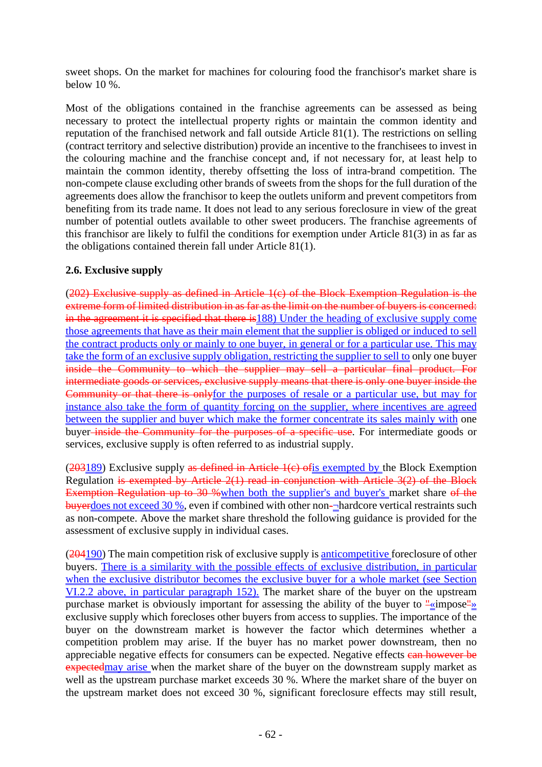sweet shops. On the market for machines for colouring food the franchisor's market share is below 10 %.

Most of the obligations contained in the franchise agreements can be assessed as being necessary to protect the intellectual property rights or maintain the common identity and reputation of the franchised network and fall outside Article 81(1). The restrictions on selling (contract territory and selective distribution) provide an incentive to the franchisees to invest in the colouring machine and the franchise concept and, if not necessary for, at least help to maintain the common identity, thereby offsetting the loss of intra-brand competition. The non-compete clause excluding other brands of sweets from the shops for the full duration of the agreements does allow the franchisor to keep the outlets uniform and prevent competitors from benefiting from its trade name. It does not lead to any serious foreclosure in view of the great number of potential outlets available to other sweet producers. The franchise agreements of this franchisor are likely to fulfil the conditions for exemption under Article 81(3) in as far as the obligations contained therein fall under Article 81(1).

## **2.6. Exclusive supply**

(202) Exclusive supply as defined in Article 1(c) of the Block Exemption Regulation is the extreme form of limited distribution in as far as the limit on the number of buyers is concerned: in the agreement it is specified that there is188) Under the heading of exclusive supply come those agreements that have as their main element that the supplier is obliged or induced to sell the contract products only or mainly to one buyer, in general or for a particular use. This may take the form of an exclusive supply obligation, restricting the supplier to sell to only one buyer inside the Community to which the supplier may sell a particular final product. For intermediate goods or services, exclusive supply means that there is only one buyer inside the Community or that there is onlyfor the purposes of resale or a particular use, but may for instance also take the form of quantity forcing on the supplier, where incentives are agreed between the supplier and buyer which make the former concentrate its sales mainly with one buyer-inside the Community for the purposes of a specific use. For intermediate goods or services, exclusive supply is often referred to as industrial supply.

 $(203189)$  Exclusive supply as defined in Article  $1(c)$  of is exempted by the Block Exemption Regulation is exempted by Article 2(1) read in conjunction with Article 3(2) of the Block Exemption Regulation up to 30 % when both the supplier's and buyer's market share of the buyerdoes not exceed 30 %, even if combined with other non-¬hardcore vertical restraints such as non-compete. Above the market share threshold the following guidance is provided for the assessment of exclusive supply in individual cases.

(204190) The main competition risk of exclusive supply is anticompetitive foreclosure of other buyers. There is a similarity with the possible effects of exclusive distribution, in particular when the exclusive distributor becomes the exclusive buyer for a whole market (see Section VI.2.2 above, in particular paragraph 152). The market share of the buyer on the upstream purchase market is obviously important for assessing the ability of the buyer to  $\frac{n}{\sin\theta}$  =  $\frac{\sinh\theta}{\sin\theta}$ exclusive supply which forecloses other buyers from access to supplies. The importance of the buyer on the downstream market is however the factor which determines whether a competition problem may arise. If the buyer has no market power downstream, then no appreciable negative effects for consumers can be expected. Negative effects can however be expected may arise when the market share of the buyer on the downstream supply market as well as the upstream purchase market exceeds 30 %. Where the market share of the buyer on the upstream market does not exceed 30 %, significant foreclosure effects may still result,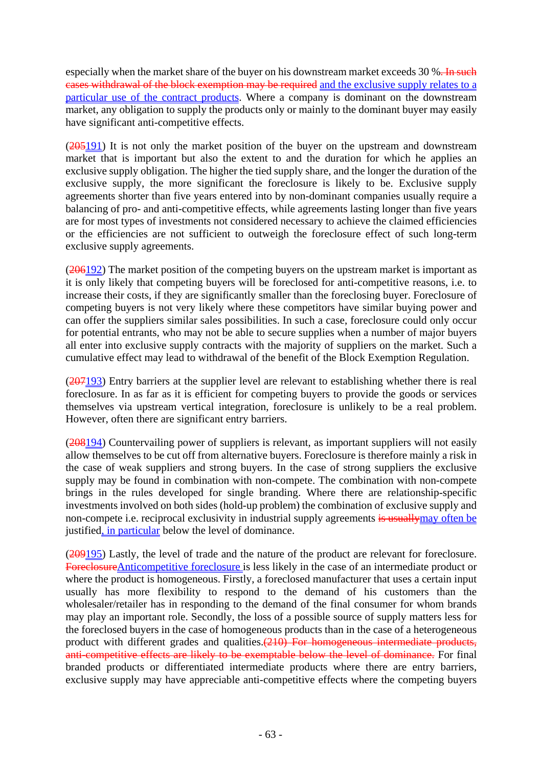especially when the market share of the buyer on his downstream market exceeds 30 %. In such cases withdrawal of the block exemption may be required and the exclusive supply relates to a particular use of the contract products. Where a company is dominant on the downstream market, any obligation to supply the products only or mainly to the dominant buyer may easily have significant anti-competitive effects.

(205191) It is not only the market position of the buyer on the upstream and downstream market that is important but also the extent to and the duration for which he applies an exclusive supply obligation. The higher the tied supply share, and the longer the duration of the exclusive supply, the more significant the foreclosure is likely to be. Exclusive supply agreements shorter than five years entered into by non-dominant companies usually require a balancing of pro- and anti-competitive effects, while agreements lasting longer than five years are for most types of investments not considered necessary to achieve the claimed efficiencies or the efficiencies are not sufficient to outweigh the foreclosure effect of such long-term exclusive supply agreements.

(206192) The market position of the competing buyers on the upstream market is important as it is only likely that competing buyers will be foreclosed for anti-competitive reasons, i.e. to increase their costs, if they are significantly smaller than the foreclosing buyer. Foreclosure of competing buyers is not very likely where these competitors have similar buying power and can offer the suppliers similar sales possibilities. In such a case, foreclosure could only occur for potential entrants, who may not be able to secure supplies when a number of major buyers all enter into exclusive supply contracts with the majority of suppliers on the market. Such a cumulative effect may lead to withdrawal of the benefit of the Block Exemption Regulation.

(207193) Entry barriers at the supplier level are relevant to establishing whether there is real foreclosure. In as far as it is efficient for competing buyers to provide the goods or services themselves via upstream vertical integration, foreclosure is unlikely to be a real problem. However, often there are significant entry barriers.

(208194) Countervailing power of suppliers is relevant, as important suppliers will not easily allow themselves to be cut off from alternative buyers. Foreclosure is therefore mainly a risk in the case of weak suppliers and strong buyers. In the case of strong suppliers the exclusive supply may be found in combination with non-compete. The combination with non-compete brings in the rules developed for single branding. Where there are relationship-specific investments involved on both sides (hold-up problem) the combination of exclusive supply and non-compete i.e. reciprocal exclusivity in industrial supply agreements is usually may often be justified, in particular below the level of dominance.

(209195) Lastly, the level of trade and the nature of the product are relevant for foreclosure. ForeclosureAnticompetitive foreclosure is less likely in the case of an intermediate product or where the product is homogeneous. Firstly, a foreclosed manufacturer that uses a certain input usually has more flexibility to respond to the demand of his customers than the wholesaler/retailer has in responding to the demand of the final consumer for whom brands may play an important role. Secondly, the loss of a possible source of supply matters less for the foreclosed buyers in the case of homogeneous products than in the case of a heterogeneous product with different grades and qualities.(210) For homogeneous intermediate products, anti-competitive effects are likely to be exemptable below the level of dominance. For final branded products or differentiated intermediate products where there are entry barriers, exclusive supply may have appreciable anti-competitive effects where the competing buyers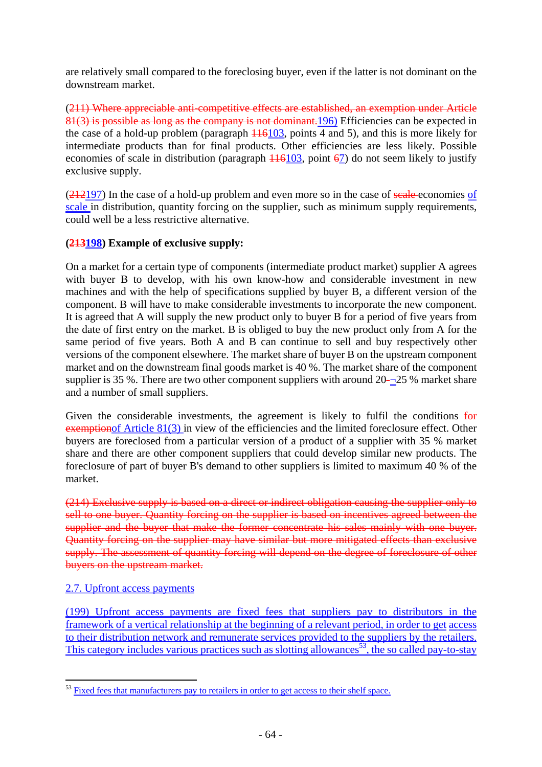are relatively small compared to the foreclosing buyer, even if the latter is not dominant on the downstream market.

(211) Where appreciable anti-competitive effects are established, an exemption under Article 81(3) is possible as long as the company is not dominant. 196) Efficiencies can be expected in the case of a hold-up problem (paragraph  $\frac{116103}{1610}$ , points 4 and 5), and this is more likely for intermediate products than for final products. Other efficiencies are less likely. Possible economies of scale in distribution (paragraph  $\frac{116103}{1610}$ , point  $\frac{67}{1610}$ ) do not seem likely to justify exclusive supply.

 $(212197)$  In the case of a hold-up problem and even more so in the case of scale economies of scale in distribution, quantity forcing on the supplier, such as minimum supply requirements, could well be a less restrictive alternative.

## **(213198) Example of exclusive supply:**

On a market for a certain type of components (intermediate product market) supplier A agrees with buyer B to develop, with his own know-how and considerable investment in new machines and with the help of specifications supplied by buyer B, a different version of the component. B will have to make considerable investments to incorporate the new component. It is agreed that A will supply the new product only to buyer B for a period of five years from the date of first entry on the market. B is obliged to buy the new product only from A for the same period of five years. Both A and B can continue to sell and buy respectively other versions of the component elsewhere. The market share of buyer B on the upstream component market and on the downstream final goods market is 40 %. The market share of the component supplier is 35 %. There are two other component suppliers with around  $20 - 25$  % market share and a number of small suppliers.

Given the considerable investments, the agreement is likely to fulfil the conditions for exemptionof Article 81(3) in view of the efficiencies and the limited foreclosure effect. Other buyers are foreclosed from a particular version of a product of a supplier with 35 % market share and there are other component suppliers that could develop similar new products. The foreclosure of part of buyer B's demand to other suppliers is limited to maximum 40 % of the market.

(214) Exclusive supply is based on a direct or indirect obligation causing the supplier only to sell to one buyer. Quantity forcing on the supplier is based on incentives agreed between the supplier and the buyer that make the former concentrate his sales mainly with one buyer. Quantity forcing on the supplier may have similar but more mitigated effects than exclusive supply. The assessment of quantity forcing will depend on the degree of foreclosure of other buyers on the upstream market.

## 2.7. Upfront access payments

(199) Upfront access payments are fixed fees that suppliers pay to distributors in the framework of a vertical relationship at the beginning of a relevant period, in order to get access to their distribution network and remunerate services provided to the suppliers by the retailers. This category includes various practices such as slotting allowances<sup>53</sup>, the so called pay-to-stay

 $\overline{a}$ <sup>53</sup> Fixed fees that manufacturers pay to retailers in order to get access to their shelf space.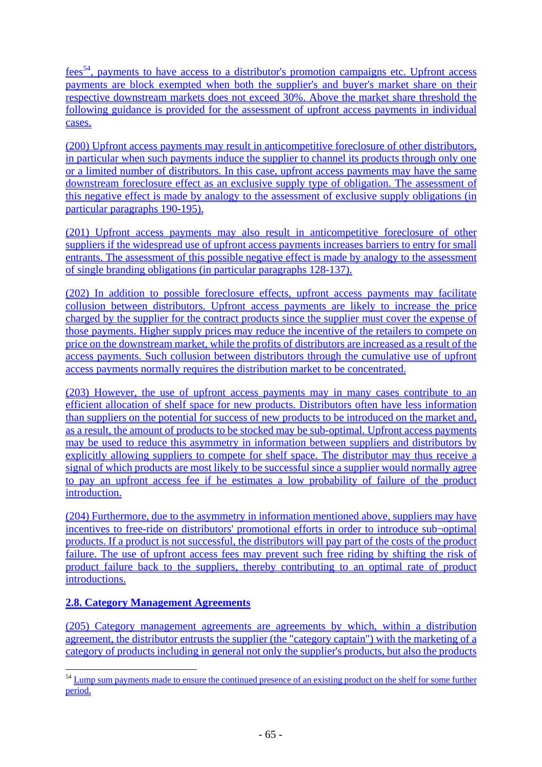fees<sup>54</sup>, payments to have access to a distributor's promotion campaigns etc. Upfront access payments are block exempted when both the supplier's and buyer's market share on their respective downstream markets does not exceed 30%. Above the market share threshold the following guidance is provided for the assessment of upfront access payments in individual cases.

(200) Upfront access payments may result in anticompetitive foreclosure of other distributors, in particular when such payments induce the supplier to channel its products through only one or a limited number of distributors. In this case, upfront access payments may have the same downstream foreclosure effect as an exclusive supply type of obligation. The assessment of this negative effect is made by analogy to the assessment of exclusive supply obligations (in particular paragraphs 190-195).

(201) Upfront access payments may also result in anticompetitive foreclosure of other suppliers if the widespread use of upfront access payments increases barriers to entry for small entrants. The assessment of this possible negative effect is made by analogy to the assessment of single branding obligations (in particular paragraphs 128-137).

(202) In addition to possible foreclosure effects, upfront access payments may facilitate collusion between distributors. Upfront access payments are likely to increase the price charged by the supplier for the contract products since the supplier must cover the expense of those payments. Higher supply prices may reduce the incentive of the retailers to compete on price on the downstream market, while the profits of distributors are increased as a result of the access payments. Such collusion between distributors through the cumulative use of upfront access payments normally requires the distribution market to be concentrated.

(203) However, the use of upfront access payments may in many cases contribute to an efficient allocation of shelf space for new products. Distributors often have less information than suppliers on the potential for success of new products to be introduced on the market and, as a result, the amount of products to be stocked may be sub-optimal. Upfront access payments may be used to reduce this asymmetry in information between suppliers and distributors by explicitly allowing suppliers to compete for shelf space. The distributor may thus receive a signal of which products are most likely to be successful since a supplier would normally agree to pay an upfront access fee if he estimates a low probability of failure of the product introduction.

(204) Furthermore, due to the asymmetry in information mentioned above, suppliers may have incentives to free-ride on distributors' promotional efforts in order to introduce sub¬optimal products. If a product is not successful, the distributors will pay part of the costs of the product failure. The use of upfront access fees may prevent such free riding by shifting the risk of product failure back to the suppliers, thereby contributing to an optimal rate of product introductions.

# **2.8. Category Management Agreements**

(205) Category management agreements are agreements by which, within a distribution agreement, the distributor entrusts the supplier (the "category captain") with the marketing of a category of products including in general not only the supplier's products, but also the products

 $\overline{a}$ <sup>54</sup> Lump sum payments made to ensure the continued presence of an existing product on the shelf for some further period.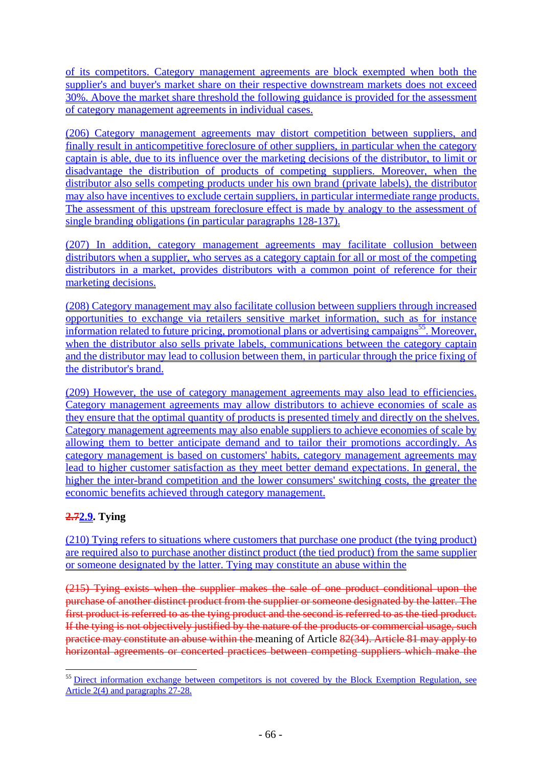of its competitors. Category management agreements are block exempted when both the supplier's and buyer's market share on their respective downstream markets does not exceed 30%. Above the market share threshold the following guidance is provided for the assessment of category management agreements in individual cases.

(206) Category management agreements may distort competition between suppliers, and finally result in anticompetitive foreclosure of other suppliers, in particular when the category captain is able, due to its influence over the marketing decisions of the distributor, to limit or disadvantage the distribution of products of competing suppliers. Moreover, when the distributor also sells competing products under his own brand (private labels), the distributor may also have incentives to exclude certain suppliers, in particular intermediate range products. The assessment of this upstream foreclosure effect is made by analogy to the assessment of single branding obligations (in particular paragraphs 128-137).

(207) In addition, category management agreements may facilitate collusion between distributors when a supplier, who serves as a category captain for all or most of the competing distributors in a market, provides distributors with a common point of reference for their marketing decisions.

(208) Category management may also facilitate collusion between suppliers through increased opportunities to exchange via retailers sensitive market information, such as for instance information related to future pricing, promotional plans or advertising campaigns<sup>55</sup>. Moreover, when the distributor also sells private labels, communications between the category captain and the distributor may lead to collusion between them, in particular through the price fixing of the distributor's brand.

(209) However, the use of category management agreements may also lead to efficiencies. Category management agreements may allow distributors to achieve economies of scale as they ensure that the optimal quantity of products is presented timely and directly on the shelves. Category management agreements may also enable suppliers to achieve economies of scale by allowing them to better anticipate demand and to tailor their promotions accordingly. As category management is based on customers' habits, category management agreements may lead to higher customer satisfaction as they meet better demand expectations. In general, the higher the inter-brand competition and the lower consumers' switching costs, the greater the economic benefits achieved through category management.

# **2.72.9. Tying**

(210) Tying refers to situations where customers that purchase one product (the tying product) are required also to purchase another distinct product (the tied product) from the same supplier or someone designated by the latter. Tying may constitute an abuse within the

(215) Tying exists when the supplier makes the sale of one product conditional upon the purchase of another distinct product from the supplier or someone designated by the latter. The first product is referred to as the tying product and the second is referred to as the tied product. If the tying is not objectively justified by the nature of the products or commercial usage, such practice may constitute an abuse within the meaning of Article 82(34). Article 81 may apply to horizontal agreements or concerted practices between competing suppliers which make the

 $\overline{a}$ <sup>55</sup> Direct information exchange between competitors is not covered by the Block Exemption Regulation, see Article 2(4) and paragraphs 27-28.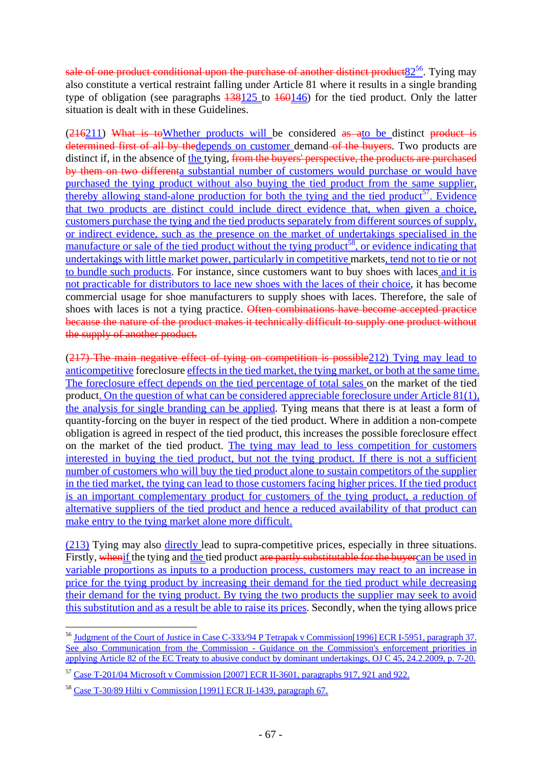sale of one product conditional upon the purchase of another distinct product  $82^{56}$ . Tying may also constitute a vertical restraint falling under Article 81 where it results in a single branding type of obligation (see paragraphs 138125 to 160146) for the tied product. Only the latter situation is dealt with in these Guidelines.

 $(216211)$  What is to Whether products will be considered as ato be distinct product is determined first of all by thedepends on customer demand of the buyers. Two products are distinct if, in the absence of the tying, from the buyers' perspective, the products are purchased by them on two differenta substantial number of customers would purchase or would have purchased the tying product without also buying the tied product from the same supplier, thereby allowing stand-alone production for both the tying and the tied product<sup>57</sup>. Evidence that two products are distinct could include direct evidence that, when given a choice, customers purchase the tying and the tied products separately from different sources of supply, or indirect evidence, such as the presence on the market of undertakings specialised in the manufacture or sale of the tied product without the tying product<sup>58</sup>, or evidence indicating that undertakings with little market power, particularly in competitive markets, tend not to tie or not to bundle such products. For instance, since customers want to buy shoes with laces and it is not practicable for distributors to lace new shoes with the laces of their choice, it has become commercial usage for shoe manufacturers to supply shoes with laces. Therefore, the sale of shoes with laces is not a tying practice. Often combinations have become accepted practice because the nature of the product makes it technically difficult to supply one product without the supply of another product.

(217) The main negative effect of tying on competition is possible212) Tying may lead to anticompetitive foreclosure effects in the tied market, the tying market, or both at the same time. The foreclosure effect depends on the tied percentage of total sales on the market of the tied product. On the question of what can be considered appreciable foreclosure under Article 81(1), the analysis for single branding can be applied. Tying means that there is at least a form of quantity-forcing on the buyer in respect of the tied product. Where in addition a non-compete obligation is agreed in respect of the tied product, this increases the possible foreclosure effect on the market of the tied product. The tying may lead to less competition for customers interested in buying the tied product, but not the tying product. If there is not a sufficient number of customers who will buy the tied product alone to sustain competitors of the supplier in the tied market, the tying can lead to those customers facing higher prices. If the tied product is an important complementary product for customers of the tying product, a reduction of alternative suppliers of the tied product and hence a reduced availability of that product can make entry to the tying market alone more difficult.

(213) Tying may also directly lead to supra-competitive prices, especially in three situations. Firstly, when if the tying and the tied product are partly substitutable for the buyercan be used in variable proportions as inputs to a production process, customers may react to an increase in price for the tying product by increasing their demand for the tied product while decreasing their demand for the tying product. By tying the two products the supplier may seek to avoid this substitution and as a result be able to raise its prices. Secondly, when the tying allows price

 $\overline{a}$ <sup>56</sup> Judgment of the Court of Justice in Case C-333/94 P Tetrapak v Commission[1996] ECR I-5951, paragraph 37. See also Communication from the Commission - Guidance on the Commission's enforcement priorities in applying Article 82 of the EC Treaty to abusive conduct by dominant undertakings, OJ C 45, 24.2.2009, p. 7-20.

<sup>57</sup> Case T-201/04 Microsoft v Commission [2007] ECR II-3601, paragraphs 917, 921 and 922.

<sup>58</sup> Case T-30/89 Hilti v Commission [1991] ECR II-1439, paragraph 67.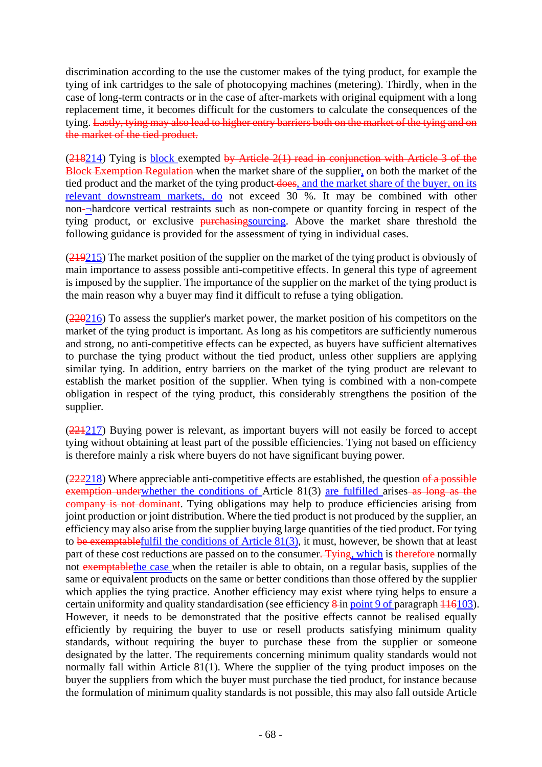discrimination according to the use the customer makes of the tying product, for example the tying of ink cartridges to the sale of photocopying machines (metering). Thirdly, when in the case of long-term contracts or in the case of after-markets with original equipment with a long replacement time, it becomes difficult for the customers to calculate the consequences of the tying. Lastly, tying may also lead to higher entry barriers both on the market of the tying and on the market of the tied product.

 $(218214)$  Tying is block exempted by Article 2(1) read in conjunction with Article 3 of the Block Exemption Regulation when the market share of the supplier, on both the market of the tied product and the market of the tying product-does, and the market share of the buyer, on its relevant downstream markets, do not exceed 30 %. It may be combined with other non-hardcore vertical restraints such as non-compete or quantity forcing in respect of the tying product, or exclusive **purchasingsourcing**. Above the market share threshold the following guidance is provided for the assessment of tying in individual cases.

(219215) The market position of the supplier on the market of the tying product is obviously of main importance to assess possible anti-competitive effects. In general this type of agreement is imposed by the supplier. The importance of the supplier on the market of the tying product is the main reason why a buyer may find it difficult to refuse a tying obligation.

 $(220216)$  To assess the supplier's market power, the market position of his competitors on the market of the tying product is important. As long as his competitors are sufficiently numerous and strong, no anti-competitive effects can be expected, as buyers have sufficient alternatives to purchase the tying product without the tied product, unless other suppliers are applying similar tying. In addition, entry barriers on the market of the tying product are relevant to establish the market position of the supplier. When tying is combined with a non-compete obligation in respect of the tying product, this considerably strengthens the position of the supplier.

 $(224217)$  Buying power is relevant, as important buyers will not easily be forced to accept tying without obtaining at least part of the possible efficiencies. Tying not based on efficiency is therefore mainly a risk where buyers do not have significant buying power.

 $(222218)$  Where appreciable anti-competitive effects are established, the question of a possible exemption underwhether the conditions of Article 81(3) are fulfilled arises as long as the company is not dominant. Tying obligations may help to produce efficiencies arising from joint production or joint distribution. Where the tied product is not produced by the supplier, an efficiency may also arise from the supplier buying large quantities of the tied product. For tying to be exemptable <u>fulfil the conditions of Article 81(3)</u>, it must, however, be shown that at least part of these cost reductions are passed on to the consumer. Tying, which is therefore normally not exemptablethe case when the retailer is able to obtain, on a regular basis, supplies of the same or equivalent products on the same or better conditions than those offered by the supplier which applies the tying practice. Another efficiency may exist where tying helps to ensure a certain uniformity and quality standardisation (see efficiency 8 in point 9 of paragraph  $\frac{116103}{2}$ ). However, it needs to be demonstrated that the positive effects cannot be realised equally efficiently by requiring the buyer to use or resell products satisfying minimum quality standards, without requiring the buyer to purchase these from the supplier or someone designated by the latter. The requirements concerning minimum quality standards would not normally fall within Article 81(1). Where the supplier of the tying product imposes on the buyer the suppliers from which the buyer must purchase the tied product, for instance because the formulation of minimum quality standards is not possible, this may also fall outside Article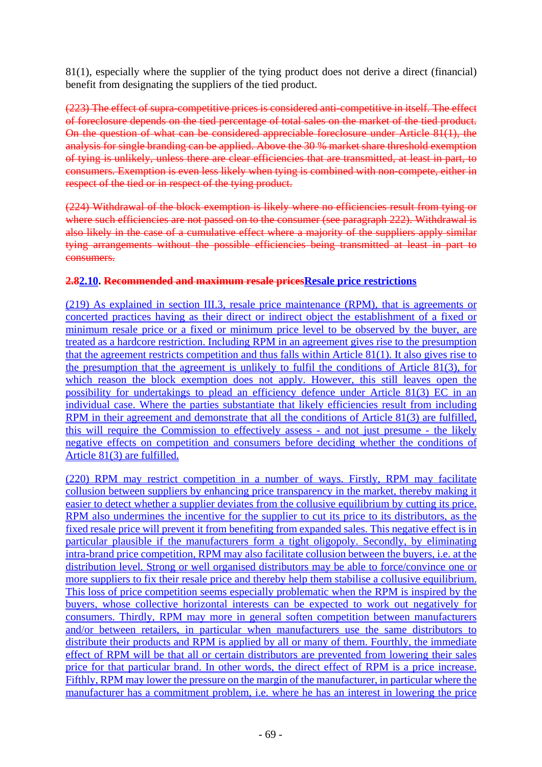81(1), especially where the supplier of the tying product does not derive a direct (financial) benefit from designating the suppliers of the tied product.

(223) The effect of supra-competitive prices is considered anti-competitive in itself. The effect of foreclosure depends on the tied percentage of total sales on the market of the tied product. On the question of what can be considered appreciable foreclosure under Article 81(1), the analysis for single branding can be applied. Above the 30 % market share threshold exemption of tying is unlikely, unless there are clear efficiencies that are transmitted, at least in part, to consumers. Exemption is even less likely when tying is combined with non-compete, either in respect of the tied or in respect of the tying product.

(224) Withdrawal of the block exemption is likely where no efficiencies result from tying or where such efficiencies are not passed on to the consumer (see paragraph 222). Withdrawal is also likely in the case of a cumulative effect where a majority of the suppliers apply similar tying arrangements without the possible efficiencies being transmitted at least in part to consumers.

## **2.82.10. Recommended and maximum resale pricesResale price restrictions**

(219) As explained in section III.3, resale price maintenance (RPM), that is agreements or concerted practices having as their direct or indirect object the establishment of a fixed or minimum resale price or a fixed or minimum price level to be observed by the buyer, are treated as a hardcore restriction. Including RPM in an agreement gives rise to the presumption that the agreement restricts competition and thus falls within Article 81(1). It also gives rise to the presumption that the agreement is unlikely to fulfil the conditions of Article 81(3), for which reason the block exemption does not apply. However, this still leaves open the possibility for undertakings to plead an efficiency defence under Article 81(3) EC in an individual case. Where the parties substantiate that likely efficiencies result from including RPM in their agreement and demonstrate that all the conditions of Article 81(3) are fulfilled, this will require the Commission to effectively assess - and not just presume - the likely negative effects on competition and consumers before deciding whether the conditions of Article 81(3) are fulfilled.

(220) RPM may restrict competition in a number of ways. Firstly, RPM may facilitate collusion between suppliers by enhancing price transparency in the market, thereby making it easier to detect whether a supplier deviates from the collusive equilibrium by cutting its price. RPM also undermines the incentive for the supplier to cut its price to its distributors, as the fixed resale price will prevent it from benefiting from expanded sales. This negative effect is in particular plausible if the manufacturers form a tight oligopoly. Secondly, by eliminating intra-brand price competition, RPM may also facilitate collusion between the buyers, i.e. at the distribution level. Strong or well organised distributors may be able to force/convince one or more suppliers to fix their resale price and thereby help them stabilise a collusive equilibrium. This loss of price competition seems especially problematic when the RPM is inspired by the buyers, whose collective horizontal interests can be expected to work out negatively for consumers. Thirdly, RPM may more in general soften competition between manufacturers and/or between retailers, in particular when manufacturers use the same distributors to distribute their products and RPM is applied by all or many of them. Fourthly, the immediate effect of RPM will be that all or certain distributors are prevented from lowering their sales price for that particular brand. In other words, the direct effect of RPM is a price increase. Fifthly, RPM may lower the pressure on the margin of the manufacturer, in particular where the manufacturer has a commitment problem, i.e. where he has an interest in lowering the price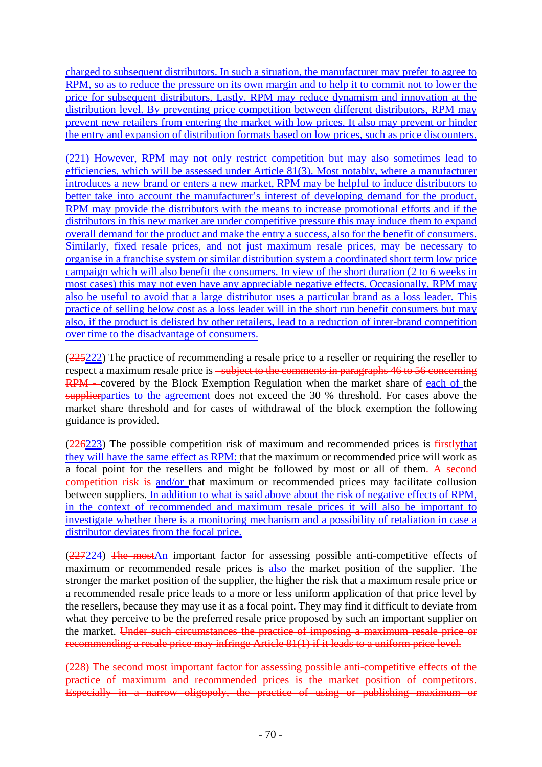charged to subsequent distributors. In such a situation, the manufacturer may prefer to agree to RPM, so as to reduce the pressure on its own margin and to help it to commit not to lower the price for subsequent distributors. Lastly, RPM may reduce dynamism and innovation at the distribution level. By preventing price competition between different distributors, RPM may prevent new retailers from entering the market with low prices. It also may prevent or hinder the entry and expansion of distribution formats based on low prices, such as price discounters.

(221) However, RPM may not only restrict competition but may also sometimes lead to efficiencies, which will be assessed under Article 81(3). Most notably, where a manufacturer introduces a new brand or enters a new market, RPM may be helpful to induce distributors to better take into account the manufacturer's interest of developing demand for the product. RPM may provide the distributors with the means to increase promotional efforts and if the distributors in this new market are under competitive pressure this may induce them to expand overall demand for the product and make the entry a success, also for the benefit of consumers. Similarly, fixed resale prices, and not just maximum resale prices, may be necessary to organise in a franchise system or similar distribution system a coordinated short term low price campaign which will also benefit the consumers. In view of the short duration (2 to 6 weeks in most cases) this may not even have any appreciable negative effects. Occasionally, RPM may also be useful to avoid that a large distributor uses a particular brand as a loss leader. This practice of selling below cost as a loss leader will in the short run benefit consumers but may also, if the product is delisted by other retailers, lead to a reduction of inter-brand competition over time to the disadvantage of consumers.

(225222) The practice of recommending a resale price to a reseller or requiring the reseller to respect a maximum resale price is <del>- subject to the comments in paragraphs 46 to 56 concerning</del> RPM - covered by the Block Exemption Regulation when the market share of each of the supplierparties to the agreement does not exceed the 30 % threshold. For cases above the market share threshold and for cases of withdrawal of the block exemption the following guidance is provided.

 $(226223)$  The possible competition risk of maximum and recommended prices is  $\frac{firstly}{}$ they will have the same effect as RPM: that the maximum or recommended price will work as a focal point for the resellers and might be followed by most or all of them. A second competition risk is and/or that maximum or recommended prices may facilitate collusion between suppliers. In addition to what is said above about the risk of negative effects of RPM, in the context of recommended and maximum resale prices it will also be important to investigate whether there is a monitoring mechanism and a possibility of retaliation in case a distributor deviates from the focal price.

 $(227224)$  The most An important factor for assessing possible anti-competitive effects of maximum or recommended resale prices is also the market position of the supplier. The stronger the market position of the supplier, the higher the risk that a maximum resale price or a recommended resale price leads to a more or less uniform application of that price level by the resellers, because they may use it as a focal point. They may find it difficult to deviate from what they perceive to be the preferred resale price proposed by such an important supplier on the market. Under such circumstances the practice of imposing a maximum resale price or recommending a resale price may infringe Article 81(1) if it leads to a uniform price level.

(228) The second most important factor for assessing possible anti-competitive effects of the practice of maximum and recommended prices is the market position of competitors. Especially in a narrow oligopoly, the practice of using or publishing maximum or